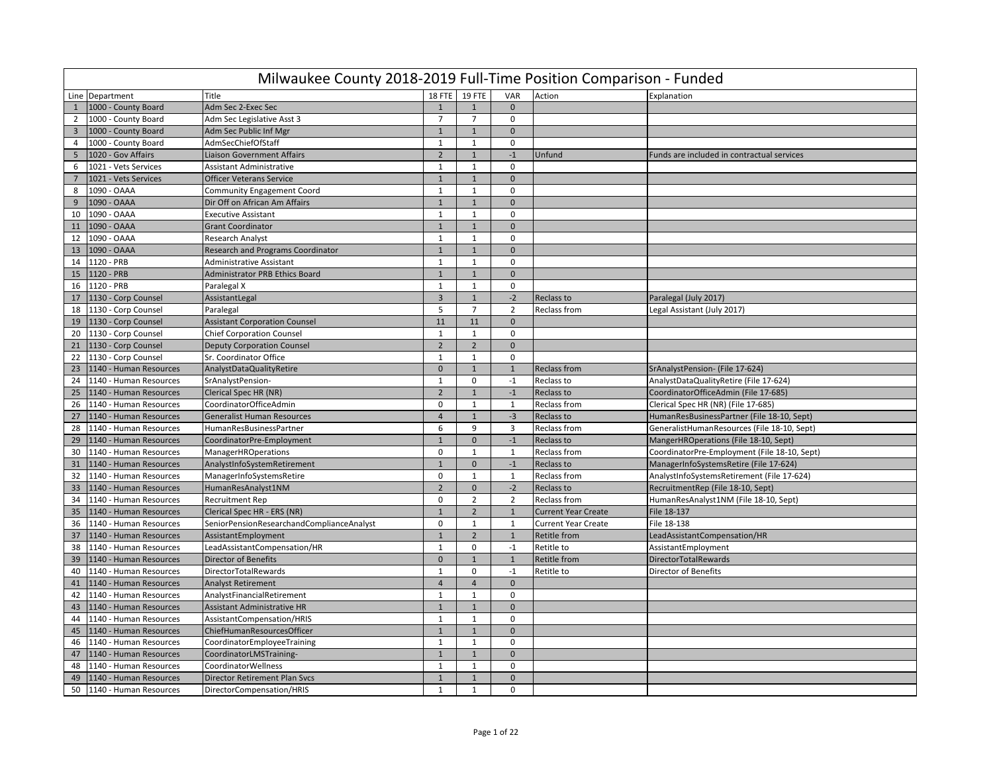|                 | Milwaukee County 2018-2019 Full-Time Position Comparison - Funded |                                           |                |                |                |                            |                                              |  |  |  |  |  |  |
|-----------------|-------------------------------------------------------------------|-------------------------------------------|----------------|----------------|----------------|----------------------------|----------------------------------------------|--|--|--|--|--|--|
|                 | Line Department                                                   | Title                                     | 18 FTE         | 19 FTE         | VAR            | Action                     | Explanation                                  |  |  |  |  |  |  |
| $\mathbf{1}$    | 1000 - County Board                                               | Adm Sec 2-Exec Sec                        |                | $\overline{1}$ | $\mathbf 0$    |                            |                                              |  |  |  |  |  |  |
| $2^{\circ}$     | 1000 - County Board                                               | Adm Sec Legislative Asst 3                | 7              | $\overline{7}$ | $\mathbf 0$    |                            |                                              |  |  |  |  |  |  |
| $\overline{3}$  | 1000 - County Board                                               | Adm Sec Public Inf Mgr                    | $\mathbf{1}$   | $\mathbf{1}$   | $\mathbf 0$    |                            |                                              |  |  |  |  |  |  |
| $\overline{4}$  | 1000 - County Board                                               | AdmSecChiefOfStaff                        | 1              | $\mathbf{1}$   | $\mathbf 0$    |                            |                                              |  |  |  |  |  |  |
| 5 <sub>1</sub>  | 1020 - Gov Affairs                                                | Liaison Government Affairs                | $\overline{2}$ | $\mathbf{1}$   | $-1$           | Unfund                     | Funds are included in contractual services   |  |  |  |  |  |  |
| 6               | 1021 - Vets Services                                              | Assistant Administrative                  | $\mathbf{1}$   | $\mathbf{1}$   | $\mathbf 0$    |                            |                                              |  |  |  |  |  |  |
| $7\overline{ }$ | 1021 - Vets Services                                              | <b>Officer Veterans Service</b>           | $\mathbf{1}$   | $\mathbf{1}$   | $\mathbf 0$    |                            |                                              |  |  |  |  |  |  |
| 8               | 1090 - OAAA                                                       | Community Engagement Coord                | 1              | $\mathbf{1}$   | $\mathbf 0$    |                            |                                              |  |  |  |  |  |  |
| 9               | 1090 - OAAA                                                       | Dir Off on African Am Affairs             | $\mathbf{1}$   | $\overline{1}$ | $\mathbf 0$    |                            |                                              |  |  |  |  |  |  |
| 10              | 1090 - OAAA                                                       | <b>Executive Assistant</b>                | $\mathbf{1}$   | $\overline{1}$ | $\mathbf 0$    |                            |                                              |  |  |  |  |  |  |
| 11              | 1090 - OAAA                                                       | <b>Grant Coordinator</b>                  | $\mathbf{1}$   | $\mathbf{1}$   | $\mathbf{0}$   |                            |                                              |  |  |  |  |  |  |
| 12              | 1090 - OAAA                                                       | <b>Research Analyst</b>                   | $\mathbf{1}$   | 1              | $\mathbf 0$    |                            |                                              |  |  |  |  |  |  |
| 13              | 1090 - OAAA                                                       | <b>Research and Programs Coordinator</b>  | $\mathbf{1}$   | $\mathbf{1}$   | $\mathbf 0$    |                            |                                              |  |  |  |  |  |  |
| 14              | 1120 - PRB                                                        | Administrative Assistant                  | 1              | $\mathbf{1}$   | 0              |                            |                                              |  |  |  |  |  |  |
| 15              | 1120 - PRB                                                        | Administrator PRB Ethics Board            | $\mathbf{1}$   | $\mathbf{1}$   | $\mathbf{0}$   |                            |                                              |  |  |  |  |  |  |
| 16              | 1120 - PRB                                                        | Paralegal X                               | $\mathbf{1}$   | $\mathbf{1}$   | $\mathbf 0$    |                            |                                              |  |  |  |  |  |  |
| 17              | 1130 - Corp Counsel                                               | AssistantLegal                            | $\overline{3}$ | $\overline{1}$ | $-2$           | Reclass to                 | Paralegal (July 2017)                        |  |  |  |  |  |  |
| 18              | 1130 - Corp Counsel                                               | Paralegal                                 | 5              | $\overline{7}$ | $\overline{2}$ | Reclass from               | Legal Assistant (July 2017)                  |  |  |  |  |  |  |
| 19              | 1130 - Corp Counsel                                               | <b>Assistant Corporation Counsel</b>      | 11             | 11             | $\mathbf{0}$   |                            |                                              |  |  |  |  |  |  |
| 20              | 1130 - Corp Counsel                                               | <b>Chief Corporation Counsel</b>          | $\mathbf{1}$   | $\mathbf{1}$   | $\mathbf 0$    |                            |                                              |  |  |  |  |  |  |
| 21              | 1130 - Corp Counsel                                               | <b>Deputy Corporation Counsel</b>         | $\overline{2}$ | $\overline{2}$ | $\mathbf 0$    |                            |                                              |  |  |  |  |  |  |
| 22              | 1130 - Corp Counsel                                               | Sr. Coordinator Office                    | $\mathbf{1}$   | $\mathbf{1}$   | $\mathbf 0$    |                            |                                              |  |  |  |  |  |  |
| 23              | 1140 - Human Resources                                            | AnalystDataQualityRetire                  | $\mathbf 0$    | $\mathbf{1}$   | $1\,$          | <b>Reclass from</b>        | SrAnalystPension- (File 17-624)              |  |  |  |  |  |  |
|                 | 24 1140 - Human Resources                                         | SrAnalystPension-                         | $\mathbf{1}$   | $\mathbf 0$    | $-1$           | Reclass to                 | AnalystDataQualityRetire (File 17-624)       |  |  |  |  |  |  |
| 25              | 1140 - Human Resources                                            | <b>Clerical Spec HR (NR)</b>              | $\overline{2}$ | $\mathbf{1}$   | $-1$           | Reclass to                 | CoordinatorOfficeAdmin (File 17-685)         |  |  |  |  |  |  |
| 26              | 1140 - Human Resources                                            | CoordinatorOfficeAdmin                    | $\mathbf 0$    | $\mathbf{1}$   | 1              | <b>Reclass from</b>        | Clerical Spec HR (NR) (File 17-685)          |  |  |  |  |  |  |
| 27              | 1140 - Human Resources                                            | <b>Generalist Human Resources</b>         | $\overline{4}$ | $\overline{1}$ | $-3$           | Reclass to                 | HumanResBusinessPartner (File 18-10, Sept)   |  |  |  |  |  |  |
| 28              | 1140 - Human Resources                                            | HumanResBusinessPartner                   | 6              | 9              | 3              | Reclass from               | GeneralistHumanResources (File 18-10, Sept)  |  |  |  |  |  |  |
| 29              | 1140 - Human Resources                                            | CoordinatorPre-Employment                 | $\mathbf{1}$   | $\mathbf{0}$   | $-1$           | Reclass to                 | MangerHROperations (File 18-10, Sept)        |  |  |  |  |  |  |
| 30              | 1140 - Human Resources                                            | <b>ManagerHROperations</b>                | $\mathbf 0$    | 1              | 1              | Reclass from               | CoordinatorPre-Employment (File 18-10, Sept) |  |  |  |  |  |  |
| 31              | 1140 - Human Resources                                            | AnalystInfoSystemRetirement               | $\mathbf{1}$   | $\mathbf{0}$   | $-1$           | Reclass to                 | ManagerInfoSystemsRetire (File 17-624)       |  |  |  |  |  |  |
| 32              | 1140 - Human Resources                                            | ManagerInfoSystemsRetire                  | 0              | $\mathbf{1}$   | $\mathbf{1}$   | Reclass from               | AnalystInfoSystemsRetirement (File 17-624)   |  |  |  |  |  |  |
| 33              | 1140 - Human Resources                                            | Human Res Analyst 1NM                     | $\overline{2}$ | $\mathbf{0}$   | $-2$           | Reclass to                 | RecruitmentRep (File 18-10, Sept)            |  |  |  |  |  |  |
|                 | 34 1140 - Human Resources                                         | <b>Recruitment Rep</b>                    | $\mathbf 0$    | $\overline{2}$ | $\overline{2}$ | Reclass from               | HumanResAnalyst1NM (File 18-10, Sept)        |  |  |  |  |  |  |
| 35              | 1140 - Human Resources                                            | Clerical Spec HR - ERS (NR)               | $\mathbf{1}$   | $\overline{2}$ | $\mathbf{1}$   | <b>Current Year Create</b> | File 18-137                                  |  |  |  |  |  |  |
| 36              | 1140 - Human Resources                                            | SeniorPensionResearchandComplianceAnalyst | $\mathbf 0$    | 1              | 1              | <b>Current Year Create</b> | File 18-138                                  |  |  |  |  |  |  |
| 37              | 1140 - Human Resources                                            | AssistantEmployment                       | $\mathbf{1}$   | $\overline{2}$ | $\mathbf{1}$   | Retitle from               | LeadAssistantCompensation/HR                 |  |  |  |  |  |  |
| 38              | 1140 - Human Resources                                            | LeadAssistantCompensation/HR              | $\mathbf{1}$   | $\mathbf 0$    | $-1$           | Retitle to                 | AssistantEmployment                          |  |  |  |  |  |  |
| 39              | 1140 - Human Resources                                            | <b>Director of Benefits</b>               | $\Omega$       | $\mathbf{1}$   | $\mathbf{1}$   | Retitle from               | DirectorTotalRewards                         |  |  |  |  |  |  |
| 40              | 1140 - Human Resources                                            | <b>DirectorTotalRewards</b>               | $\mathbf{1}$   | $\mathbf 0$    | $-1$           | Retitle to                 | <b>Director of Benefits</b>                  |  |  |  |  |  |  |
| 41              | 1140 - Human Resources                                            | <b>Analyst Retirement</b>                 | $\overline{4}$ | $\overline{4}$ | $\mathbf{0}$   |                            |                                              |  |  |  |  |  |  |
| 42              | 1140 - Human Resources                                            | AnalystFinancialRetirement                | $\mathbf{1}$   | $\mathbf{1}$   | $\mathbf 0$    |                            |                                              |  |  |  |  |  |  |
| 43              | 1140 - Human Resources                                            | <b>Assistant Administrative HR</b>        | $\mathbf{1}$   | $\overline{1}$ | $\mathbf{0}$   |                            |                                              |  |  |  |  |  |  |
| 44              | 1140 - Human Resources                                            | AssistantCompensation/HRIS                | $\mathbf{1}$   | $\mathbf{1}$   | $\mathbf 0$    |                            |                                              |  |  |  |  |  |  |
| 45              | 1140 - Human Resources                                            | ChiefHumanResourcesOfficer                | $\mathbf{1}$   | $\mathbf{1}$   | $\mathbf 0$    |                            |                                              |  |  |  |  |  |  |
| 46              | 1140 - Human Resources                                            | CoordinatorEmployeeTraining               | $\mathbf{1}$   | $\mathbf{1}$   | 0              |                            |                                              |  |  |  |  |  |  |
| 47              | 1140 - Human Resources                                            | CoordinatorLMSTraining-                   | $\mathbf{1}$   | $\mathbf{1}$   | $\mathbf{0}$   |                            |                                              |  |  |  |  |  |  |
| 48              | 1140 - Human Resources                                            | CoordinatorWellness                       | 1              | $\mathbf{1}$   | 0              |                            |                                              |  |  |  |  |  |  |
| 49              | 1140 - Human Resources                                            | Director Retirement Plan Svcs             | $\mathbf{1}$   | $\mathbf{1}$   | $\mathbf 0$    |                            |                                              |  |  |  |  |  |  |
| 50              | 1140 - Human Resources                                            | DirectorCompensation/HRIS                 | $\mathbf{1}$   | 1              | $\mathbf 0$    |                            |                                              |  |  |  |  |  |  |
|                 |                                                                   |                                           |                |                |                |                            |                                              |  |  |  |  |  |  |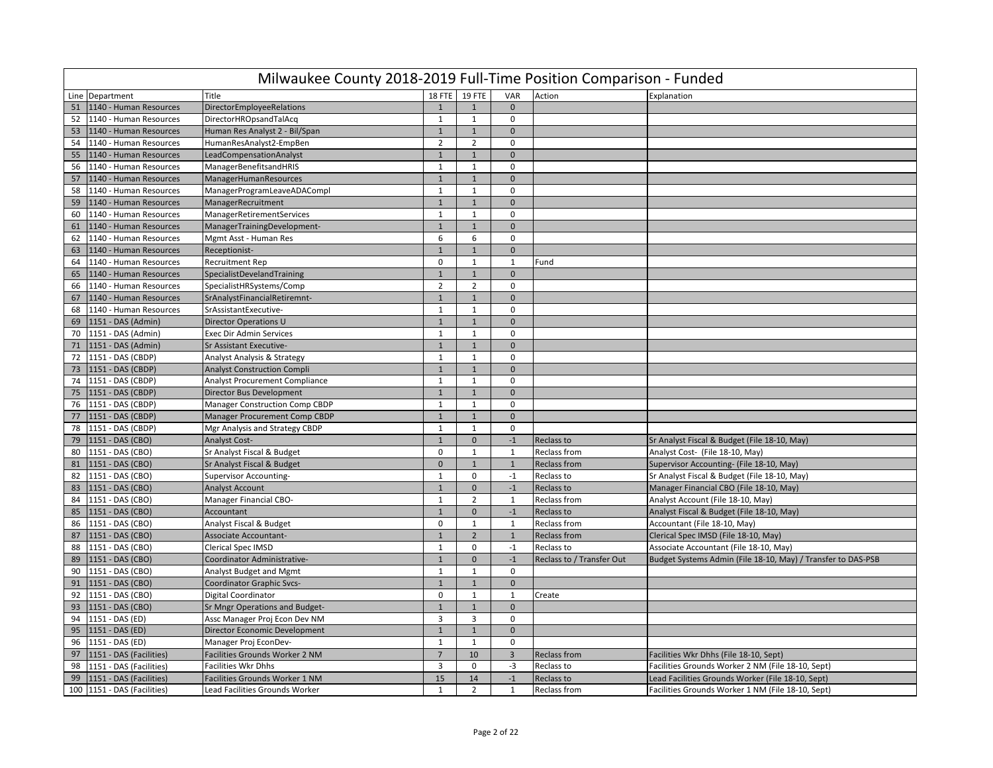|    | Milwaukee County 2018-2019 Full-Time Position Comparison - Funded |                                       |                |                |                |                           |                                                              |  |  |  |  |  |
|----|-------------------------------------------------------------------|---------------------------------------|----------------|----------------|----------------|---------------------------|--------------------------------------------------------------|--|--|--|--|--|
|    | Line Department                                                   | Title                                 |                | 18 FTE 19 FTE  | VAR            | Action                    | Explanation                                                  |  |  |  |  |  |
| 51 | 1140 - Human Resources                                            | DirectorEmployeeRelations             | $\mathbf{1}$   | $\mathbf{1}$   | $\mathbf{0}$   |                           |                                                              |  |  |  |  |  |
| 52 | 1140 - Human Resources                                            | DirectorHROpsandTalAcq                | $\mathbf{1}$   | $\mathbf{1}$   | 0              |                           |                                                              |  |  |  |  |  |
| 53 | 1140 - Human Resources                                            | Human Res Analyst 2 - Bil/Span        | $\mathbf{1}$   | $\mathbf{1}$   | $\mathbf 0$    |                           |                                                              |  |  |  |  |  |
| 54 | 1140 - Human Resources                                            | HumanResAnalyst2-EmpBen               | $\overline{2}$ | $\overline{2}$ | $\mathbf 0$    |                           |                                                              |  |  |  |  |  |
| 55 | 1140 - Human Resources                                            | LeadCompensationAnalyst               | $\overline{1}$ | $1\,$          | $\mathbf{0}$   |                           |                                                              |  |  |  |  |  |
| 56 | 1140 - Human Resources                                            | ManagerBenefitsandHRIS                | $\mathbf{1}$   | $\mathbf{1}$   | $\mathbf 0$    |                           |                                                              |  |  |  |  |  |
| 57 | 1140 - Human Resources                                            | ManagerHumanResources                 | $\mathbf{1}$   | $1\,$          | $\mathbf{0}$   |                           |                                                              |  |  |  |  |  |
| 58 | 1140 - Human Resources                                            | ManagerProgramLeaveADACompl           | $\mathbf{1}$   | $\mathbf{1}$   | $\mathbf 0$    |                           |                                                              |  |  |  |  |  |
| 59 | 1140 - Human Resources                                            | ManagerRecruitment                    | $\mathbf{1}$   | $\mathbf{1}$   | $\mathbf 0$    |                           |                                                              |  |  |  |  |  |
| 60 | 1140 - Human Resources                                            | ManagerRetirementServices             | $\mathbf{1}$   | $\mathbf{1}$   | $\mathbf 0$    |                           |                                                              |  |  |  |  |  |
| 61 | 1140 - Human Resources                                            | ManagerTrainingDevelopment-           | $\mathbf{1}$   | $\mathbf 1$    | $\mathbf{0}$   |                           |                                                              |  |  |  |  |  |
| 62 | 1140 - Human Resources                                            | Mgmt Asst - Human Res                 | 6              | 6              | $\mathbf 0$    |                           |                                                              |  |  |  |  |  |
| 63 | 1140 - Human Resources                                            | Receptionist-                         | $\overline{1}$ | $\mathbf{1}$   | $\mathbf{0}$   |                           |                                                              |  |  |  |  |  |
| 64 | 1140 - Human Resources                                            | <b>Recruitment Rep</b>                | $\mathbf 0$    | 1              | 1              | Fund                      |                                                              |  |  |  |  |  |
| 65 | 1140 - Human Resources                                            | SpecialistDevelandTraining            | $\mathbf{1}$   | $\mathbf{1}$   | $\mathbf{0}$   |                           |                                                              |  |  |  |  |  |
| 66 | 1140 - Human Resources                                            | SpecialistHRSystems/Comp              | $\overline{2}$ | $\overline{2}$ | $\mathbf 0$    |                           |                                                              |  |  |  |  |  |
| 67 | 1140 - Human Resources                                            | SrAnalystFinancialRetiremnt-          | $\overline{1}$ | $\overline{1}$ | $\mathbf{0}$   |                           |                                                              |  |  |  |  |  |
| 68 | 1140 - Human Resources                                            | SrAssistantExecutive-                 | $\mathbf{1}$   | $\mathbf{1}$   | $\mathbf 0$    |                           |                                                              |  |  |  |  |  |
| 69 | 1151 - DAS (Admin)                                                | <b>Director Operations U</b>          | $\mathbf{1}$   | $\mathbf{1}$   | $\mathbf{0}$   |                           |                                                              |  |  |  |  |  |
| 70 | 1151 - DAS (Admin)                                                | Exec Dir Admin Services               | $\mathbf{1}$   | $\mathbf{1}$   | $\mathbf 0$    |                           |                                                              |  |  |  |  |  |
| 71 | 1151 - DAS (Admin)                                                | Sr Assistant Executive-               | $\mathbf{1}$   | $\mathbf 1$    | $\mathbf{0}$   |                           |                                                              |  |  |  |  |  |
| 72 | 1151 - DAS (CBDP)                                                 | Analyst Analysis & Strategy           | $\mathbf{1}$   | $\mathbf{1}$   | $\mathbf 0$    |                           |                                                              |  |  |  |  |  |
| 73 | 1151 - DAS (CBDP)                                                 | <b>Analyst Construction Compli</b>    | $\mathbf{1}$   | $\mathbf 1$    | $\mathbf{0}$   |                           |                                                              |  |  |  |  |  |
| 74 | 1151 - DAS (CBDP)                                                 | Analyst Procurement Compliance        | $\mathbf{1}$   | $\mathbf{1}$   | $\mathbf 0$    |                           |                                                              |  |  |  |  |  |
| 75 | 1151 - DAS (CBDP)                                                 | Director Bus Development              | $\mathbf{1}$   | $\mathbf{1}$   | $\mathbf{0}$   |                           |                                                              |  |  |  |  |  |
| 76 | 1151 - DAS (CBDP)                                                 | <b>Manager Construction Comp CBDP</b> | $\mathbf{1}$   | $\mathbf{1}$   | $\mathbf 0$    |                           |                                                              |  |  |  |  |  |
| 77 | 1151 - DAS (CBDP)                                                 | Manager Procurement Comp CBDP         | $\mathbf{1}$   | $1\,$          | $\mathbf 0$    |                           |                                                              |  |  |  |  |  |
| 78 | 1151 - DAS (CBDP)                                                 | Mgr Analysis and Strategy CBDP        | $\mathbf{1}$   | $\mathbf{1}$   | $\mathbf 0$    |                           |                                                              |  |  |  |  |  |
| 79 | 1151 - DAS (CBO)                                                  | <b>Analyst Cost-</b>                  | $\mathbf{1}$   | $\mathbf 0$    | $-1$           | Reclass to                | Sr Analyst Fiscal & Budget (File 18-10, May)                 |  |  |  |  |  |
| 80 | 1151 - DAS (CBO)                                                  | Sr Analyst Fiscal & Budget            | $\mathbf 0$    | $\mathbf{1}$   | 1              | Reclass from              | Analyst Cost- (File 18-10, May)                              |  |  |  |  |  |
| 81 | 1151 - DAS (CBO)                                                  | Sr Analyst Fiscal & Budget            | $\mathbf{0}$   | $\mathbf{1}$   | $\mathbf{1}$   | <b>Reclass from</b>       | Supervisor Accounting- (File 18-10, May)                     |  |  |  |  |  |
| 82 | 1151 - DAS (CBO)                                                  | Supervisor Accounting-                | $\mathbf{1}$   | $\mathbf 0$    | $-1$           | Reclass to                | Sr Analyst Fiscal & Budget (File 18-10, May)                 |  |  |  |  |  |
| 83 | 1151 - DAS (CBO)                                                  | <b>Analyst Account</b>                | $\mathbf{1}$   | $\mathbf 0$    | $^{\mbox{-}1}$ | Reclass to                | Manager Financial CBO (File 18-10, May)                      |  |  |  |  |  |
| 84 | 1151 - DAS (CBO)                                                  | Manager Financial CBO-                | $\mathbf{1}$   | $\overline{2}$ | $\mathbf{1}$   | Reclass from              | Analyst Account (File 18-10, May)                            |  |  |  |  |  |
| 85 | 1151 - DAS (CBO)                                                  | Accountant                            | $\mathbf{1}$   | $\mathbf 0$    | $-1$           | Reclass to                | Analyst Fiscal & Budget (File 18-10, May)                    |  |  |  |  |  |
| 86 | 1151 - DAS (CBO)                                                  | Analyst Fiscal & Budget               | $\mathbf 0$    | $\mathbf{1}$   | $\mathbf{1}$   | Reclass from              | Accountant (File 18-10, May)                                 |  |  |  |  |  |
| 87 | 1151 - DAS (CBO)                                                  | Associate Accountant-                 | $\mathbf{1}$   | $\overline{2}$ | $\mathbf{1}$   | <b>Reclass from</b>       | Clerical Spec IMSD (File 18-10, May)                         |  |  |  |  |  |
| 88 | 1151 - DAS (CBO)                                                  | Clerical Spec IMSD                    | $\mathbf{1}$   | $\mathbf 0$    | $-1$           | Reclass to                | Associate Accountant (File 18-10, May)                       |  |  |  |  |  |
| 89 | 1151 - DAS (CBO)                                                  | Coordinator Administrative-           | $\mathbf{1}$   | $\mathbf{0}$   | $^{\mbox{-}1}$ | Reclass to / Transfer Out | Budget Systems Admin (File 18-10, May) / Transfer to DAS-PSB |  |  |  |  |  |
| 90 | 1151 - DAS (CBO)                                                  | <b>Analyst Budget and Mgmt</b>        | $\mathbf{1}$   | $\mathbf{1}$   | $\mathbf 0$    |                           |                                                              |  |  |  |  |  |
| 91 | 1151 - DAS (CBO)                                                  | <b>Coordinator Graphic Svcs-</b>      | $\mathbf{1}$   | $\mathbf 1$    | $\mathbf{0}$   |                           |                                                              |  |  |  |  |  |
| 92 | 1151 - DAS (CBO)                                                  | <b>Digital Coordinator</b>            | $\mathbf 0$    | 1              | $\mathbf{1}$   | Create                    |                                                              |  |  |  |  |  |
| 93 | 1151 - DAS (CBO)                                                  | Sr Mngr Operations and Budget-        | $\mathbf{1}$   | $\mathbf{1}$   | $\mathbf{0}$   |                           |                                                              |  |  |  |  |  |
| 94 | 1151 - DAS (ED)                                                   | Assc Manager Proj Econ Dev NM         | $\overline{3}$ | $\overline{3}$ | $\mathbf 0$    |                           |                                                              |  |  |  |  |  |
| 95 | 1151 - DAS (ED)                                                   | Director Economic Development         | $\mathbf{1}$   | $\mathbf{1}$   | $\mathbf{0}$   |                           |                                                              |  |  |  |  |  |
| 96 | 1151 - DAS (ED)                                                   | Manager Proj EconDev-                 | $\mathbf{1}$   | $\mathbf{1}$   | $\mathbf 0$    |                           |                                                              |  |  |  |  |  |
| 97 | 1151 - DAS (Facilities)                                           | Facilities Grounds Worker 2 NM        | $\overline{7}$ | 10             | $\overline{3}$ | <b>Reclass from</b>       | Facilities Wkr Dhhs (File 18-10, Sept)                       |  |  |  |  |  |
| 98 | 1151 - DAS (Facilities)                                           | <b>Facilities Wkr Dhhs</b>            | 3              | 0              | $-3$           | Reclass to                | Facilities Grounds Worker 2 NM (File 18-10, Sept)            |  |  |  |  |  |
| 99 | 1151 - DAS (Facilities)                                           | Facilities Grounds Worker 1 NM        | 15             | 14             | $-1$           | <b>Reclass to</b>         | Lead Facilities Grounds Worker (File 18-10, Sept)            |  |  |  |  |  |
|    |                                                                   | Lead Facilities Grounds Worker        | $\mathbf{1}$   | $\overline{2}$ | $\mathbf{1}$   | Reclass from              | Facilities Grounds Worker 1 NM (File 18-10, Sept)            |  |  |  |  |  |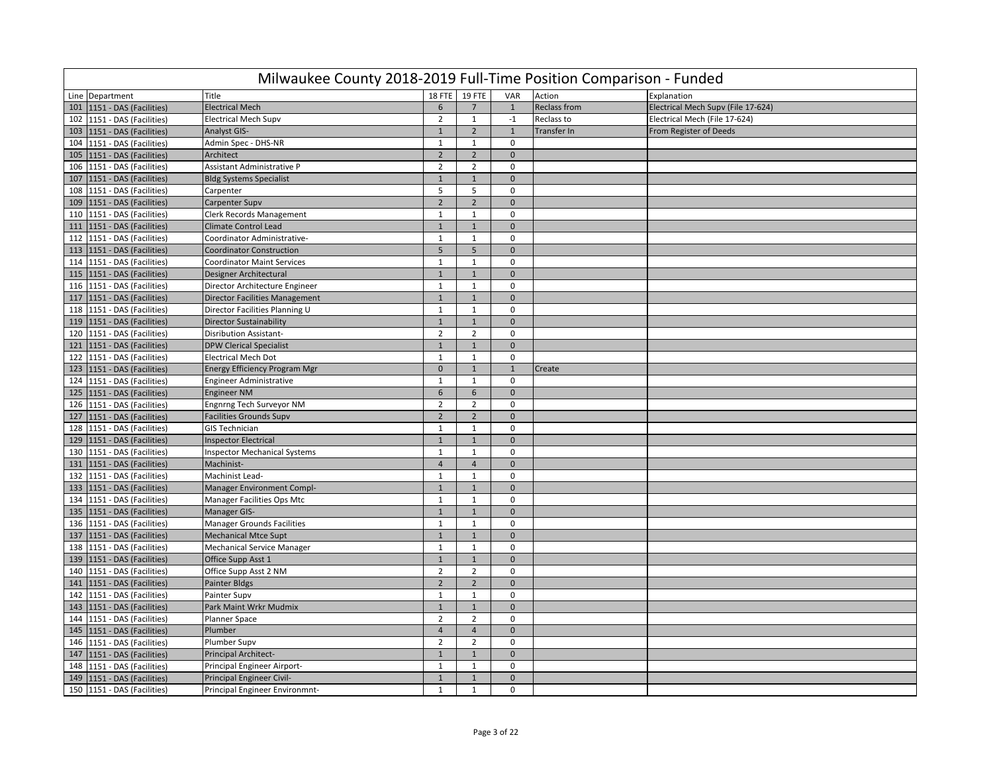|     | Milwaukee County 2018-2019 Full-Time Position Comparison - Funded |                                       |                 |                |                |                     |                                    |  |  |  |  |  |
|-----|-------------------------------------------------------------------|---------------------------------------|-----------------|----------------|----------------|---------------------|------------------------------------|--|--|--|--|--|
|     | Line Department                                                   | Title                                 | 18 FTE          | 19 FTE         | VAR            | Action              | Explanation                        |  |  |  |  |  |
| 101 | 1151 - DAS (Facilities)                                           | <b>Electrical Mech</b>                | 6               | $\overline{7}$ | $\mathbf{1}$   | <b>Reclass from</b> | Electrical Mech Supv (File 17-624) |  |  |  |  |  |
|     | 102 1151 - DAS (Facilities)                                       | <b>Electrical Mech Supv</b>           | $\overline{2}$  | $\mathbf{1}$   | $-1$           | Reclass to          | Electrical Mech (File 17-624)      |  |  |  |  |  |
| 103 | 1151 - DAS (Facilities)                                           | <b>Analyst GIS-</b>                   | $\mathbf{1}$    | $\overline{2}$ | $\mathbf{1}$   | Transfer In         | From Register of Deeds             |  |  |  |  |  |
| 104 | 1151 - DAS (Facilities)                                           | Admin Spec - DHS-NR                   | $\mathbf{1}$    | $\mathbf{1}$   | 0              |                     |                                    |  |  |  |  |  |
| 105 | 1151 - DAS (Facilities)                                           | Architect                             | $\mathbf 2$     | $\overline{2}$ | $\mathbf 0$    |                     |                                    |  |  |  |  |  |
| 106 | 1151 - DAS (Facilities)                                           | Assistant Administrative P            | $\overline{2}$  | $\overline{2}$ | $\mathbf 0$    |                     |                                    |  |  |  |  |  |
| 107 | 1151 - DAS (Facilities)                                           | <b>Bldg Systems Specialist</b>        | $\mathbf 1$     | $\mathbf{1}$   | $\mathbf{0}$   |                     |                                    |  |  |  |  |  |
| 108 | 1151 - DAS (Facilities)                                           | Carpenter                             | 5               | 5              | $\mathbf 0$    |                     |                                    |  |  |  |  |  |
| 109 | 1151 - DAS (Facilities)                                           | Carpenter Supv                        | $\overline{2}$  | $\overline{2}$ | $\mathbf{0}$   |                     |                                    |  |  |  |  |  |
| 110 | 1151 - DAS (Facilities)                                           | <b>Clerk Records Management</b>       | $1\,$           | $\mathbf{1}$   | $\mathbf 0$    |                     |                                    |  |  |  |  |  |
| 111 | 1151 - DAS (Facilities)                                           | <b>Climate Control Lead</b>           | $\mathbf 1$     | $\mathbf{1}$   | $\mathbf 0$    |                     |                                    |  |  |  |  |  |
| 112 | 1151 - DAS (Facilities)                                           | Coordinator Administrative-           | $\mathbf{1}$    | $\mathbf{1}$   | $\mathbf 0$    |                     |                                    |  |  |  |  |  |
| 113 | 1151 - DAS (Facilities)                                           | <b>Coordinator Construction</b>       | 5 <sup>1</sup>  | 5              | $\mathbf 0$    |                     |                                    |  |  |  |  |  |
| 114 | 1151 - DAS (Facilities)                                           | <b>Coordinator Maint Services</b>     | $\mathbf{1}$    | $\mathbf{1}$   | $\mathbf 0$    |                     |                                    |  |  |  |  |  |
| 115 | 1151 - DAS (Facilities)                                           | Designer Architectural                | $\mathbf{1}$    | $\mathbf{1}$   | $\mathbf{0}$   |                     |                                    |  |  |  |  |  |
| 116 | 1151 - DAS (Facilities)                                           | Director Architecture Engineer        | $\mathbf 1$     | $\mathbf{1}$   | 0              |                     |                                    |  |  |  |  |  |
| 117 | 1151 - DAS (Facilities)                                           | <b>Director Facilities Management</b> | $\mathbf 1$     | $\mathbf{1}$   | $\overline{0}$ |                     |                                    |  |  |  |  |  |
| 118 | 1151 - DAS (Facilities)                                           | Director Facilities Planning U        | $\mathbf{1}$    | $\mathbf{1}$   | $\mathbf 0$    |                     |                                    |  |  |  |  |  |
| 119 | 1151 - DAS (Facilities)                                           | <b>Director Sustainability</b>        | $\mathbf{1}$    | $\mathbf{1}$   | $\mathbf 0$    |                     |                                    |  |  |  |  |  |
| 120 | 1151 - DAS (Facilities)                                           | <b>Disribution Assistant-</b>         | $\overline{2}$  | $\overline{2}$ | $\mathbf 0$    |                     |                                    |  |  |  |  |  |
| 121 | 1151 - DAS (Facilities)                                           | <b>DPW Clerical Specialist</b>        | $\mathbf{1}$    | $\mathbf{1}$   | $\mathbf{0}$   |                     |                                    |  |  |  |  |  |
| 122 | 1151 - DAS (Facilities)                                           | <b>Electrical Mech Dot</b>            | $\mathbf{1}$    | $\mathbf{1}$   | $\mathbf 0$    |                     |                                    |  |  |  |  |  |
| 123 | 1151 - DAS (Facilities)                                           | Energy Efficiency Program Mgr         | $\mathbf 0$     | $\mathbf{1}$   | $\mathbf{1}$   | Create              |                                    |  |  |  |  |  |
| 124 | 1151 - DAS (Facilities)                                           | Engineer Administrative               | $\mathbf{1}$    | $\mathbf{1}$   | $\mathbf 0$    |                     |                                    |  |  |  |  |  |
| 125 | 1151 - DAS (Facilities)                                           | <b>Engineer NM</b>                    | $6\overline{6}$ | 6              | $\mathbf 0$    |                     |                                    |  |  |  |  |  |
| 126 | 1151 - DAS (Facilities)                                           | Engnrng Tech Surveyor NM              | $\overline{2}$  | $\overline{2}$ | $\mathbf 0$    |                     |                                    |  |  |  |  |  |
| 127 | 1151 - DAS (Facilities)                                           | <b>Facilities Grounds Supv</b>        | $\overline{2}$  | $\overline{2}$ | $\mathbf 0$    |                     |                                    |  |  |  |  |  |
| 128 | 1151 - DAS (Facilities)                                           | <b>GIS Technician</b>                 | $\mathbf{1}$    | $\mathbf{1}$   | $\mathbf 0$    |                     |                                    |  |  |  |  |  |
| 129 | 1151 - DAS (Facilities)                                           | <b>Inspector Electrical</b>           | $\mathbf 1$     | $\mathbf{1}$   | $\Omega$       |                     |                                    |  |  |  |  |  |
| 130 | 1151 - DAS (Facilities)                                           | <b>Inspector Mechanical Systems</b>   | $\mathbf{1}$    | $\mathbf{1}$   | $\mathbf 0$    |                     |                                    |  |  |  |  |  |
| 131 | 1151 - DAS (Facilities)                                           | Machinist-                            | $\overline{4}$  | $\overline{4}$ | $\mathbf{0}$   |                     |                                    |  |  |  |  |  |
| 132 | 1151 - DAS (Facilities)                                           | Machinist Lead-                       | $\mathbf{1}$    | $\mathbf{1}$   | $\mathbf 0$    |                     |                                    |  |  |  |  |  |
|     | 133   1151 - DAS (Facilities)                                     | Manager Environment Compl-            | $\mathbf 1$     | $\mathbf{1}$   | $\mathbf 0$    |                     |                                    |  |  |  |  |  |
| 134 | 1151 - DAS (Facilities)                                           | Manager Facilities Ops Mtc            | $\mathbf{1}$    | $\mathbf{1}$   | $\Omega$       |                     |                                    |  |  |  |  |  |
| 135 | 1151 - DAS (Facilities)                                           | Manager GIS-                          | $\mathbf{1}$    | $\mathbf{1}$   | $\Omega$       |                     |                                    |  |  |  |  |  |
| 136 | 1151 - DAS (Facilities)                                           | <b>Manager Grounds Facilities</b>     | $\mathbf{1}$    | $\mathbf{1}$   | $\mathbf 0$    |                     |                                    |  |  |  |  |  |
| 137 | 1151 - DAS (Facilities)                                           | <b>Mechanical Mtce Supt</b>           | $\mathbf{1}$    | $\mathbf{1}$   | $\mathbf{0}$   |                     |                                    |  |  |  |  |  |
| 138 | 1151 - DAS (Facilities)                                           | <b>Mechanical Service Manager</b>     | 1               | 1              | $\mathbf 0$    |                     |                                    |  |  |  |  |  |
| 139 | 1151 - DAS (Facilities)                                           | Office Supp Asst 1                    | $\,1\,$         | $1\,$          | $\mathbf 0$    |                     |                                    |  |  |  |  |  |
| 140 | 1151 - DAS (Facilities)                                           | Office Supp Asst 2 NM                 | $\overline{2}$  | $\overline{2}$ | $\Omega$       |                     |                                    |  |  |  |  |  |
| 141 | 1151 - DAS (Facilities)                                           | <b>Painter Bldgs</b>                  | $\overline{2}$  | $\overline{2}$ | $\mathbf 0$    |                     |                                    |  |  |  |  |  |
| 142 | 1151 - DAS (Facilities)                                           | Painter Supv                          | $\mathbf{1}$    | $\mathbf{1}$   | $\mathbf 0$    |                     |                                    |  |  |  |  |  |
| 143 | 1151 - DAS (Facilities)                                           | Park Maint Wrkr Mudmix                | $\mathbf{1}$    | $\mathbf{1}$   | $\Omega$       |                     |                                    |  |  |  |  |  |
| 144 | 1151 - DAS (Facilities)                                           | Planner Space                         | $\overline{2}$  | $\overline{2}$ | $\mathbf 0$    |                     |                                    |  |  |  |  |  |
|     | 145   1151 - DAS (Facilities)                                     | Plumber                               | $\overline{4}$  | $\overline{4}$ | $\pmb{0}$      |                     |                                    |  |  |  |  |  |
| 146 | 1151 - DAS (Facilities)                                           | Plumber Supv                          | $\overline{2}$  | $\overline{2}$ | $\Omega$       |                     |                                    |  |  |  |  |  |
| 147 | 1151 - DAS (Facilities)                                           | Principal Architect-                  | $\mathbf 1$     | $\overline{1}$ | $\overline{0}$ |                     |                                    |  |  |  |  |  |
| 148 | 1151 - DAS (Facilities)                                           | Principal Engineer Airport-           | $\mathbf{1}$    | $\mathbf{1}$   | $\mathbf 0$    |                     |                                    |  |  |  |  |  |
| 149 | 1151 - DAS (Facilities)                                           | Principal Engineer Civil-             | $\mathbf{1}$    | $\mathbf{1}$   | $\mathbf{0}$   |                     |                                    |  |  |  |  |  |
|     | 150 1151 - DAS (Facilities)                                       | Principal Engineer Environmnt-        | $\mathbf{1}$    | $\mathbf{1}$   | $\mathbf 0$    |                     |                                    |  |  |  |  |  |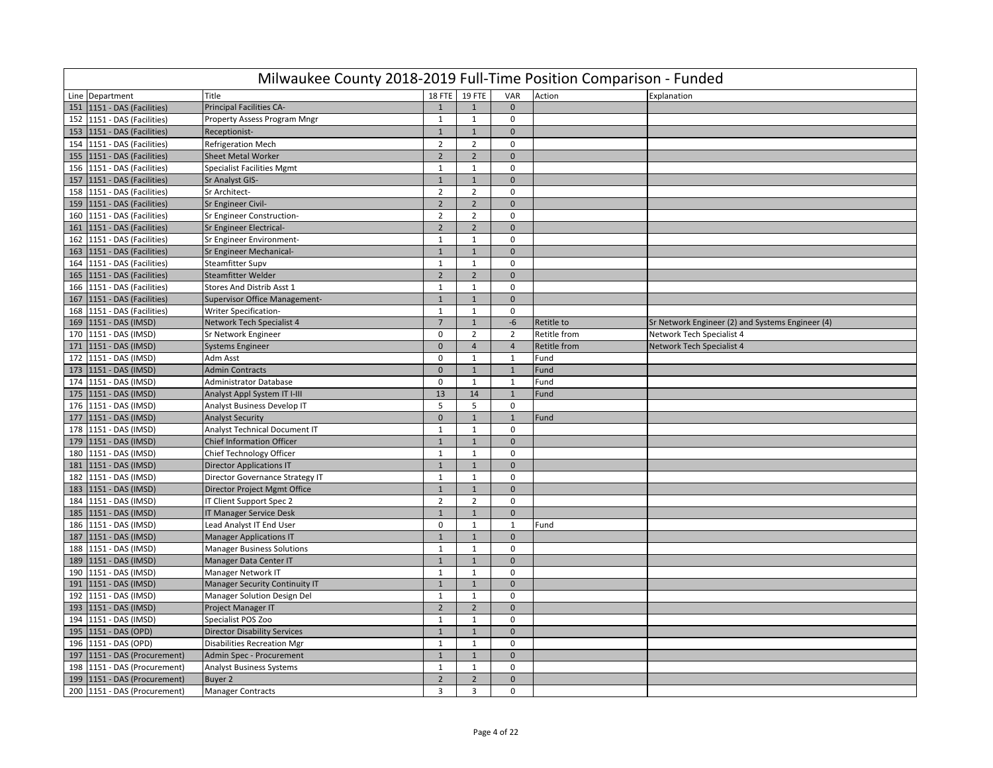|     | Milwaukee County 2018-2019 Full-Time Position Comparison - Funded |                                       |                |                |                |                     |                                                  |  |  |  |  |  |
|-----|-------------------------------------------------------------------|---------------------------------------|----------------|----------------|----------------|---------------------|--------------------------------------------------|--|--|--|--|--|
|     | Line Department                                                   | Title                                 |                | 18 FTE 19 FTE  | VAR            | Action              | Explanation                                      |  |  |  |  |  |
| 151 | 1151 - DAS (Facilities)                                           | Principal Facilities CA-              | $\mathbf{1}$   | $\mathbf{1}$   | $\Omega$       |                     |                                                  |  |  |  |  |  |
|     | 152   1151 - DAS (Facilities)                                     | Property Assess Program Mngr          | 1              | $\mathbf{1}$   | 0              |                     |                                                  |  |  |  |  |  |
| 153 | 1151 - DAS (Facilities)                                           | Receptionist-                         | $\mathbf{1}$   | $\mathbf{1}$   | $\mathbf 0$    |                     |                                                  |  |  |  |  |  |
| 154 | 1151 - DAS (Facilities)                                           | Refrigeration Mech                    | $\overline{2}$ | $\overline{2}$ | $\mathbf 0$    |                     |                                                  |  |  |  |  |  |
| 155 | 1151 - DAS (Facilities)                                           | <b>Sheet Metal Worker</b>             | $\overline{2}$ | $\overline{2}$ | $\mathbf{0}$   |                     |                                                  |  |  |  |  |  |
| 156 | 1151 - DAS (Facilities)                                           | <b>Specialist Facilities Mgmt</b>     | $\mathbf{1}$   | $\mathbf{1}$   | 0              |                     |                                                  |  |  |  |  |  |
| 157 | 1151 - DAS (Facilities)                                           | Sr Analyst GIS-                       | $\mathbf{1}$   | $\mathbf{1}$   | $\mathbf 0$    |                     |                                                  |  |  |  |  |  |
| 158 | 1151 - DAS (Facilities)                                           | Sr Architect-                         | $\overline{2}$ | $\overline{2}$ | $\mathbf 0$    |                     |                                                  |  |  |  |  |  |
| 159 | 1151 - DAS (Facilities)                                           | <b>Sr Engineer Civil-</b>             | $\overline{2}$ | $\overline{2}$ | $\mathbf{0}$   |                     |                                                  |  |  |  |  |  |
| 160 | 1151 - DAS (Facilities)                                           | Sr Engineer Construction-             | $\overline{2}$ | $\overline{2}$ | $\mathsf 0$    |                     |                                                  |  |  |  |  |  |
| 161 | 1151 - DAS (Facilities)                                           | Sr Engineer Electrical-               | $\overline{2}$ | $\overline{2}$ | $\mathbf{0}$   |                     |                                                  |  |  |  |  |  |
| 162 | 1151 - DAS (Facilities)                                           | Sr Engineer Environment-              | $\mathbf{1}$   | $\mathbf{1}$   | $\mathbf 0$    |                     |                                                  |  |  |  |  |  |
| 163 | 1151 - DAS (Facilities)                                           | Sr Engineer Mechanical-               | $\mathbf{1}$   | $\mathbf{1}$   | $\mathbf 0$    |                     |                                                  |  |  |  |  |  |
| 164 | 1151 - DAS (Facilities)                                           | <b>Steamfitter Supv</b>               | $\mathbf{1}$   | 1              | $\mathbf 0$    |                     |                                                  |  |  |  |  |  |
| 165 | 1151 - DAS (Facilities)                                           | <b>Steamfitter Welder</b>             | $\overline{2}$ | $\overline{2}$ | $\mathbf{0}$   |                     |                                                  |  |  |  |  |  |
| 166 | 1151 - DAS (Facilities)                                           | Stores And Distrib Asst 1             | $\mathbf{1}$   | $\mathbf{1}$   | $\mathbf 0$    |                     |                                                  |  |  |  |  |  |
| 167 | 1151 - DAS (Facilities)                                           | Supervisor Office Management-         | $\mathbf{1}$   | $\mathbf{1}$   | $\mathbf{0}$   |                     |                                                  |  |  |  |  |  |
| 168 | 1151 - DAS (Facilities)                                           | <b>Writer Specification-</b>          | $1\,$          | $\mathbf{1}$   | $\mathbf 0$    |                     |                                                  |  |  |  |  |  |
| 169 | 1151 - DAS (IMSD)                                                 | Network Tech Specialist 4             | $\overline{7}$ | $\mathbf{1}$   | -6             | Retitle to          | Sr Network Engineer (2) and Systems Engineer (4) |  |  |  |  |  |
| 170 | 1151 - DAS (IMSD)                                                 | Sr Network Engineer                   | $\mathbf 0$    | $\overline{2}$ | $\overline{2}$ | Retitle from        | Network Tech Specialist 4                        |  |  |  |  |  |
| 171 | 1151 - DAS (IMSD)                                                 | <b>Systems Engineer</b>               | $\mathbf 0$    | $\overline{4}$ | $\overline{4}$ | <b>Retitle from</b> | <b>Network Tech Specialist 4</b>                 |  |  |  |  |  |
| 172 | 1151 - DAS (IMSD)                                                 | Adm Asst                              | 0              | $\mathbf{1}$   | $\mathbf{1}$   | Fund                |                                                  |  |  |  |  |  |
| 173 | 1151 - DAS (IMSD)                                                 | <b>Admin Contracts</b>                | $\mathbf{0}$   | $\mathbf{1}$   | $\mathbf{1}$   | Fund                |                                                  |  |  |  |  |  |
| 174 | 1151 - DAS (IMSD)                                                 | <b>Administrator Database</b>         | $\mathbf 0$    | $\mathbf{1}$   | $\mathbf{1}$   | Fund                |                                                  |  |  |  |  |  |
| 175 | 1151 - DAS (IMSD)                                                 | Analyst Appl System IT I-III          | 13             | 14             | $\mathbf{1}$   | Fund                |                                                  |  |  |  |  |  |
| 176 | 1151 - DAS (IMSD)                                                 | Analyst Business Develop IT           | .5             | 5              | $\mathbf 0$    |                     |                                                  |  |  |  |  |  |
| 177 | 1151 - DAS (IMSD)                                                 | <b>Analyst Security</b>               | $\mathbf{0}$   | $\mathbf{1}$   | $\mathbf{1}$   | Fund                |                                                  |  |  |  |  |  |
| 178 | 1151 - DAS (IMSD)                                                 | Analyst Technical Document IT         | $\mathbf{1}$   | $\mathbf{1}$   | $\mathbf 0$    |                     |                                                  |  |  |  |  |  |
| 179 | 1151 - DAS (IMSD)                                                 | <b>Chief Information Officer</b>      | $\mathbf 1$    | $\mathbf{1}$   | $\mathbf 0$    |                     |                                                  |  |  |  |  |  |
| 180 | 1151 - DAS (IMSD)                                                 | Chief Technology Officer              | $\mathbf{1}$   | $\mathbf{1}$   | $\mathbf 0$    |                     |                                                  |  |  |  |  |  |
| 181 | 1151 - DAS (IMSD)                                                 | <b>Director Applications IT</b>       | $\mathbf{1}$   | $\mathbf{1}$   | $\mathbf{0}$   |                     |                                                  |  |  |  |  |  |
| 182 | 1151 - DAS (IMSD)                                                 | Director Governance Strategy IT       | $\mathbf{1}$   | $\mathbf{1}$   | $\mathbf 0$    |                     |                                                  |  |  |  |  |  |
| 183 | 1151 - DAS (IMSD)                                                 | Director Project Mgmt Office          | $\mathbf{1}$   | $\mathbf{1}$   | $\mathbf{0}$   |                     |                                                  |  |  |  |  |  |
| 184 | 1151 - DAS (IMSD)                                                 | IT Client Support Spec 2              | $\overline{2}$ | $\overline{2}$ | $\mathbf 0$    |                     |                                                  |  |  |  |  |  |
| 185 | 1151 - DAS (IMSD)                                                 | <b>IT Manager Service Desk</b>        | $\mathbf 1$    | $\mathbf{1}$   | $\mathbf{0}$   |                     |                                                  |  |  |  |  |  |
| 186 | 1151 - DAS (IMSD)                                                 | Lead Analyst IT End User              | $\mathbf 0$    | $\mathbf{1}$   | $\mathbf{1}$   | Fund                |                                                  |  |  |  |  |  |
| 187 | 1151 - DAS (IMSD)                                                 | <b>Manager Applications IT</b>        | $\mathbf{1}$   | $\mathbf{1}$   | $\mathbf 0$    |                     |                                                  |  |  |  |  |  |
| 188 | 1151 - DAS (IMSD)                                                 | <b>Manager Business Solutions</b>     | 1              | 1              | $\mathbf 0$    |                     |                                                  |  |  |  |  |  |
| 189 | 1151 - DAS (IMSD)                                                 | Manager Data Center IT                | $\mathbf{1}$   | $\mathbf{1}$   | $\mathbf{0}$   |                     |                                                  |  |  |  |  |  |
| 190 | 1151 - DAS (IMSD)                                                 | Manager Network IT                    | $\mathbf{1}$   | $\mathbf{1}$   | $\mathbf 0$    |                     |                                                  |  |  |  |  |  |
| 191 | 1151 - DAS (IMSD)                                                 | <b>Manager Security Continuity IT</b> | $1\,$          | $\mathbf{1}$   | $\mathbf 0$    |                     |                                                  |  |  |  |  |  |
| 192 | 1151 - DAS (IMSD)                                                 | Manager Solution Design Del           | $\mathbf{1}$   | 1              | $\mathbf 0$    |                     |                                                  |  |  |  |  |  |
| 193 | 1151 - DAS (IMSD)                                                 | Project Manager IT                    | $\overline{2}$ | $\overline{2}$ | $\mathbf{0}$   |                     |                                                  |  |  |  |  |  |
| 194 | 1151 - DAS (IMSD)                                                 | Specialist POS Zoo                    | $\mathbf{1}$   | $\mathbf{1}$   | $\mathsf 0$    |                     |                                                  |  |  |  |  |  |
| 195 | 1151 - DAS (OPD)                                                  | <b>Director Disability Services</b>   | $\mathbf{1}$   | $\mathbf{1}$   | $\mathbf{0}$   |                     |                                                  |  |  |  |  |  |
| 196 | 1151 - DAS (OPD)                                                  | <b>Disabilities Recreation Mgr</b>    | $\mathbf{1}$   | $\mathbf{1}$   | $\mathbf 0$    |                     |                                                  |  |  |  |  |  |
| 197 | 1151 - DAS (Procurement)                                          | Admin Spec - Procurement              | $\mathbf{1}$   | $\mathbf{1}$   | $\mathbf 0$    |                     |                                                  |  |  |  |  |  |
| 198 | 1151 - DAS (Procurement)                                          | <b>Analyst Business Systems</b>       | $\mathbf{1}$   | $\mathbf{1}$   | $\mathbf 0$    |                     |                                                  |  |  |  |  |  |
| 199 | 1151 - DAS (Procurement)                                          | <b>Buyer 2</b>                        | $\overline{2}$ | $\overline{2}$ | $\mathbf{0}$   |                     |                                                  |  |  |  |  |  |
|     | 200   1151 - DAS (Procurement)                                    | <b>Manager Contracts</b>              | $\mathbf{3}$   | 3              | $\mathsf 0$    |                     |                                                  |  |  |  |  |  |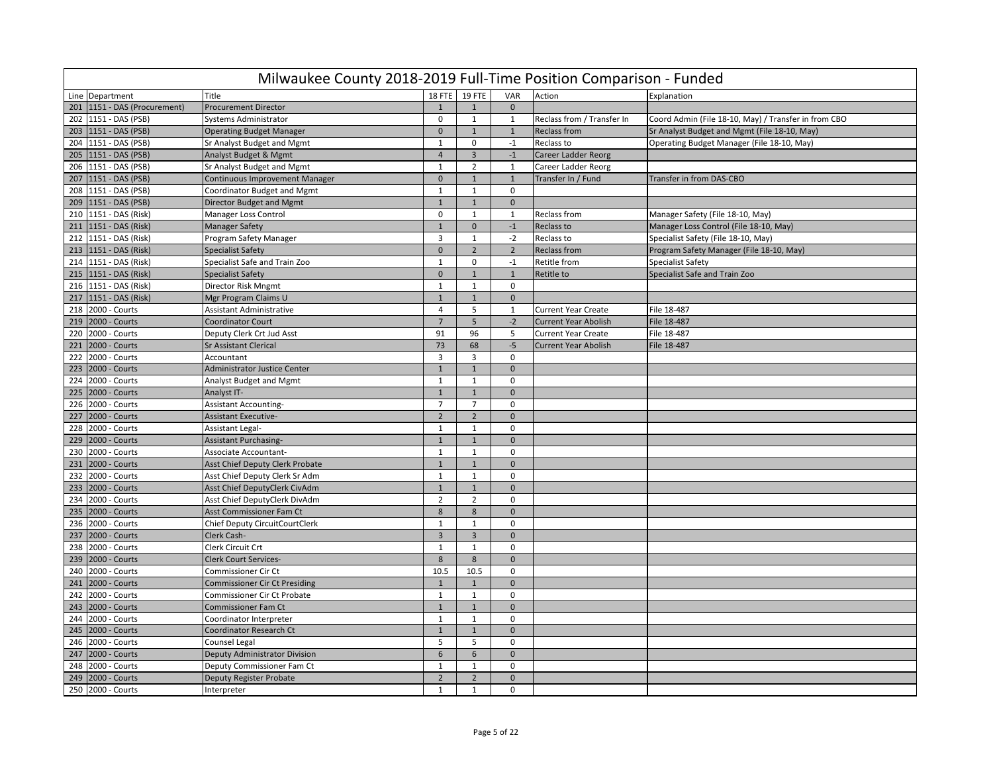|     | Milwaukee County 2018-2019 Full-Time Position Comparison - Funded |                                      |                |                  |                |                             |                                                      |  |  |  |  |  |
|-----|-------------------------------------------------------------------|--------------------------------------|----------------|------------------|----------------|-----------------------------|------------------------------------------------------|--|--|--|--|--|
|     | Line Department                                                   | Title                                | 18 FTE         | <b>19 FTE</b>    | VAR            | Action                      | Explanation                                          |  |  |  |  |  |
| 201 | 1151 - DAS (Procurement)                                          | <b>Procurement Director</b>          | $\mathbf{1}$   | $\mathbf{1}$     | $\mathbf 0$    |                             |                                                      |  |  |  |  |  |
| 202 | 1151 - DAS (PSB)                                                  | <b>Systems Administrator</b>         | $\mathbf 0$    | $\mathbf{1}$     | 1              | Reclass from / Transfer In  | Coord Admin (File 18-10, May) / Transfer in from CBO |  |  |  |  |  |
| 203 | 1151 - DAS (PSB)                                                  | <b>Operating Budget Manager</b>      | $\mathbf{0}$   | $\mathbf{1}$     | 1              | <b>Reclass from</b>         | Sr Analyst Budget and Mgmt (File 18-10, May)         |  |  |  |  |  |
| 204 | 1151 - DAS (PSB)                                                  | Sr Analyst Budget and Mgmt           | $\mathbf{1}$   | $\mathbf 0$      | $-1$           | Reclass to                  | Operating Budget Manager (File 18-10, May)           |  |  |  |  |  |
| 205 | 1151 - DAS (PSB)                                                  | Analyst Budget & Mgmt                | $\overline{4}$ | $\overline{3}$   | $-1$           | <b>Career Ladder Reorg</b>  |                                                      |  |  |  |  |  |
| 206 | 1151 - DAS (PSB)                                                  | Sr Analyst Budget and Mgmt           | $\overline{1}$ | $\overline{2}$   | $\mathbf{1}$   | Career Ladder Reorg         |                                                      |  |  |  |  |  |
| 207 | 1151 - DAS (PSB)                                                  | Continuous Improvement Manager       | $\mathbf 0$    | $\overline{1}$   | $\mathbf{1}$   | Transfer In / Fund          | Transfer in from DAS-CBO                             |  |  |  |  |  |
| 208 | 1151 - DAS (PSB)                                                  | Coordinator Budget and Mgmt          | $\mathbf{1}$   | $\mathbf{1}$     | $\Omega$       |                             |                                                      |  |  |  |  |  |
| 209 | 1151 - DAS (PSB)                                                  | Director Budget and Mgmt             | $\mathbf{1}$   | 1                | $\mathbf{0}$   |                             |                                                      |  |  |  |  |  |
| 210 | 1151 - DAS (Risk)                                                 | Manager Loss Control                 | $\mathbf 0$    | $\mathbf{1}$     | $\mathbf{1}$   | Reclass from                | Manager Safety (File 18-10, May)                     |  |  |  |  |  |
| 211 | 1151 - DAS (Risk)                                                 | <b>Manager Safety</b>                | $\mathbf{1}$   | $\mathbf{0}$     | $-1$           | Reclass to                  | Manager Loss Control (File 18-10, May)               |  |  |  |  |  |
| 212 | 1151 - DAS (Risk)                                                 | Program Safety Manager               | $\overline{3}$ | $\mathbf{1}$     | $-2$           | Reclass to                  | Specialist Safety (File 18-10, May)                  |  |  |  |  |  |
| 213 | 1151 - DAS (Risk)                                                 | <b>Specialist Safety</b>             | $\mathbf 0$    | $\overline{2}$   | $\overline{2}$ | <b>Reclass from</b>         | Program Safety Manager (File 18-10, May)             |  |  |  |  |  |
| 214 | 1151 - DAS (Risk)                                                 | Specialist Safe and Train Zoo        | $\mathbf{1}$   | $\mathbf 0$      | $-1$           | Retitle from                | <b>Specialist Safety</b>                             |  |  |  |  |  |
| 215 | 1151 - DAS (Risk)                                                 | <b>Specialist Safety</b>             | $\mathbf 0$    | $\mathbf{1}$     | $\mathbf{1}$   | <b>Retitle to</b>           | Specialist Safe and Train Zoo                        |  |  |  |  |  |
| 216 | 1151 - DAS (Risk)                                                 | Director Risk Mngmt                  | $\mathbf{1}$   | $\mathbf{1}$     | $\mathbf 0$    |                             |                                                      |  |  |  |  |  |
| 217 | 1151 - DAS (Risk)                                                 | Mgr Program Claims U                 | $\mathbf{1}$   | $\mathbf{1}$     | $\mathbf{0}$   |                             |                                                      |  |  |  |  |  |
| 218 | 2000 - Courts                                                     | <b>Assistant Administrative</b>      | $\overline{4}$ | 5                | 1              | <b>Current Year Create</b>  | File 18-487                                          |  |  |  |  |  |
| 219 | 2000 - Courts                                                     | <b>Coordinator Court</b>             | $\overline{7}$ | 5                | $-2$           | <b>Current Year Abolish</b> | File 18-487                                          |  |  |  |  |  |
| 220 | 2000 - Courts                                                     | Deputy Clerk Crt Jud Asst            | 91             | 96               | 5              | <b>Current Year Create</b>  | File 18-487                                          |  |  |  |  |  |
| 221 | 2000 - Courts                                                     | <b>Sr Assistant Clerical</b>         | 73             | 68               | $-5$           | <b>Current Year Abolish</b> | File 18-487                                          |  |  |  |  |  |
| 222 | 2000 - Courts                                                     | Accountant                           | 3              | 3                | $\mathbf 0$    |                             |                                                      |  |  |  |  |  |
| 223 | 2000 - Courts                                                     | <b>Administrator Justice Center</b>  | $\mathbf{1}$   | $\mathbf{1}$     | $\mathbf{0}$   |                             |                                                      |  |  |  |  |  |
| 224 | 2000 - Courts                                                     | <b>Analyst Budget and Mgmt</b>       | $\mathbf{1}$   | $\mathbf 1$      | $\mathbf 0$    |                             |                                                      |  |  |  |  |  |
| 225 | 2000 - Courts                                                     | Analyst IT-                          | $1\,$          | $\mathbf 1$      | $\mathbf 0$    |                             |                                                      |  |  |  |  |  |
| 226 | 2000 - Courts                                                     | <b>Assistant Accounting-</b>         | $\overline{7}$ | $\overline{7}$   | $\mathbf 0$    |                             |                                                      |  |  |  |  |  |
| 227 | 2000 - Courts                                                     | <b>Assistant Executive-</b>          | $\overline{2}$ | $\overline{2}$   | $\mathbf 0$    |                             |                                                      |  |  |  |  |  |
| 228 | 2000 - Courts                                                     | Assistant Legal-                     | $\mathbf 1$    | $\mathbf{1}$     | $\Omega$       |                             |                                                      |  |  |  |  |  |
| 229 | 2000 - Courts                                                     | <b>Assistant Purchasing-</b>         | $\mathbf{1}$   | $\overline{1}$   | $\Omega$       |                             |                                                      |  |  |  |  |  |
| 230 | 2000 - Courts                                                     | Associate Accountant-                | $\mathbf{1}$   | $\mathbf{1}$     | $\mathbf 0$    |                             |                                                      |  |  |  |  |  |
| 231 | 2000 - Courts                                                     | Asst Chief Deputy Clerk Probate      | $\mathbf{1}$   | $\mathbf{1}$     | $\Omega$       |                             |                                                      |  |  |  |  |  |
| 232 | 2000 - Courts                                                     | Asst Chief Deputy Clerk Sr Adm       | $\mathbf{1}$   | $\mathbf{1}$     | 0              |                             |                                                      |  |  |  |  |  |
| 233 | 2000 - Courts                                                     | Asst Chief DeputyClerk CivAdm        | $1\,$          | $\mathbf{1}$     | $\mathbf{0}$   |                             |                                                      |  |  |  |  |  |
| 234 | 2000 - Courts                                                     | Asst Chief DeputyClerk DivAdm        | $\overline{2}$ | $\overline{2}$   | $\mathbf 0$    |                             |                                                      |  |  |  |  |  |
| 235 | 2000 - Courts                                                     | Asst Commissioner Fam Ct             | 8              | 8                | $\bf 0$        |                             |                                                      |  |  |  |  |  |
| 236 | 2000 - Courts                                                     | Chief Deputy CircuitCourtClerk       | $\mathbf{1}$   | $\mathbf{1}$     | $\mathbf 0$    |                             |                                                      |  |  |  |  |  |
| 237 | 2000 - Courts                                                     | Clerk Cash-                          | $\overline{3}$ | $\overline{3}$   | $\mathbf{0}$   |                             |                                                      |  |  |  |  |  |
| 238 | 2000 - Courts                                                     | Clerk Circuit Crt                    | $\mathbf{1}$   | $\mathbf{1}$     | $\mathbf 0$    |                             |                                                      |  |  |  |  |  |
| 239 | 2000 - Courts                                                     | <b>Clerk Court Services-</b>         | 8              | 8                | $\mathbf{0}$   |                             |                                                      |  |  |  |  |  |
| 240 | 2000 - Courts                                                     | <b>Commissioner Cir Ct</b>           | 10.5           | 10.5             | $\mathbf 0$    |                             |                                                      |  |  |  |  |  |
| 241 | 2000 - Courts                                                     | <b>Commissioner Cir Ct Presiding</b> | $1\,$          | $\mathbf{1}$     | $\mathbf 0$    |                             |                                                      |  |  |  |  |  |
| 242 | 2000 - Courts                                                     | Commissioner Cir Ct Probate          | $\mathbf{1}$   | $\mathbf{1}$     | $\mathbf 0$    |                             |                                                      |  |  |  |  |  |
| 243 | 2000 - Courts                                                     | <b>Commissioner Fam Ct</b>           | $\mathbf{1}$   | $\mathbf{1}$     | $\mathbf{0}$   |                             |                                                      |  |  |  |  |  |
| 244 | 2000 - Courts                                                     | Coordinator Interpreter              | $\mathbf{1}$   | $\mathbf{1}$     | $\mathbf 0$    |                             |                                                      |  |  |  |  |  |
| 245 | 2000 - Courts                                                     | Coordinator Research Ct              | $\mathbf{1}$   | $\mathbf{1}$     | $\mathbf{0}$   |                             |                                                      |  |  |  |  |  |
| 246 | 2000 - Courts                                                     | <b>Counsel Legal</b>                 | 5              | 5                | $\mathbf 0$    |                             |                                                      |  |  |  |  |  |
| 247 | 2000 - Courts                                                     | Deputy Administrator Division        | $6\phantom{1}$ | $\boldsymbol{6}$ | $\mathbf 0$    |                             |                                                      |  |  |  |  |  |
| 248 | 2000 - Courts                                                     | Deputy Commissioner Fam Ct           | $\mathbf{1}$   | $\mathbf{1}$     | $\mathbf 0$    |                             |                                                      |  |  |  |  |  |
| 249 | 2000 - Courts                                                     | Deputy Register Probate              | $\overline{2}$ | $\overline{2}$   | $\mathbf{0}$   |                             |                                                      |  |  |  |  |  |
|     | 250 2000 - Courts                                                 | Interpreter                          | $\mathbf{1}$   | $\mathbf{1}$     | $\mathbf 0$    |                             |                                                      |  |  |  |  |  |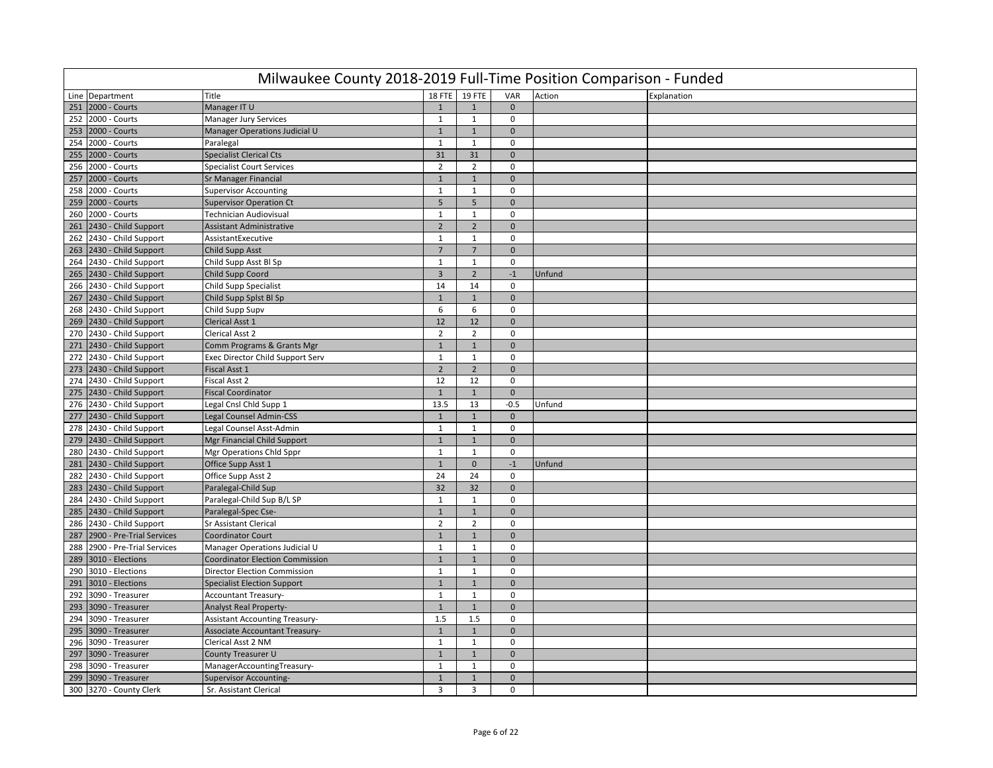|     | Milwaukee County 2018-2019 Full-Time Position Comparison - Funded |                                        |                |                |              |        |             |  |  |  |  |  |  |
|-----|-------------------------------------------------------------------|----------------------------------------|----------------|----------------|--------------|--------|-------------|--|--|--|--|--|--|
|     | Line Department                                                   | Title                                  |                | 18 FTE 19 FTE  | VAR          | Action | Explanation |  |  |  |  |  |  |
| 251 | 2000 - Courts                                                     | Manager IT U                           | $\mathbf{1}$   | $\mathbf{1}$   | $\mathbf{0}$ |        |             |  |  |  |  |  |  |
|     | 252 2000 - Courts                                                 | Manager Jury Services                  | $\mathbf{1}$   | $\mathbf{1}$   | 0            |        |             |  |  |  |  |  |  |
|     | 253 2000 - Courts                                                 | Manager Operations Judicial U          | $\mathbf{1}$   | $\mathbf 1$    | $\mathbf{0}$ |        |             |  |  |  |  |  |  |
|     | 254 2000 - Courts                                                 | Paralegal                              | $\mathbf{1}$   | $\mathbf{1}$   | 0            |        |             |  |  |  |  |  |  |
| 255 | 2000 - Courts                                                     | <b>Specialist Clerical Cts</b>         | 31             | 31             | $\mathbf 0$  |        |             |  |  |  |  |  |  |
| 256 | 2000 - Courts                                                     | <b>Specialist Court Services</b>       | $\overline{2}$ | $\overline{2}$ | $\mathbf 0$  |        |             |  |  |  |  |  |  |
|     | 257 2000 - Courts                                                 | <b>Sr Manager Financial</b>            | $\mathbf{1}$   | $\mathbf{1}$   | $\mathbf{0}$ |        |             |  |  |  |  |  |  |
| 258 | 2000 - Courts                                                     | <b>Supervisor Accounting</b>           | $\mathbf{1}$   | $\mathbf{1}$   | $\mathbf 0$  |        |             |  |  |  |  |  |  |
|     | 259 2000 - Courts                                                 | <b>Supervisor Operation Ct</b>         | 5              | 5              | $\mathbf{0}$ |        |             |  |  |  |  |  |  |
|     | 260 2000 - Courts                                                 | <b>Technician Audiovisual</b>          | $\mathbf{1}$   | $\mathbf{1}$   | $\mathbf 0$  |        |             |  |  |  |  |  |  |
|     | 261 2430 - Child Support                                          | <b>Assistant Administrative</b>        | $\mathbf 2$    | $\overline{2}$ | $\mathbf{0}$ |        |             |  |  |  |  |  |  |
|     | 262 2430 - Child Support                                          | AssistantExecutive                     | $\mathbf{1}$   | $\mathbf{1}$   | $\mathbf 0$  |        |             |  |  |  |  |  |  |
|     | 263 2430 - Child Support                                          | <b>Child Supp Asst</b>                 | $\overline{7}$ | $\overline{7}$ | $\mathbf 0$  |        |             |  |  |  |  |  |  |
|     | 264 2430 - Child Support                                          | Child Supp Asst Bl Sp                  | $\mathbf{1}$   | $\mathbf{1}$   | $\mathbf 0$  |        |             |  |  |  |  |  |  |
|     | 265 2430 - Child Support                                          | Child Supp Coord                       | $\overline{3}$ | $\overline{2}$ | $-1$         | Unfund |             |  |  |  |  |  |  |
|     | 266 2430 - Child Support                                          | Child Supp Specialist                  | 14             | 14             | $\Omega$     |        |             |  |  |  |  |  |  |
|     | 267 2430 - Child Support                                          | Child Supp Splst Bl Sp                 | $\mathbf{1}$   | $\overline{1}$ | $\mathbf{0}$ |        |             |  |  |  |  |  |  |
|     | 268 2430 - Child Support                                          | Child Supp Supv                        | 6              | 6              | $\mathsf 0$  |        |             |  |  |  |  |  |  |
|     | 269 2430 - Child Support                                          | <b>Clerical Asst 1</b>                 | 12             | 12             | $\Omega$     |        |             |  |  |  |  |  |  |
|     | 270 2430 - Child Support                                          | Clerical Asst 2                        | $\overline{2}$ | $\overline{2}$ | 0            |        |             |  |  |  |  |  |  |
|     | 271 2430 - Child Support                                          | Comm Programs & Grants Mgr             | $\mathbf{1}$   | $\mathbf{1}$   | $\mathbf 0$  |        |             |  |  |  |  |  |  |
|     | 272 2430 - Child Support                                          | Exec Director Child Support Serv       | $\mathbf{1}$   | $\mathbf{1}$   | $\mathbf 0$  |        |             |  |  |  |  |  |  |
|     | 273 2430 - Child Support                                          | <b>Fiscal Asst 1</b>                   | $\overline{2}$ | $\overline{2}$ | $\mathbf 0$  |        |             |  |  |  |  |  |  |
|     | 274 2430 - Child Support                                          | Fiscal Asst 2                          | 12             | 12             | $\mathsf 0$  |        |             |  |  |  |  |  |  |
|     | 275 2430 - Child Support                                          | <b>Fiscal Coordinator</b>              | $\mathbf{1}$   | $\mathbf{1}$   | $\mathbf{0}$ |        |             |  |  |  |  |  |  |
|     | 276 2430 - Child Support                                          | Legal Cnsl Chld Supp 1                 | 13.5           | 13             | $-0.5$       | Unfund |             |  |  |  |  |  |  |
| 277 | 2430 - Child Support                                              | Legal Counsel Admin-CSS                | $\mathbf{1}$   | $\mathbf{1}$   | $\mathbf{0}$ |        |             |  |  |  |  |  |  |
|     | 278 2430 - Child Support                                          | Legal Counsel Asst-Admin               | $\mathbf{1}$   | $\mathbf{1}$   | 0            |        |             |  |  |  |  |  |  |
|     | 279 2430 - Child Support                                          | Mgr Financial Child Support            | $\mathbf{1}$   | $\mathbf{1}$   | $\mathbf 0$  |        |             |  |  |  |  |  |  |
|     | 280 2430 - Child Support                                          | Mgr Operations Chld Sppr               | $\mathbf{1}$   | $\mathbf{1}$   | $\mathbf 0$  |        |             |  |  |  |  |  |  |
|     | 281 2430 - Child Support                                          | Office Supp Asst 1                     | $\mathbf{1}$   | $\mathbf 0$    | $-1$         | Unfund |             |  |  |  |  |  |  |
|     | 282 2430 - Child Support                                          | Office Supp Asst 2                     | 24             | 24             | $\mathbf 0$  |        |             |  |  |  |  |  |  |
|     | 283 2430 - Child Support                                          | Paralegal-Child Sup                    | 32             | 32             | $\mathbf{0}$ |        |             |  |  |  |  |  |  |
|     | 284 2430 - Child Support                                          | Paralegal-Child Sup B/L SP             | $\mathbf{1}$   | $\mathbf{1}$   | $\mathbf 0$  |        |             |  |  |  |  |  |  |
|     | 285 2430 - Child Support                                          | Paralegal-Spec Cse-                    | $\mathbf{1}$   | $\mathbf{1}$   | $\mathbf{0}$ |        |             |  |  |  |  |  |  |
|     | 286 2430 - Child Support                                          | <b>Sr Assistant Clerical</b>           | $\overline{2}$ | $\overline{2}$ | $\mathbf 0$  |        |             |  |  |  |  |  |  |
| 287 | 2900 - Pre-Trial Services                                         | <b>Coordinator Court</b>               | $\mathbf{1}$   | $\mathbf{1}$   | $\mathbf{0}$ |        |             |  |  |  |  |  |  |
|     | 288 2900 - Pre-Trial Services                                     | Manager Operations Judicial U          | $\mathbf{1}$   | 1              | $\mathbf 0$  |        |             |  |  |  |  |  |  |
| 289 | 3010 - Elections                                                  | <b>Coordinator Election Commission</b> | $\mathbf{1}$   | $\mathbf{1}$   | $\mathbf 0$  |        |             |  |  |  |  |  |  |
|     | 290 3010 - Elections                                              | Director Election Commission           | $\mathbf{1}$   | $\mathbf{1}$   | $\Omega$     |        |             |  |  |  |  |  |  |
|     | 291 3010 - Elections                                              | <b>Specialist Election Support</b>     | $\mathbf{1}$   | $\mathbf{1}$   | $\mathbf{0}$ |        |             |  |  |  |  |  |  |
| 292 | 3090 - Treasurer                                                  | <b>Accountant Treasury-</b>            | $\mathbf{1}$   | $\mathbf{1}$   | $\mathbf 0$  |        |             |  |  |  |  |  |  |
|     | 293 3090 - Treasurer                                              | <b>Analyst Real Property-</b>          | $\mathbf{1}$   | $\mathbf{1}$   | $\Omega$     |        |             |  |  |  |  |  |  |
|     | 294 3090 - Treasurer                                              | <b>Assistant Accounting Treasury-</b>  | 1.5            | 1.5            | $\mathsf 0$  |        |             |  |  |  |  |  |  |
| 295 | 3090 - Treasurer                                                  | <b>Associate Accountant Treasury-</b>  | $\mathbf{1}$   | $\mathbf{1}$   | $\mathbf 0$  |        |             |  |  |  |  |  |  |
| 296 | 3090 - Treasurer                                                  | Clerical Asst 2 NM                     | $\mathbf{1}$   | $\mathbf{1}$   | $\mathbf 0$  |        |             |  |  |  |  |  |  |
| 297 | 3090 - Treasurer                                                  | County Treasurer U                     | $\mathbf{1}$   | $\mathbf{1}$   | $\mathbf{0}$ |        |             |  |  |  |  |  |  |
| 298 | 3090 - Treasurer                                                  | ManagerAccountingTreasury-             | $\mathbf{1}$   | $\mathbf{1}$   | $\mathbf 0$  |        |             |  |  |  |  |  |  |
| 299 | 3090 - Treasurer                                                  | <b>Supervisor Accounting-</b>          | $\mathbf{1}$   | $\mathbf{1}$   | $\mathbf{0}$ |        |             |  |  |  |  |  |  |
|     | 300 3270 - County Clerk                                           | Sr. Assistant Clerical                 | 3              | $\overline{3}$ | $\mathbf 0$  |        |             |  |  |  |  |  |  |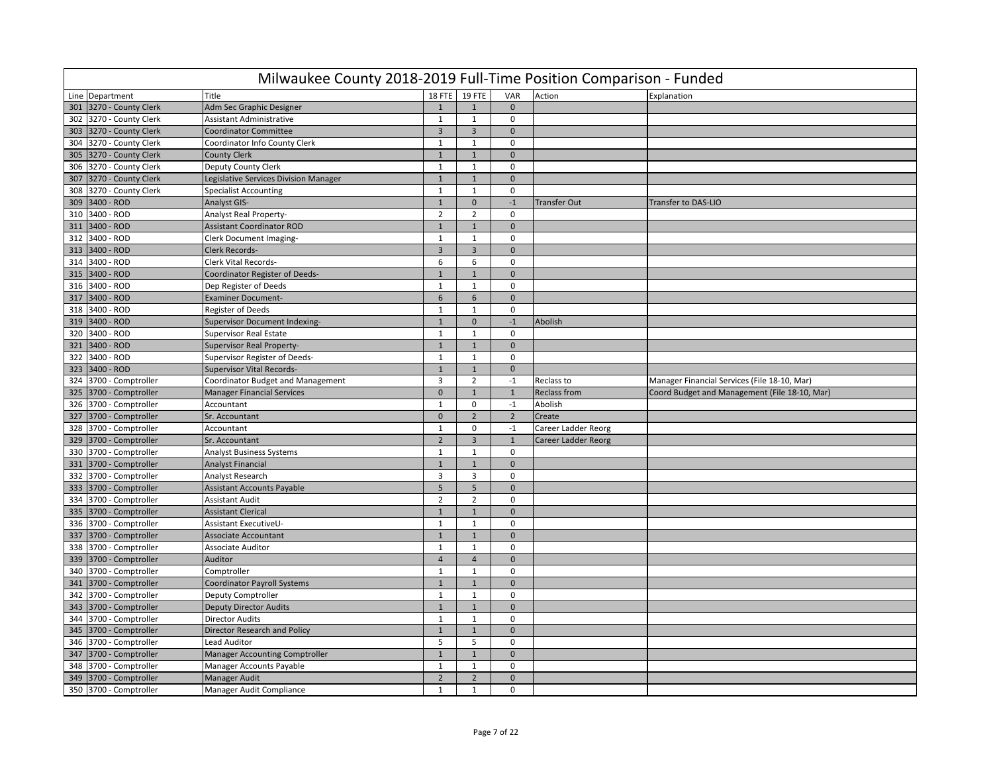|     | Milwaukee County 2018-2019 Full-Time Position Comparison - Funded |                                       |                  |                |                |                     |                                               |  |  |  |  |  |
|-----|-------------------------------------------------------------------|---------------------------------------|------------------|----------------|----------------|---------------------|-----------------------------------------------|--|--|--|--|--|
|     | Line Department                                                   | Title                                 | <b>18 FTE</b>    | <b>19 FTE</b>  | VAR            | Action              | Explanation                                   |  |  |  |  |  |
| 301 | 3270 - County Clerk                                               | Adm Sec Graphic Designer              | $\mathbf{1}$     | $\mathbf{1}$   | $\mathbf{0}$   |                     |                                               |  |  |  |  |  |
| 302 | 3270 - County Clerk                                               | <b>Assistant Administrative</b>       | $\mathbf{1}$     | 1              | $\mathbf 0$    |                     |                                               |  |  |  |  |  |
| 303 | 3270 - County Clerk                                               | <b>Coordinator Committee</b>          | $\overline{3}$   | $\overline{3}$ | $\mathbf 0$    |                     |                                               |  |  |  |  |  |
|     | 304 3270 - County Clerk                                           | Coordinator Info County Clerk         | $\mathbf{1}$     | $\mathbf{1}$   | $\mathbf 0$    |                     |                                               |  |  |  |  |  |
| 305 | 3270 - County Clerk                                               | <b>County Clerk</b>                   | $\mathbf{1}$     | $\mathbf{1}$   | $\mathbf{0}$   |                     |                                               |  |  |  |  |  |
| 306 | 3270 - County Clerk                                               | Deputy County Clerk                   | $\mathbf{1}$     | $\mathbf{1}$   | $\mathbf 0$    |                     |                                               |  |  |  |  |  |
| 307 | 3270 - County Clerk                                               | Legislative Services Division Manager | $\mathbf{1}$     | $1\,$          | $\mathbf 0$    |                     |                                               |  |  |  |  |  |
| 308 | 3270 - County Clerk                                               | <b>Specialist Accounting</b>          | $\mathbf{1}$     | 1              | $\mathbf 0$    |                     |                                               |  |  |  |  |  |
| 309 | 3400 - ROD                                                        | <b>Analyst GIS-</b>                   | $\mathbf{1}$     | $\overline{0}$ | $-1$           | <b>Transfer Out</b> | <b>Transfer to DAS-LIO</b>                    |  |  |  |  |  |
| 310 | 3400 - ROD                                                        | <b>Analyst Real Property-</b>         | $\overline{2}$   | $\overline{2}$ | $\mathbf 0$    |                     |                                               |  |  |  |  |  |
| 311 | 3400 - ROD                                                        | <b>Assistant Coordinator ROD</b>      | $\mathbf{1}$     | $1\,$          | $\mathbf 0$    |                     |                                               |  |  |  |  |  |
| 312 | 3400 - ROD                                                        | Clerk Document Imaging-               | $\mathbf{1}$     | $\mathbf{1}$   | $\mathbf 0$    |                     |                                               |  |  |  |  |  |
| 313 | 3400 - ROD                                                        | Clerk Records-                        | $\overline{3}$   | $\overline{3}$ | $\mathbf 0$    |                     |                                               |  |  |  |  |  |
| 314 | 3400 - ROD                                                        | Clerk Vital Records-                  | 6                | 6              | $\mathbf 0$    |                     |                                               |  |  |  |  |  |
| 315 | 3400 - ROD                                                        | Coordinator Register of Deeds-        | $\mathbf{1}$     | $\mathbf{1}$   | $\mathbf{0}$   |                     |                                               |  |  |  |  |  |
| 316 | 3400 - ROD                                                        | Dep Register of Deeds                 | $\mathbf{1}$     | $1\,$          | $\mathbf 0$    |                     |                                               |  |  |  |  |  |
| 317 | 3400 - ROD                                                        | <b>Examiner Document-</b>             | $\boldsymbol{6}$ | 6              | $\mathbf 0$    |                     |                                               |  |  |  |  |  |
| 318 | 3400 - ROD                                                        | <b>Register of Deeds</b>              | $\mathbf 1$      | $\mathbf{1}$   | $\mathbf 0$    |                     |                                               |  |  |  |  |  |
| 319 | 3400 - ROD                                                        | Supervisor Document Indexing-         | $\mathbf{1}$     | $\mathbf 0$    | $-1$           | Abolish             |                                               |  |  |  |  |  |
| 320 | 3400 - ROD                                                        | <b>Supervisor Real Estate</b>         | $\mathbf{1}$     | $\mathbf{1}$   | $\mathbf 0$    |                     |                                               |  |  |  |  |  |
|     | 321 3400 - ROD                                                    | <b>Supervisor Real Property-</b>      | $\mathbf{1}$     | $\mathbf{1}$   | $\mathbf{0}$   |                     |                                               |  |  |  |  |  |
| 322 | 3400 - ROD                                                        | Supervisor Register of Deeds-         | $\mathbf{1}$     | $\mathbf{1}$   | $\mathbf 0$    |                     |                                               |  |  |  |  |  |
| 323 | 3400 - ROD                                                        | <b>Supervisor Vital Records-</b>      | $\mathbf{1}$     | $1\,$          | $\mathbf 0$    |                     |                                               |  |  |  |  |  |
| 324 | 3700 - Comptroller                                                | Coordinator Budget and Management     | 3                | $\overline{2}$ | $-1$           | Reclass to          | Manager Financial Services (File 18-10, Mar)  |  |  |  |  |  |
| 325 | 3700 - Comptroller                                                | <b>Manager Financial Services</b>     | $\mathbf{0}$     | $\mathbf{1}$   | $\mathbf{1}$   | <b>Reclass from</b> | Coord Budget and Management (File 18-10, Mar) |  |  |  |  |  |
| 326 | 3700 - Comptroller                                                | Accountant                            | $\mathbf{1}$     | 0              | $-1$           | Abolish             |                                               |  |  |  |  |  |
| 327 | 3700 - Comptroller                                                | Sr. Accountant                        | $\mathbf 0$      | $\overline{2}$ | $\overline{2}$ | Create              |                                               |  |  |  |  |  |
| 328 | 3700 - Comptroller                                                | Accountant                            | $\mathbf{1}$     | 0              | $-1$           | Career Ladder Reorg |                                               |  |  |  |  |  |
| 329 | 3700 - Comptroller                                                | Sr. Accountant                        | $\overline{2}$   | $\overline{3}$ | $1\,$          | Career Ladder Reorg |                                               |  |  |  |  |  |
| 330 | 3700 - Comptroller                                                | <b>Analyst Business Systems</b>       | $\mathbf{1}$     | $\mathbf{1}$   | 0              |                     |                                               |  |  |  |  |  |
|     | 331 3700 - Comptroller                                            | <b>Analyst Financial</b>              | $\mathbf{1}$     | $\mathbf{1}$   | $\Omega$       |                     |                                               |  |  |  |  |  |
| 332 | 3700 - Comptroller                                                | Analyst Research                      | $\overline{3}$   | $\overline{3}$ | $\mathbf 0$    |                     |                                               |  |  |  |  |  |
| 333 | 3700 - Comptroller                                                | <b>Assistant Accounts Payable</b>     | 5                | 5              | $\mathbf{0}$   |                     |                                               |  |  |  |  |  |
| 334 | 3700 - Comptroller                                                | <b>Assistant Audit</b>                | $\overline{2}$   | $\overline{2}$ | $\mathbf 0$    |                     |                                               |  |  |  |  |  |
| 335 | 3700 - Comptroller                                                | <b>Assistant Clerical</b>             | $\mathbf{1}$     | $\mathbf 1$    | $\mathbf{0}$   |                     |                                               |  |  |  |  |  |
|     | 336 3700 - Comptroller                                            | Assistant ExecutiveU-                 | $\mathbf{1}$     | $\mathbf{1}$   | $\mathbf 0$    |                     |                                               |  |  |  |  |  |
| 337 | 3700 - Comptroller                                                | <b>Associate Accountant</b>           | $\mathbf{1}$     | $\mathbf{1}$   | $\mathbf{0}$   |                     |                                               |  |  |  |  |  |
|     | 338 3700 - Comptroller                                            | <b>Associate Auditor</b>              | $\mathbf{1}$     | $\mathbf{1}$   | $\mathbf 0$    |                     |                                               |  |  |  |  |  |
| 339 | 3700 - Comptroller                                                | Auditor                               | $\overline{4}$   | $\overline{4}$ | $\mathbf{0}$   |                     |                                               |  |  |  |  |  |
| 340 | 3700 - Comptroller                                                | Comptroller                           | $1\,$            | $\mathbf{1}$   | $\mathbf 0$    |                     |                                               |  |  |  |  |  |
|     | 341 3700 - Comptroller                                            | <b>Coordinator Payroll Systems</b>    | $\mathbf{1}$     | $\mathbf{1}$   | $\mathbf{0}$   |                     |                                               |  |  |  |  |  |
| 342 | 3700 - Comptroller                                                | Deputy Comptroller                    | $\mathbf{1}$     | $\mathbf{1}$   | $\mathbf 0$    |                     |                                               |  |  |  |  |  |
|     | 343 3700 - Comptroller                                            | <b>Deputy Director Audits</b>         | $\mathbf{1}$     | $\mathbf{1}$   | $\mathbf{0}$   |                     |                                               |  |  |  |  |  |
| 344 | 3700 - Comptroller                                                | <b>Director Audits</b>                | $\mathbf{1}$     | $\mathbf{1}$   | $\mathbf 0$    |                     |                                               |  |  |  |  |  |
| 345 | 3700 - Comptroller                                                | Director Research and Policy          | $1\,$            | $\mathbf{1}$   | $\mathbf{0}$   |                     |                                               |  |  |  |  |  |
| 346 | 3700 - Comptroller                                                | Lead Auditor                          | 5                | 5              | $\mathbf 0$    |                     |                                               |  |  |  |  |  |
| 347 | 3700 - Comptroller                                                | <b>Manager Accounting Comptroller</b> | $\mathbf 1$      | $\mathbf 1$    | $\mathbf 0$    |                     |                                               |  |  |  |  |  |
| 348 | 3700 - Comptroller                                                | Manager Accounts Payable              | $\mathbf{1}$     | $\mathbf{1}$   | $\mathbf 0$    |                     |                                               |  |  |  |  |  |
| 349 | 3700 - Comptroller                                                | Manager Audit                         | $\overline{2}$   | $\overline{2}$ | $\mathbf 0$    |                     |                                               |  |  |  |  |  |
|     | 350 3700 - Comptroller                                            | Manager Audit Compliance              | $\mathbf{1}$     | $\mathbf 1$    | $\mathbf 0$    |                     |                                               |  |  |  |  |  |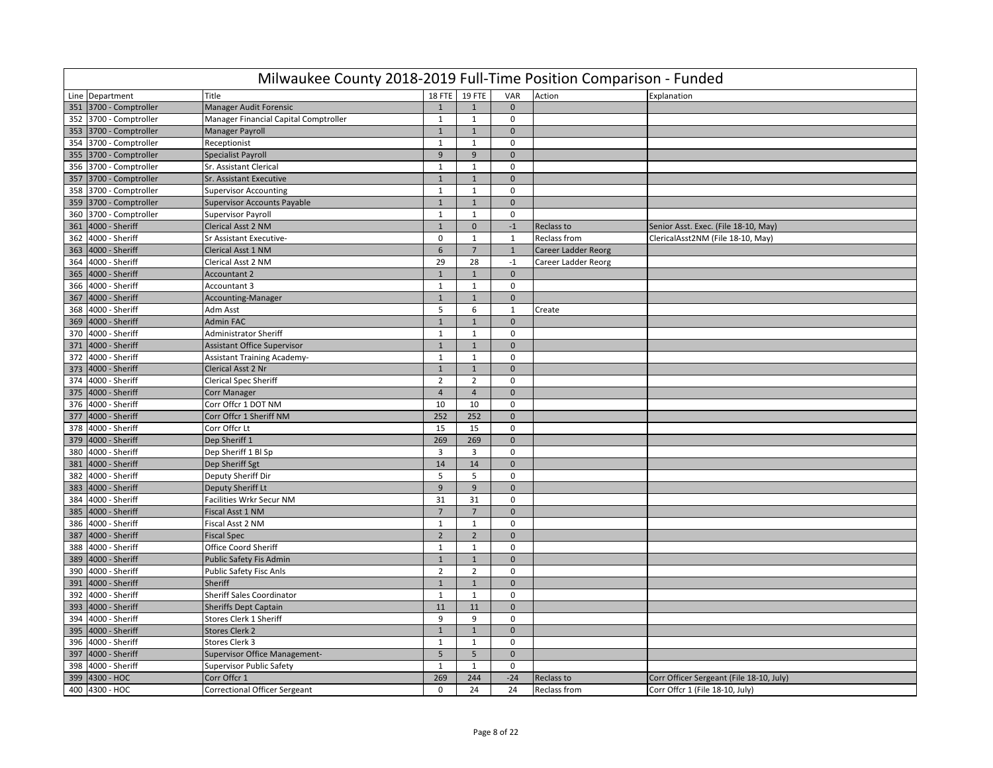|     | Milwaukee County 2018-2019 Full-Time Position Comparison - Funded |                                       |                  |                |              |                     |                                          |  |  |  |  |  |  |
|-----|-------------------------------------------------------------------|---------------------------------------|------------------|----------------|--------------|---------------------|------------------------------------------|--|--|--|--|--|--|
|     | Line Department                                                   | <b>Title</b>                          |                  | 18 FTE 19 FTE  | VAR          | Action              | Explanation                              |  |  |  |  |  |  |
| 351 | 3700 - Comptroller                                                | Manager Audit Forensic                | $\mathbf{1}$     | $\mathbf{1}$   | $\mathbf{0}$ |                     |                                          |  |  |  |  |  |  |
|     | 352 3700 - Comptroller                                            | Manager Financial Capital Comptroller | $\mathbf{1}$     | $\mathbf{1}$   | 0            |                     |                                          |  |  |  |  |  |  |
|     | 353 3700 - Comptroller                                            | Manager Payroll                       | $\mathbf{1}$     | $\mathbf{1}$   | $\mathbf{0}$ |                     |                                          |  |  |  |  |  |  |
|     | 354 3700 - Comptroller                                            | Receptionist                          | $\mathbf{1}$     | $\mathbf{1}$   | $\mathbf 0$  |                     |                                          |  |  |  |  |  |  |
| 355 | 3700 - Comptroller                                                | <b>Specialist Payroll</b>             | 9                | 9              | $\Omega$     |                     |                                          |  |  |  |  |  |  |
| 356 | 3700 - Comptroller                                                | Sr. Assistant Clerical                | $\mathbf{1}$     | $\mathbf{1}$   | $\mathbf 0$  |                     |                                          |  |  |  |  |  |  |
|     | 357 3700 - Comptroller                                            | Sr. Assistant Executive               | $\mathbf{1}$     | $\mathbf{1}$   | $\mathbf{0}$ |                     |                                          |  |  |  |  |  |  |
| 358 | 3700 - Comptroller                                                | <b>Supervisor Accounting</b>          | $\mathbf{1}$     | 1              | $\mathbf 0$  |                     |                                          |  |  |  |  |  |  |
|     | 359 3700 - Comptroller                                            | <b>Supervisor Accounts Payable</b>    | $\mathbf{1}$     | $1\,$          | $\mathbf 0$  |                     |                                          |  |  |  |  |  |  |
| 360 | 3700 - Comptroller                                                | <b>Supervisor Payroll</b>             | $\mathbf{1}$     | $\mathbf{1}$   | $\mathbf 0$  |                     |                                          |  |  |  |  |  |  |
| 361 | 4000 - Sheriff                                                    | <b>Clerical Asst 2 NM</b>             | $\mathbf{1}$     | $\mathbf{0}$   | $-1$         | Reclass to          | Senior Asst. Exec. (File 18-10, May)     |  |  |  |  |  |  |
| 362 | 4000 - Sheriff                                                    | Sr Assistant Executive-               | $\mathbf 0$      | $\mathbf{1}$   | $\mathbf{1}$ | Reclass from        | ClericalAsst2NM (File 18-10, May)        |  |  |  |  |  |  |
| 363 | 4000 - Sheriff                                                    | Clerical Asst 1 NM                    | $\boldsymbol{6}$ | $\overline{7}$ | $\mathbf{1}$ | Career Ladder Reorg |                                          |  |  |  |  |  |  |
|     | 364 4000 - Sheriff                                                | Clerical Asst 2 NM                    | 29               | 28             | $-1$         | Career Ladder Reorg |                                          |  |  |  |  |  |  |
| 365 | 4000 - Sheriff                                                    | <b>Accountant 2</b>                   | $\mathbf{1}$     | $\mathbf{1}$   | $\mathbf{0}$ |                     |                                          |  |  |  |  |  |  |
|     | 366 4000 - Sheriff                                                | Accountant 3                          | $\mathbf{1}$     | $\mathbf{1}$   | $\mathbf 0$  |                     |                                          |  |  |  |  |  |  |
| 367 | 4000 - Sheriff                                                    | Accounting-Manager                    | $\mathbf{1}$     | $\mathbf{1}$   | $\mathbf{0}$ |                     |                                          |  |  |  |  |  |  |
| 368 | 4000 - Sheriff                                                    | Adm Asst                              | 5                | 6              | 1            | Create              |                                          |  |  |  |  |  |  |
| 369 | 4000 - Sheriff                                                    | <b>Admin FAC</b>                      | $\mathbf{1}$     | $\mathbf{1}$   | $\mathbf{0}$ |                     |                                          |  |  |  |  |  |  |
| 370 | 4000 - Sheriff                                                    | <b>Administrator Sheriff</b>          | $\mathbf{1}$     | $\mathbf{1}$   | $\mathbf 0$  |                     |                                          |  |  |  |  |  |  |
|     | 371 4000 - Sheriff                                                | <b>Assistant Office Supervisor</b>    | $\mathbf{1}$     | $\mathbf{1}$   | $\mathbf{0}$ |                     |                                          |  |  |  |  |  |  |
| 372 | 4000 - Sheriff                                                    | <b>Assistant Training Academy-</b>    | $\mathbf{1}$     | $\mathbf{1}$   | $\mathbf 0$  |                     |                                          |  |  |  |  |  |  |
| 373 | 4000 - Sheriff                                                    | Clerical Asst 2 Nr                    | $\mathbf{1}$     | $\mathbf{1}$   | $\mathbf{0}$ |                     |                                          |  |  |  |  |  |  |
| 374 | 4000 - Sheriff                                                    | <b>Clerical Spec Sheriff</b>          | $\overline{2}$   | $\overline{2}$ | $\mathbf 0$  |                     |                                          |  |  |  |  |  |  |
| 375 | 4000 - Sheriff                                                    | <b>Corr Manager</b>                   | $\overline{4}$   | $\overline{4}$ | $\mathbf 0$  |                     |                                          |  |  |  |  |  |  |
|     | 376 4000 - Sheriff                                                | Corr Offcr 1 DOT NM                   | 10               | 10             | $\mathbf 0$  |                     |                                          |  |  |  |  |  |  |
| 377 | 4000 - Sheriff                                                    | Corr Offcr 1 Sheriff NM               | 252              | 252            | $\mathbf 0$  |                     |                                          |  |  |  |  |  |  |
|     | 378 4000 - Sheriff                                                | Corr Offcr Lt                         | 15               | 15             | $\mathbf 0$  |                     |                                          |  |  |  |  |  |  |
| 379 | 4000 - Sheriff                                                    | Dep Sheriff 1                         | 269              | 269            | $\mathbf 0$  |                     |                                          |  |  |  |  |  |  |
| 380 | 4000 - Sheriff                                                    | Dep Sheriff 1 Bl Sp                   | 3                | $\overline{3}$ | $\mathbf 0$  |                     |                                          |  |  |  |  |  |  |
| 381 | 4000 - Sheriff                                                    | Dep Sheriff Sgt                       | 14               | 14             | $\mathbf{0}$ |                     |                                          |  |  |  |  |  |  |
| 382 | 4000 - Sheriff                                                    | Deputy Sheriff Dir                    | 5                | 5              | $\mathbf 0$  |                     |                                          |  |  |  |  |  |  |
|     | 383 4000 - Sheriff                                                | Deputy Sheriff Lt                     | $\overline{9}$   | 9              | $\mathbf{0}$ |                     |                                          |  |  |  |  |  |  |
| 384 | 4000 - Sheriff                                                    | Facilities Wrkr Secur NM              | 31               | 31             | $\mathbf 0$  |                     |                                          |  |  |  |  |  |  |
| 385 | 4000 - Sheriff                                                    | Fiscal Asst 1 NM                      | $\overline{7}$   | $\overline{7}$ | $\mathbf{0}$ |                     |                                          |  |  |  |  |  |  |
| 386 | 4000 - Sheriff                                                    | Fiscal Asst 2 NM                      | $\mathbf{1}$     | $\mathbf{1}$   | $\mathbf 0$  |                     |                                          |  |  |  |  |  |  |
| 387 | 4000 - Sheriff                                                    | <b>Fiscal Spec</b>                    | $\overline{2}$   | $\overline{2}$ | $\mathbf{0}$ |                     |                                          |  |  |  |  |  |  |
|     | 388 4000 - Sheriff                                                | Office Coord Sheriff                  | $\mathbf{1}$     | $\mathbf{1}$   | $\mathbf 0$  |                     |                                          |  |  |  |  |  |  |
| 389 | 4000 - Sheriff                                                    | <b>Public Safety Fis Admin</b>        | $\mathbf{1}$     | $\mathbf{1}$   | $\mathbf{0}$ |                     |                                          |  |  |  |  |  |  |
|     | 390 4000 - Sheriff                                                | <b>Public Safety Fisc Anls</b>        | $\overline{2}$   | $\overline{2}$ | $\mathbf 0$  |                     |                                          |  |  |  |  |  |  |
| 391 | 4000 - Sheriff                                                    | Sheriff                               | $\mathbf{1}$     | $\mathbf{1}$   | $\mathbf{0}$ |                     |                                          |  |  |  |  |  |  |
| 392 | 4000 - Sheriff                                                    | <b>Sheriff Sales Coordinator</b>      | $\mathbf{1}$     | $\mathbf{1}$   | $\mathbf 0$  |                     |                                          |  |  |  |  |  |  |
| 393 | 4000 - Sheriff                                                    | <b>Sheriffs Dept Captain</b>          | $11\,$           | 11             | $\mathbf{0}$ |                     |                                          |  |  |  |  |  |  |
| 394 | 4000 - Sheriff                                                    | Stores Clerk 1 Sheriff                | 9                | 9              | $\mathbf 0$  |                     |                                          |  |  |  |  |  |  |
|     | 395 4000 - Sheriff                                                | <b>Stores Clerk 2</b>                 | $\mathbf{1}$     | $1\,$          | $\mathbf{0}$ |                     |                                          |  |  |  |  |  |  |
| 396 | 4000 - Sheriff                                                    | Stores Clerk 3                        | $\mathbf{1}$     | $\mathbf{1}$   | $\mathbf 0$  |                     |                                          |  |  |  |  |  |  |
| 397 | 4000 - Sheriff                                                    | <b>Supervisor Office Management-</b>  | 5                | 5              | $\mathbf 0$  |                     |                                          |  |  |  |  |  |  |
| 398 | 4000 - Sheriff                                                    | <b>Supervisor Public Safety</b>       | $\mathbf{1}$     | $\mathbf{1}$   | $\mathbf 0$  |                     |                                          |  |  |  |  |  |  |
| 399 | 4300 - HOC                                                        | Corr Offcr 1                          | 269              | 244            | $-24$        | <b>Reclass to</b>   | Corr Officer Sergeant (File 18-10, July) |  |  |  |  |  |  |
|     | 400 4300 - HOC                                                    | <b>Correctional Officer Sergeant</b>  | $\mathbf 0$      | 24             | 24           | Reclass from        | Corr Offcr 1 (File 18-10, July)          |  |  |  |  |  |  |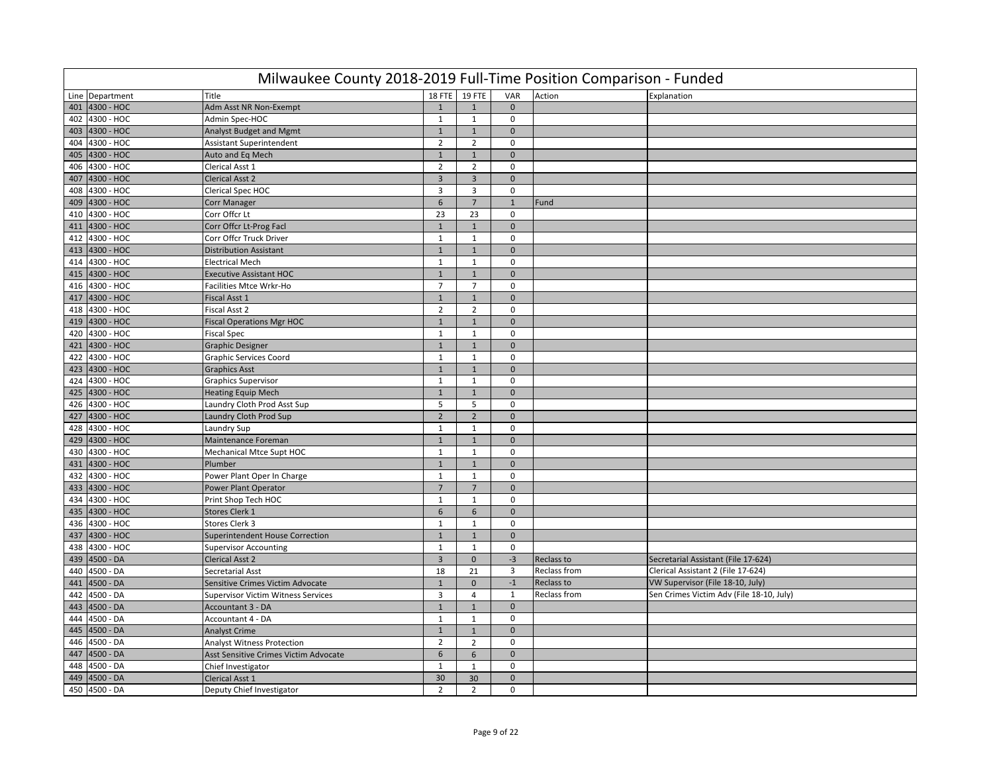|     | Milwaukee County 2018-2019 Full-Time Position Comparison - Funded |                                       |                |                         |                |              |                                          |  |  |  |  |  |  |
|-----|-------------------------------------------------------------------|---------------------------------------|----------------|-------------------------|----------------|--------------|------------------------------------------|--|--|--|--|--|--|
|     | Line Department                                                   | <b>Title</b>                          |                | 18 FTE 19 FTE           | VAR            | Action       | Explanation                              |  |  |  |  |  |  |
| 401 | 4300 - HOC                                                        | Adm Asst NR Non-Exempt                | $\mathbf{1}$   | $\mathbf{1}$            | $\mathbf{0}$   |              |                                          |  |  |  |  |  |  |
|     | 402 4300 - HOC                                                    | Admin Spec-HOC                        | $\mathbf{1}$   | $\mathbf{1}$            | 0              |              |                                          |  |  |  |  |  |  |
|     | 403 4300 - HOC                                                    | Analyst Budget and Mgmt               | $\mathbf{1}$   | $\mathbf{1}$            | $\mathbf{0}$   |              |                                          |  |  |  |  |  |  |
|     | 404 4300 - HOC                                                    | Assistant Superintendent              | $\overline{2}$ | $\overline{2}$          | $\mathbf 0$    |              |                                          |  |  |  |  |  |  |
| 405 | 4300 - HOC                                                        | Auto and Eq Mech                      | $\mathbf{1}$   | $\mathbf{1}$            | $\mathbf 0$    |              |                                          |  |  |  |  |  |  |
| 406 | 4300 - HOC                                                        | Clerical Asst 1                       | $\overline{2}$ | $\overline{2}$          | $\mathbf 0$    |              |                                          |  |  |  |  |  |  |
| 407 | 4300 - HOC                                                        | <b>Clerical Asst 2</b>                | $\overline{3}$ | $\overline{\mathbf{3}}$ | $\mathbf{0}$   |              |                                          |  |  |  |  |  |  |
| 408 | 4300 - HOC                                                        | Clerical Spec HOC                     | 3              | $\overline{3}$          | $\mathbf 0$    |              |                                          |  |  |  |  |  |  |
|     | 409 4300 - HOC                                                    | <b>Corr Manager</b>                   | $6\phantom{1}$ | $\overline{7}$          | $1\,$          | Fund         |                                          |  |  |  |  |  |  |
| 410 | 4300 - HOC                                                        | Corr Offcr Lt                         | 23             | 23                      | $\mathbf 0$    |              |                                          |  |  |  |  |  |  |
| 411 | 4300 - HOC                                                        | Corr Offcr Lt-Prog Facl               | $\mathbf{1}$   | $\mathbf{1}$            | $\mathbf{0}$   |              |                                          |  |  |  |  |  |  |
|     | 412 4300 - HOC                                                    | Corr Offcr Truck Driver               | $\mathbf{1}$   | $\mathbf{1}$            | $\mathbf 0$    |              |                                          |  |  |  |  |  |  |
| 413 | 4300 - HOC                                                        | <b>Distribution Assistant</b>         | $\mathbf{1}$   | $1\,$                   | $\mathbf{0}$   |              |                                          |  |  |  |  |  |  |
|     | 414 4300 - HOC                                                    | <b>Electrical Mech</b>                | 1              | $\mathbf{1}$            | $\mathbf 0$    |              |                                          |  |  |  |  |  |  |
|     | 415 4300 - HOC                                                    | <b>Executive Assistant HOC</b>        | $\mathbf{1}$   | $\mathbf{1}$            | $\mathbf{0}$   |              |                                          |  |  |  |  |  |  |
|     | 416 4300 - HOC                                                    | Facilities Mtce Wrkr-Ho               | $\overline{7}$ | $\overline{7}$          | $\mathbf 0$    |              |                                          |  |  |  |  |  |  |
| 417 | 4300 - HOC                                                        | Fiscal Asst 1                         | $\mathbf{1}$   | $\mathbf{1}$            | $\mathbf{0}$   |              |                                          |  |  |  |  |  |  |
| 418 | 4300 - HOC                                                        | <b>Fiscal Asst 2</b>                  | $\overline{2}$ | $\overline{2}$          | $\mathbf 0$    |              |                                          |  |  |  |  |  |  |
|     | 419 4300 - HOC                                                    | <b>Fiscal Operations Mgr HOC</b>      | $\mathbf{1}$   | $\mathbf{1}$            | $\mathbf{0}$   |              |                                          |  |  |  |  |  |  |
| 420 | 4300 - HOC                                                        | <b>Fiscal Spec</b>                    | $\mathbf{1}$   | $\mathbf{1}$            | $\mathbf 0$    |              |                                          |  |  |  |  |  |  |
|     | 421 4300 - HOC                                                    | <b>Graphic Designer</b>               | $\mathbf{1}$   | $\mathbf{1}$            | $\mathbf{0}$   |              |                                          |  |  |  |  |  |  |
| 422 | 4300 - HOC                                                        | <b>Graphic Services Coord</b>         | $\mathbf{1}$   | $\mathbf{1}$            | $\mathbf 0$    |              |                                          |  |  |  |  |  |  |
| 423 | 4300 - HOC                                                        | <b>Graphics Asst</b>                  | $\mathbf{1}$   | $\mathbf{1}$            | $\mathbf{0}$   |              |                                          |  |  |  |  |  |  |
| 424 | 4300 - HOC                                                        | <b>Graphics Supervisor</b>            | $\mathbf{1}$   | $\mathbf{1}$            | $\mathbf 0$    |              |                                          |  |  |  |  |  |  |
|     | 425 4300 - HOC                                                    | <b>Heating Equip Mech</b>             | $1\,$          | $\mathbf{1}$            | $\mathbf{0}$   |              |                                          |  |  |  |  |  |  |
|     | 426 4300 - HOC                                                    | Laundry Cloth Prod Asst Sup           | 5              | 5                       | $\mathbf 0$    |              |                                          |  |  |  |  |  |  |
|     | 427 4300 - HOC                                                    | Laundry Cloth Prod Sup                | $\overline{2}$ | $\overline{2}$          | $\mathbf{0}$   |              |                                          |  |  |  |  |  |  |
|     | 428 4300 - HOC                                                    | Laundry Sup                           | $\mathbf{1}$   | $\mathbf{1}$            | $\mathbf 0$    |              |                                          |  |  |  |  |  |  |
|     | 429 4300 - HOC                                                    | Maintenance Foreman                   | $\mathbf{1}$   | $\mathbf{1}$            | $\mathbf{0}$   |              |                                          |  |  |  |  |  |  |
| 430 | 4300 - HOC                                                        | Mechanical Mtce Supt HOC              | $\mathbf{1}$   | $\mathbf{1}$            | $\mathbf 0$    |              |                                          |  |  |  |  |  |  |
|     | 431 4300 - HOC                                                    | Plumber                               | $\mathbf{1}$   | $\mathbf{1}$            | $\mathbf{0}$   |              |                                          |  |  |  |  |  |  |
| 432 | 4300 - HOC                                                        | Power Plant Oper In Charge            | 1              | $\mathbf{1}$            | $\mathbf 0$    |              |                                          |  |  |  |  |  |  |
|     | 433 4300 - HOC                                                    | <b>Power Plant Operator</b>           | $\overline{7}$ | $\overline{7}$          | $\mathbf{0}$   |              |                                          |  |  |  |  |  |  |
| 434 | 4300 - HOC                                                        | Print Shop Tech HOC                   | $\mathbf{1}$   | $\mathbf{1}$            | $\mathbf 0$    |              |                                          |  |  |  |  |  |  |
| 435 | 4300 - HOC                                                        | Stores Clerk 1                        | $6\phantom{a}$ | $6\phantom{1}$          | $\mathbf{0}$   |              |                                          |  |  |  |  |  |  |
| 436 | 4300 - HOC                                                        | Stores Clerk 3                        | $\mathbf{1}$   | $\mathbf{1}$            | $\mathbf 0$    |              |                                          |  |  |  |  |  |  |
| 437 | 4300 - HOC                                                        | Superintendent House Correction       | $\mathbf{1}$   | $\mathbf{1}$            | $\mathbf 0$    |              |                                          |  |  |  |  |  |  |
|     | 438 4300 - HOC                                                    | <b>Supervisor Accounting</b>          | $\mathbf{1}$   | $\mathbf{1}$            | $\mathbf 0$    |              |                                          |  |  |  |  |  |  |
|     | 439 4500 - DA                                                     | <b>Clerical Asst 2</b>                | $\overline{3}$ | $\mathbf{0}$            | $-3$           | Reclass to   | Secretarial Assistant (File 17-624)      |  |  |  |  |  |  |
|     | 440 4500 - DA                                                     | Secretarial Asst                      | 18             | 21                      | $\overline{3}$ | Reclass from | Clerical Assistant 2 (File 17-624)       |  |  |  |  |  |  |
| 441 | 4500 - DA                                                         | Sensitive Crimes Victim Advocate      | $\mathbf{1}$   | 0                       | $^{\rm -1}$    | Reclass to   | VW Supervisor (File 18-10, July)         |  |  |  |  |  |  |
| 442 | 4500 - DA                                                         | Supervisor Victim Witness Services    | $\overline{3}$ | 4                       | $\mathbf{1}$   | Reclass from | Sen Crimes Victim Adv (File 18-10, July) |  |  |  |  |  |  |
| 443 | 4500 - DA                                                         | Accountant 3 - DA                     | $\mathbf{1}$   | $\mathbf{1}$            | $\mathbf 0$    |              |                                          |  |  |  |  |  |  |
| 444 | 4500 - DA                                                         | Accountant 4 - DA                     | $\mathbf{1}$   | $\mathbf{1}$            | $\mathbf 0$    |              |                                          |  |  |  |  |  |  |
|     | 445 4500 - DA                                                     | <b>Analyst Crime</b>                  | $\mathbf{1}$   | $\mathbf{1}$            | $\mathbf 0$    |              |                                          |  |  |  |  |  |  |
| 446 | 4500 - DA                                                         | <b>Analyst Witness Protection</b>     | $\overline{2}$ | $\overline{2}$          | $\mathbf 0$    |              |                                          |  |  |  |  |  |  |
| 447 | 4500 - DA                                                         | Asst Sensitive Crimes Victim Advocate | 6              | $\boldsymbol{6}$        | $\mathbf 0$    |              |                                          |  |  |  |  |  |  |
| 448 | 4500 - DA                                                         | Chief Investigator                    | $\mathbf{1}$   | $\mathbf{1}$            | $\mathbf 0$    |              |                                          |  |  |  |  |  |  |
| 449 | 4500 - DA                                                         | <b>Clerical Asst 1</b>                | 30             | 30                      | $\mathbf 0$    |              |                                          |  |  |  |  |  |  |
|     | $450$ 4500 - DA                                                   | Deputy Chief Investigator             | $\overline{2}$ | $\overline{2}$          | $\mathbf 0$    |              |                                          |  |  |  |  |  |  |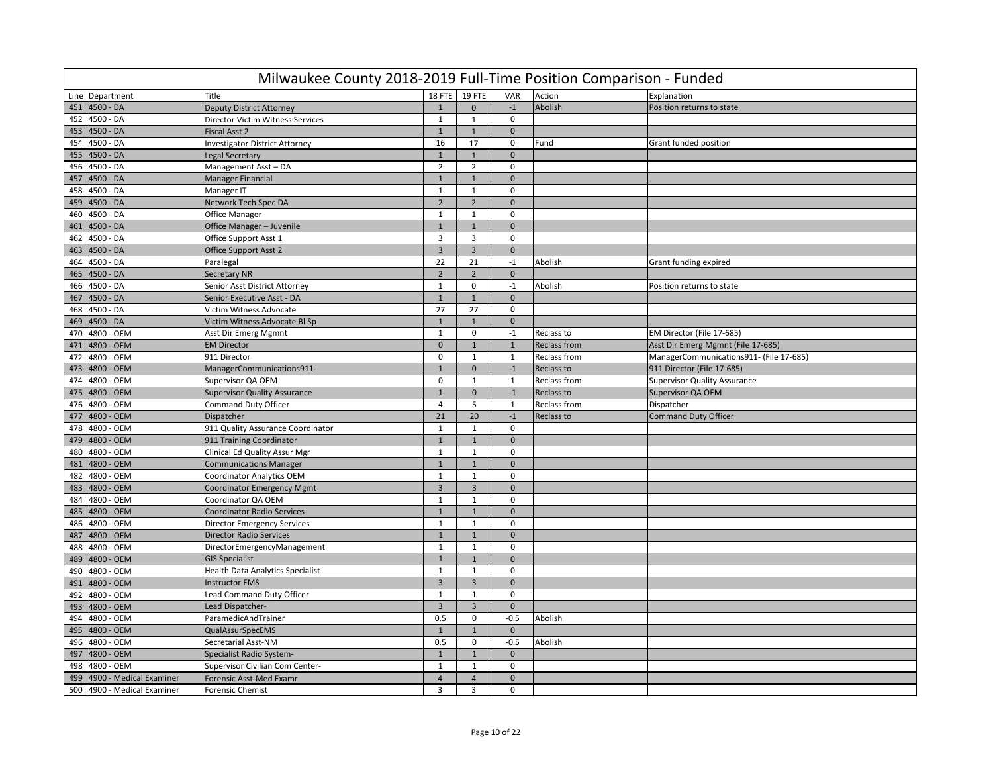|     | Milwaukee County 2018-2019 Full-Time Position Comparison - Funded |                                         |                         |                         |               |                     |                                         |  |  |  |  |  |  |
|-----|-------------------------------------------------------------------|-----------------------------------------|-------------------------|-------------------------|---------------|---------------------|-----------------------------------------|--|--|--|--|--|--|
|     | Line Department                                                   | Title                                   | 18 FTE                  | 19 FTE                  | VAR           | Action              | Explanation                             |  |  |  |  |  |  |
| 451 | 4500 - DA                                                         | <b>Deputy District Attorney</b>         | $\mathbf{1}$            | $\mathbf{0}$            | $-1$          | Abolish             | Position returns to state               |  |  |  |  |  |  |
|     | 452 4500 - DA                                                     | Director Victim Witness Services        | $\mathbf{1}$            | $\mathbf{1}$            | 0             |                     |                                         |  |  |  |  |  |  |
|     | 453 4500 - DA                                                     | Fiscal Asst 2                           | $\mathbf{1}$            | $\mathbf{1}$            | $\mathbf 0$   |                     |                                         |  |  |  |  |  |  |
|     | 454 4500 - DA                                                     | <b>Investigator District Attorney</b>   | 16                      | 17                      | $\mathbf 0$   | Fund                | Grant funded position                   |  |  |  |  |  |  |
| 455 | 4500 - DA                                                         | Legal Secretary                         | $\overline{1}$          | $\mathbf{1}$            | $\mathbf{0}$  |                     |                                         |  |  |  |  |  |  |
| 456 | 4500 - DA                                                         | Management Asst - DA                    | $\overline{2}$          | $\overline{2}$          | $\mathbf 0$   |                     |                                         |  |  |  |  |  |  |
| 457 | 4500 - DA                                                         | <b>Manager Financial</b>                | $\mathbf{1}$            | $\mathbf{1}$            | $\mathbf{0}$  |                     |                                         |  |  |  |  |  |  |
| 458 | 4500 - DA                                                         | Manager IT                              | $\mathbf{1}$            | $\mathbf{1}$            | $\mathbf 0$   |                     |                                         |  |  |  |  |  |  |
|     | 459 4500 - DA                                                     | Network Tech Spec DA                    | $\overline{2}$          | $\overline{2}$          | $\mathbf 0$   |                     |                                         |  |  |  |  |  |  |
| 460 | 4500 - DA                                                         | Office Manager                          | $\mathbf{1}$            | $\mathbf{1}$            | $\mathbf 0$   |                     |                                         |  |  |  |  |  |  |
| 461 | 4500 - DA                                                         | Office Manager - Juvenile               | $\mathbf{1}$            | $\mathbf{1}$            | $\mathbf{0}$  |                     |                                         |  |  |  |  |  |  |
| 462 | 4500 - DA                                                         | Office Support Asst 1                   | 3                       | 3                       | $\mathbf 0$   |                     |                                         |  |  |  |  |  |  |
| 463 | 4500 - DA                                                         | Office Support Asst 2                   | $\overline{3}$          | $\overline{3}$          | $\mathbf{0}$  |                     |                                         |  |  |  |  |  |  |
| 464 | 4500 - DA                                                         | Paralegal                               | 22                      | 21                      | $-1$          | Abolish             | Grant funding expired                   |  |  |  |  |  |  |
| 465 | 4500 - DA                                                         | <b>Secretary NR</b>                     | $\overline{2}$          | $\overline{2}$          | $\mathbf{0}$  |                     |                                         |  |  |  |  |  |  |
|     | 466 4500 - DA                                                     | Senior Asst District Attorney           | $\mathbf{1}$            | $\mathbf 0$             | $-1$          | Abolish             | Position returns to state               |  |  |  |  |  |  |
| 467 | 4500 - DA                                                         | Senior Executive Asst - DA              | $\overline{1}$          | $\mathbf{1}$            | $\mathbf{0}$  |                     |                                         |  |  |  |  |  |  |
| 468 | 4500 - DA                                                         | Victim Witness Advocate                 | 27                      | 27                      | $\mathbf 0$   |                     |                                         |  |  |  |  |  |  |
| 469 | 4500 - DA                                                         | Victim Witness Advocate BI Sp           | $\mathbf{1}$            | $\mathbf{1}$            | $\mathbf{0}$  |                     |                                         |  |  |  |  |  |  |
| 470 | 4800 - OEM                                                        | Asst Dir Emerg Mgmnt                    | $\mathbf{1}$            | 0                       | $-1$          | Reclass to          | EM Director (File 17-685)               |  |  |  |  |  |  |
| 471 | 4800 - OEM                                                        | <b>EM Director</b>                      | $\mathbf{0}$            | $\mathbf 1$             | $\mathbf{1}$  | <b>Reclass from</b> | Asst Dir Emerg Mgmnt (File 17-685)      |  |  |  |  |  |  |
| 472 | 4800 - OEM                                                        | 911 Director                            | $\mathbf 0$             | $\mathbf{1}$            | $\mathbf{1}$  | <b>Reclass from</b> | ManagerCommunications911- (File 17-685) |  |  |  |  |  |  |
| 473 | 4800 - OEM                                                        | ManagerCommunications911-               | $\mathbf{1}$            | $\overline{0}$          | $\mathbf{-1}$ | Reclass to          | 911 Director (File 17-685)              |  |  |  |  |  |  |
| 474 | 4800 - OEM                                                        | Supervisor QA OEM                       | $\mathbf{0}$            | $\mathbf{1}$            | $\mathbf{1}$  | Reclass from        | <b>Supervisor Quality Assurance</b>     |  |  |  |  |  |  |
| 475 | 4800 - OEM                                                        | <b>Supervisor Quality Assurance</b>     | $\mathbf{1}$            | $\overline{0}$          | $-1$          | Reclass to          | Supervisor QA OEM                       |  |  |  |  |  |  |
| 476 | 4800 - OEM                                                        | <b>Command Duty Officer</b>             | $\overline{4}$          | 5                       | $\mathbf{1}$  | Reclass from        | Dispatcher                              |  |  |  |  |  |  |
| 477 | 4800 - OEM                                                        | Dispatcher                              | 21                      | 20                      | $-1$          | Reclass to          | <b>Command Duty Officer</b>             |  |  |  |  |  |  |
| 478 | 4800 - OEM                                                        | 911 Quality Assurance Coordinator       | $\mathbf{1}$            | $\mathbf{1}$            | 0             |                     |                                         |  |  |  |  |  |  |
| 479 | 4800 - OEM                                                        | 911 Training Coordinator                | $\mathbf{1}$            | $\mathbf 1$             | $\mathbf{0}$  |                     |                                         |  |  |  |  |  |  |
| 480 | 4800 - OEM                                                        | Clinical Ed Quality Assur Mgr           | $\mathbf{1}$            | $\mathbf{1}$            | $\mathbf 0$   |                     |                                         |  |  |  |  |  |  |
| 481 | 4800 - OEM                                                        | <b>Communications Manager</b>           | $\mathbf{1}$            | $\mathbf{1}$            | $\mathbf{0}$  |                     |                                         |  |  |  |  |  |  |
| 482 | 4800 - OEM                                                        | <b>Coordinator Analytics OEM</b>        | $\mathbf{1}$            | $\mathbf{1}$            | $\mathbf 0$   |                     |                                         |  |  |  |  |  |  |
| 483 | 4800 - OEM                                                        | <b>Coordinator Emergency Mgmt</b>       | $\overline{\mathbf{3}}$ | $\overline{\mathbf{3}}$ | $\mathbf{0}$  |                     |                                         |  |  |  |  |  |  |
| 484 | 4800 - OEM                                                        | Coordinator QA OEM                      | $\mathbf{1}$            | $\mathbf{1}$            | $\mathbf 0$   |                     |                                         |  |  |  |  |  |  |
| 485 | 4800 - OEM                                                        | Coordinator Radio Services-             | $\mathbf{1}$            | $\mathbf 1$             | $\mathbf{0}$  |                     |                                         |  |  |  |  |  |  |
| 486 | 4800 - OEM                                                        | <b>Director Emergency Services</b>      | $\mathbf{1}$            | $\mathbf{1}$            | $\mathbf 0$   |                     |                                         |  |  |  |  |  |  |
| 487 | 4800 - OEM                                                        | <b>Director Radio Services</b>          | $\mathbf{1}$            | $\mathbf{1}$            | $\mathbf{0}$  |                     |                                         |  |  |  |  |  |  |
| 488 | 4800 - OEM                                                        | DirectorEmergencyManagement             | $\mathbf{1}$            | $\mathbf{1}$            | $\mathbf 0$   |                     |                                         |  |  |  |  |  |  |
| 489 | 4800 - OEM                                                        | <b>GIS Specialist</b>                   | $\mathbf{1}$            | $\mathbf{1}$            | $\mathbf{0}$  |                     |                                         |  |  |  |  |  |  |
| 490 | 4800 - OEM                                                        | <b>Health Data Analytics Specialist</b> | $\mathbf{1}$            | $\mathbf{1}$            | $\mathbf 0$   |                     |                                         |  |  |  |  |  |  |
| 491 | 4800 - OEM                                                        | <b>Instructor EMS</b>                   | $\overline{3}$          | $\overline{\mathbf{3}}$ | $\mathbf 0$   |                     |                                         |  |  |  |  |  |  |
| 492 | 4800 - OEM                                                        | Lead Command Duty Officer               | $\mathbf{1}$            | $\mathbf{1}$            | $\mathbf 0$   |                     |                                         |  |  |  |  |  |  |
| 493 | 4800 - OEM                                                        | Lead Dispatcher-                        | $\overline{3}$          | $\overline{3}$          | $\mathbf{0}$  |                     |                                         |  |  |  |  |  |  |
| 494 | 4800 - OEM                                                        | ParamedicAndTrainer                     | 0.5                     | $\mathbf 0$             | $-0.5$        | Abolish             |                                         |  |  |  |  |  |  |
| 495 | 4800 - OEM                                                        | <b>QualAssurSpecEMS</b>                 | $\mathbf{1}$            | $\mathbf{1}$            | $\mathbf{0}$  |                     |                                         |  |  |  |  |  |  |
| 496 | 4800 - OEM                                                        | Secretarial Asst-NM                     | 0.5                     | 0                       | $-0.5$        | Abolish             |                                         |  |  |  |  |  |  |
| 497 | 4800 - OEM                                                        | Specialist Radio System-                | $\mathbf{1}$            | $\mathbf{1}$            | $\mathbf 0$   |                     |                                         |  |  |  |  |  |  |
| 498 | 4800 - OEM                                                        | Supervisor Civilian Com Center-         | $\mathbf{1}$            | $\mathbf{1}$            | $\mathbf 0$   |                     |                                         |  |  |  |  |  |  |
| 499 | 4900 - Medical Examiner                                           | Forensic Asst-Med Examr                 | $\overline{4}$          | $\overline{4}$          | $\mathbf{0}$  |                     |                                         |  |  |  |  |  |  |
|     | 500 4900 - Medical Examiner                                       | <b>Forensic Chemist</b>                 | $\overline{3}$          | $\overline{3}$          | $\mathbf 0$   |                     |                                         |  |  |  |  |  |  |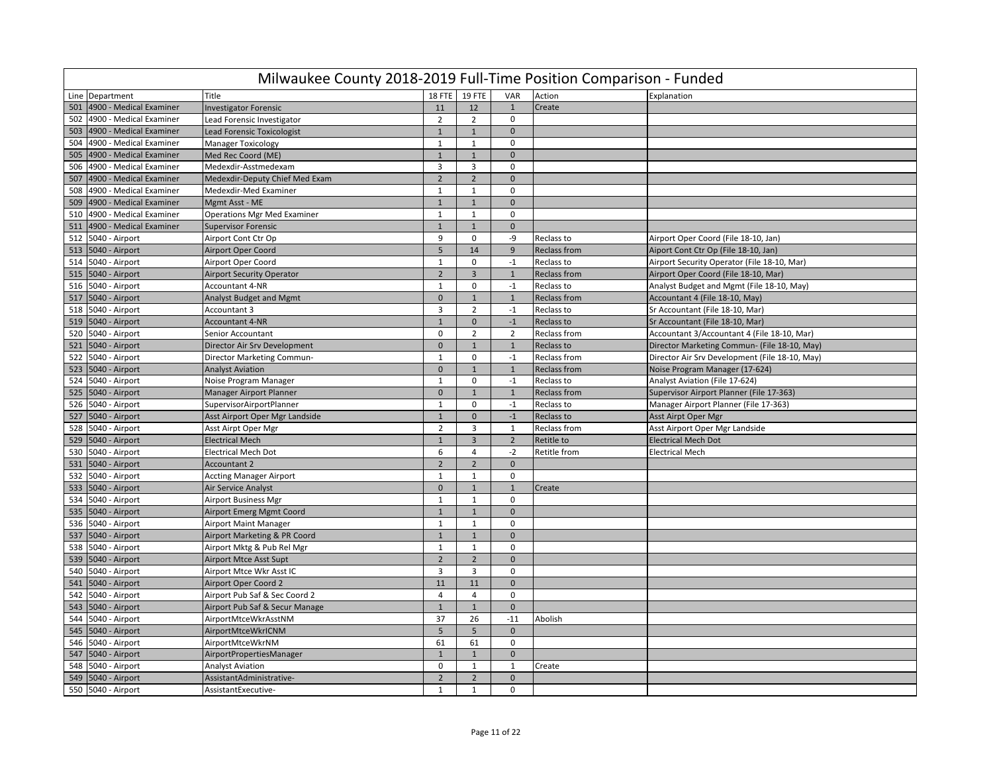|     | Milwaukee County 2018-2019 Full-Time Position Comparison - Funded |                                    |                |                |                |                     |                                                |  |  |  |  |  |  |
|-----|-------------------------------------------------------------------|------------------------------------|----------------|----------------|----------------|---------------------|------------------------------------------------|--|--|--|--|--|--|
|     | Line Department                                                   | Title                              | <b>18 FTE</b>  | <b>19 FTE</b>  | VAR            | Action              | Explanation                                    |  |  |  |  |  |  |
| 501 | 4900 - Medical Examiner                                           | <b>Investigator Forensic</b>       | 11             | 12             | 1              | Create              |                                                |  |  |  |  |  |  |
| 502 | 4900 - Medical Examiner                                           | Lead Forensic Investigator         | $\overline{2}$ | $\overline{2}$ | $\mathbf 0$    |                     |                                                |  |  |  |  |  |  |
| 503 | 4900 - Medical Examiner                                           | <b>Lead Forensic Toxicologist</b>  | $\mathbf{1}$   | $\mathbf{1}$   | $\mathbf 0$    |                     |                                                |  |  |  |  |  |  |
| 504 | 4900 - Medical Examiner                                           | <b>Manager Toxicology</b>          | $\mathbf{1}$   | $\mathbf{1}$   | $\Omega$       |                     |                                                |  |  |  |  |  |  |
| 505 | 4900 - Medical Examiner                                           | Med Rec Coord (ME)                 | $\mathbf{1}$   | $\overline{1}$ | $\mathbf{0}$   |                     |                                                |  |  |  |  |  |  |
| 506 | 4900 - Medical Examiner                                           | Medexdir-Asstmedexam               | 3              | $\overline{3}$ | $\mathbf 0$    |                     |                                                |  |  |  |  |  |  |
| 507 | 4900 - Medical Examiner                                           | Medexdir-Deputy Chief Med Exam     | $\overline{2}$ | $\overline{2}$ | $\mathbf{0}$   |                     |                                                |  |  |  |  |  |  |
| 508 | 4900 - Medical Examiner                                           | Medexdir-Med Examiner              | $\mathbf{1}$   | $\mathbf{1}$   | $\mathbf 0$    |                     |                                                |  |  |  |  |  |  |
| 509 | 4900 - Medical Examiner                                           | Mgmt Asst - ME                     | $\mathbf{1}$   | $\mathbf{1}$   | $\mathbf{0}$   |                     |                                                |  |  |  |  |  |  |
| 510 | 4900 - Medical Examiner                                           | <b>Operations Mgr Med Examiner</b> | $\mathbf{1}$   | $\mathbf{1}$   | 0              |                     |                                                |  |  |  |  |  |  |
| 511 | 4900 - Medical Examiner                                           | <b>Supervisor Forensic</b>         | $\mathbf{1}$   | $\mathbf 1$    | $\mathbf{0}$   |                     |                                                |  |  |  |  |  |  |
| 512 | 5040 - Airport                                                    | Airport Cont Ctr Op                | 9              | $\mathbf 0$    | -9             | Reclass to          | Airport Oper Coord (File 18-10, Jan)           |  |  |  |  |  |  |
|     | 513 5040 - Airport                                                | <b>Airport Oper Coord</b>          | 5 <sup>5</sup> | 14             | 9              | <b>Reclass from</b> | Aiport Cont Ctr Op (File 18-10, Jan)           |  |  |  |  |  |  |
|     | 514 5040 - Airport                                                | Airport Oper Coord                 | $\mathbf{1}$   | $\mathbf 0$    | $-1$           | Reclass to          | Airport Security Operator (File 18-10, Mar)    |  |  |  |  |  |  |
|     | 515 5040 - Airport                                                | <b>Airport Security Operator</b>   | $\overline{2}$ | $\mathbf{3}$   | $\mathbf{1}$   | <b>Reclass from</b> | Airport Oper Coord (File 18-10, Mar)           |  |  |  |  |  |  |
|     | 516 5040 - Airport                                                | <b>Accountant 4-NR</b>             | $\mathbf{1}$   | $\mathbf 0$    | $-1$           | Reclass to          | Analyst Budget and Mgmt (File 18-10, May)      |  |  |  |  |  |  |
|     | 517 5040 - Airport                                                | <b>Analyst Budget and Mgmt</b>     | $\mathbf 0$    | $\mathbf{1}$   | $\mathbf{1}$   | Reclass from        | Accountant 4 (File 18-10, May)                 |  |  |  |  |  |  |
|     | 518 5040 - Airport                                                | Accountant 3                       | 3              | $\overline{2}$ | $-1$           | Reclass to          | Sr Accountant (File 18-10, Mar)                |  |  |  |  |  |  |
|     | 519 5040 - Airport                                                | <b>Accountant 4-NR</b>             | $\mathbf{1}$   | $\mathbf{0}$   | $-1$           | Reclass to          | Sr Accountant (File 18-10, Mar)                |  |  |  |  |  |  |
|     | 520 5040 - Airport                                                | Senior Accountant                  | 0              | $\overline{2}$ | $\overline{2}$ | Reclass from        | Accountant 3/Accountant 4 (File 18-10, Mar)    |  |  |  |  |  |  |
|     | 521 5040 - Airport                                                | Director Air Srv Development       | $\mathbf{0}$   | $\mathbf{1}$   | $\mathbf{1}$   | Reclass to          | Director Marketing Commun- (File 18-10, May)   |  |  |  |  |  |  |
|     | 522 5040 - Airport                                                | Director Marketing Commun-         | $\mathbf{1}$   | $\mathbf 0$    | $-1$           | Reclass from        | Director Air Srv Development (File 18-10, May) |  |  |  |  |  |  |
|     | 523 5040 - Airport                                                | <b>Analyst Aviation</b>            | $\mathbf 0$    | $\mathbf{1}$   | $\mathbf{1}$   | <b>Reclass from</b> | Noise Program Manager (17-624)                 |  |  |  |  |  |  |
|     | 524 5040 - Airport                                                | Noise Program Manager              | $\mathbf{1}$   | $\mathbf{0}$   | $-1$           | Reclass to          | Analyst Aviation (File 17-624)                 |  |  |  |  |  |  |
|     | 525 5040 - Airport                                                | Manager Airport Planner            | $\pmb{0}$      | $\mathbf{1}$   | 1              | <b>Reclass from</b> | Supervisor Airport Planner (File 17-363)       |  |  |  |  |  |  |
|     | 526 5040 - Airport                                                | SupervisorAirportPlanner           | $\mathbf{1}$   | $\mathsf 0$    | $-1$           | Reclass to          | Manager Airport Planner (File 17-363)          |  |  |  |  |  |  |
|     | 527 5040 - Airport                                                | Asst Airport Oper Mgr Landside     | $\mathbf{1}$   | $\overline{0}$ | $-1$           | Reclass to          | Asst Airpt Oper Mgr                            |  |  |  |  |  |  |
|     | 528 5040 - Airport                                                | Asst Airpt Oper Mgr                | $\overline{2}$ | $\overline{3}$ | 1              | Reclass from        | Asst Airport Oper Mgr Landside                 |  |  |  |  |  |  |
|     | 529 5040 - Airport                                                | <b>Electrical Mech</b>             | $\mathbf{1}$   | $\overline{3}$ | $\overline{2}$ | Retitle to          | <b>Electrical Mech Dot</b>                     |  |  |  |  |  |  |
|     | 530 5040 - Airport                                                | <b>Electrical Mech Dot</b>         | 6              | $\overline{4}$ | $-2$           | Retitle from        | <b>Electrical Mech</b>                         |  |  |  |  |  |  |
|     | 531 5040 - Airport                                                | <b>Accountant 2</b>                | $\overline{2}$ | $\overline{2}$ | $\mathbf{0}$   |                     |                                                |  |  |  |  |  |  |
|     | 532 5040 - Airport                                                | <b>Accting Manager Airport</b>     | $\mathbf{1}$   | $\mathbf{1}$   | $\mathsf 0$    |                     |                                                |  |  |  |  |  |  |
|     | 533 5040 - Airport                                                | Air Service Analyst                | $\mathbf{0}$   | $\mathbf{1}$   | $\mathbf{1}$   | Create              |                                                |  |  |  |  |  |  |
|     | 534 5040 - Airport                                                | <b>Airport Business Mgr</b>        | $\mathbf{1}$   | $\mathbf{1}$   | $\mathbf 0$    |                     |                                                |  |  |  |  |  |  |
| 535 | 5040 - Airport                                                    | <b>Airport Emerg Mgmt Coord</b>    | $\mathbf{1}$   | $\mathbf{1}$   | $\mathbf 0$    |                     |                                                |  |  |  |  |  |  |
|     | 536 5040 - Airport                                                | <b>Airport Maint Manager</b>       | $\mathbf{1}$   | 1              | $\Omega$       |                     |                                                |  |  |  |  |  |  |
|     | 537 5040 - Airport                                                | Airport Marketing & PR Coord       | $\mathbf{1}$   | $\mathbf{1}$   | $\mathbf{0}$   |                     |                                                |  |  |  |  |  |  |
|     | 538 5040 - Airport                                                | Airport Mktg & Pub Rel Mgr         | 1              | $\mathbf{1}$   | $\mathbf 0$    |                     |                                                |  |  |  |  |  |  |
|     | 539 5040 - Airport                                                | <b>Airport Mtce Asst Supt</b>      | $\overline{2}$ | $\overline{2}$ | $\mathbf{0}$   |                     |                                                |  |  |  |  |  |  |
|     | 540 5040 - Airport                                                | Airport Mtce Wkr Asst IC           | 3              | 3              | $\mathbf 0$    |                     |                                                |  |  |  |  |  |  |
|     | 541 5040 - Airport                                                | Airport Oper Coord 2               | 11             | $11\,$         | $\mathbf{0}$   |                     |                                                |  |  |  |  |  |  |
|     | 542 5040 - Airport                                                | Airport Pub Saf & Sec Coord 2      | $\overline{4}$ | 4              | $\mathbf 0$    |                     |                                                |  |  |  |  |  |  |
|     | 543 5040 - Airport                                                | Airport Pub Saf & Secur Manage     | $\mathbf{1}$   | $\mathbf{1}$   | $\mathbf{0}$   |                     |                                                |  |  |  |  |  |  |
|     | 544 5040 - Airport                                                | AirportMtceWkrAsstNM               | 37             | 26             | $-11$          | Abolish             |                                                |  |  |  |  |  |  |
|     | 545 5040 - Airport                                                | AirportMtceWkrICNM                 | 5              | 5              | $\mathbf{0}$   |                     |                                                |  |  |  |  |  |  |
|     | 546 5040 - Airport                                                | AirportMtceWkrNM                   | 61             | 61             | $\mathbf 0$    |                     |                                                |  |  |  |  |  |  |
| 547 | 5040 - Airport                                                    | AirportPropertiesManager           | $\mathbf{1}$   | $1\,$          | $\mathbf 0$    |                     |                                                |  |  |  |  |  |  |
|     | 548 5040 - Airport                                                | <b>Analyst Aviation</b>            | $\mathbf 0$    | $\mathbf{1}$   | 1              | Create              |                                                |  |  |  |  |  |  |
| 549 | 5040 - Airport                                                    | AssistantAdministrative-           | $\overline{2}$ | $\overline{2}$ | $\mathbf{0}$   |                     |                                                |  |  |  |  |  |  |
|     | 550 5040 - Airport                                                | AssistantExecutive-                | $\mathbf{1}$   | $\mathbf{1}$   | $\Omega$       |                     |                                                |  |  |  |  |  |  |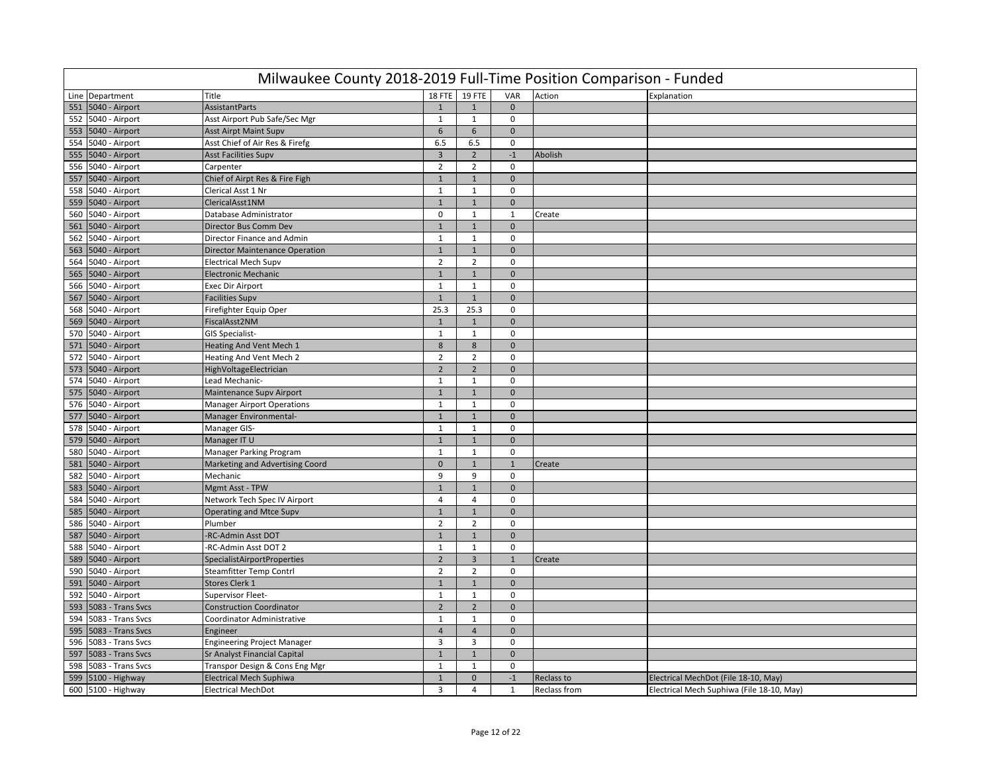|     | Milwaukee County 2018-2019 Full-Time Position Comparison - Funded |                                       |                |                |                |              |                                           |  |  |  |  |  |  |
|-----|-------------------------------------------------------------------|---------------------------------------|----------------|----------------|----------------|--------------|-------------------------------------------|--|--|--|--|--|--|
|     | Line Department                                                   | Title                                 | 18 FTE         | 19 FTE         | VAR            | Action       | Explanation                               |  |  |  |  |  |  |
|     | 551 5040 - Airport                                                | <b>AssistantParts</b>                 | $\mathbf{1}$   | $\mathbf{1}$   | $\mathbf{0}$   |              |                                           |  |  |  |  |  |  |
|     | 552 5040 - Airport                                                | Asst Airport Pub Safe/Sec Mgr         | $\mathbf{1}$   | $\mathbf{1}$   | $\mathbf 0$    |              |                                           |  |  |  |  |  |  |
|     | 553 5040 - Airport                                                | <b>Asst Airpt Maint Supv</b>          | $6\phantom{1}$ | 6              | $\mathbf 0$    |              |                                           |  |  |  |  |  |  |
|     | 554 5040 - Airport                                                | Asst Chief of Air Res & Firefg        | 6.5            | 6.5            | 0              |              |                                           |  |  |  |  |  |  |
|     | 555 5040 - Airport                                                | <b>Asst Facilities Supv</b>           | 3              | $\overline{2}$ | $^{\mbox{-}1}$ | Abolish      |                                           |  |  |  |  |  |  |
|     | 556 5040 - Airport                                                | Carpenter                             | $\overline{2}$ | $\overline{2}$ | $\Omega$       |              |                                           |  |  |  |  |  |  |
|     | 557 5040 - Airport                                                | Chief of Airpt Res & Fire Figh        | $\mathbf{1}$   | $\mathbf{1}$   | $\mathbf{0}$   |              |                                           |  |  |  |  |  |  |
|     | 558 5040 - Airport                                                | Clerical Asst 1 Nr                    | $\mathbf{1}$   | $\mathbf{1}$   | $\mathbf 0$    |              |                                           |  |  |  |  |  |  |
|     | 559 5040 - Airport                                                | ClericalAsst1NM                       | $\mathbf{1}$   | $\mathbf{1}$   | $\mathbf{0}$   |              |                                           |  |  |  |  |  |  |
|     | 560 5040 - Airport                                                | Database Administrator                | $\mathbf 0$    | $\mathbf{1}$   | $\mathbf{1}$   | Create       |                                           |  |  |  |  |  |  |
|     | 561 5040 - Airport                                                | Director Bus Comm Dev                 | $\mathbf{1}$   | $\mathbf 1$    | $\mathbf{0}$   |              |                                           |  |  |  |  |  |  |
|     | 562 5040 - Airport                                                | Director Finance and Admin            | $\mathbf{1}$   | $\mathbf{1}$   | $\mathbf 0$    |              |                                           |  |  |  |  |  |  |
| 563 | 5040 - Airport                                                    | <b>Director Maintenance Operation</b> | $\mathbf{1}$   | $1\,$          | $\mathbf 0$    |              |                                           |  |  |  |  |  |  |
|     | 564 5040 - Airport                                                | <b>Electrical Mech Supv</b>           | $\overline{2}$ | $\overline{2}$ | $\mathbf 0$    |              |                                           |  |  |  |  |  |  |
|     | 565 5040 - Airport                                                | <b>Electronic Mechanic</b>            | $\mathbf{1}$   | $\mathbf{1}$   | $\mathbf{0}$   |              |                                           |  |  |  |  |  |  |
|     | 566 5040 - Airport                                                | <b>Exec Dir Airport</b>               | $\mathbf{1}$   | $\mathbf{1}$   | $\mathbf 0$    |              |                                           |  |  |  |  |  |  |
|     | 567 5040 - Airport                                                | Facilities Supv                       | $\mathbf{1}$   | $\mathbf{1}$   | $\mathbf 0$    |              |                                           |  |  |  |  |  |  |
|     | 568 5040 - Airport                                                | Firefighter Equip Oper                | 25.3           | 25.3           | $\mathbf{0}$   |              |                                           |  |  |  |  |  |  |
|     | 569 5040 - Airport                                                | Fiscal Asst 2NM                       | $\mathbf{1}$   | $\mathbf{1}$   | $\mathbf 0$    |              |                                           |  |  |  |  |  |  |
|     | 570 5040 - Airport                                                | <b>GIS Specialist-</b>                | $\mathbf{1}$   | $\mathbf{1}$   | 0              |              |                                           |  |  |  |  |  |  |
|     | 571 5040 - Airport                                                | <b>Heating And Vent Mech 1</b>        | 8              | 8              | $\mathbf{0}$   |              |                                           |  |  |  |  |  |  |
| 572 | 5040 - Airport                                                    | Heating And Vent Mech 2               | $\overline{2}$ | $\overline{2}$ | $\mathsf 0$    |              |                                           |  |  |  |  |  |  |
|     | 573 5040 - Airport                                                | HighVoltageElectrician                | $\overline{2}$ | $\overline{2}$ | $\mathbf{0}$   |              |                                           |  |  |  |  |  |  |
|     | 574 5040 - Airport                                                | Lead Mechanic-                        | $\mathbf{1}$   | $\mathbf{1}$   | $\mathbf 0$    |              |                                           |  |  |  |  |  |  |
|     | 575 5040 - Airport                                                | Maintenance Supv Airport              | $\mathbf{1}$   | $\mathbf{1}$   | $\mathbf 0$    |              |                                           |  |  |  |  |  |  |
|     | 576 5040 - Airport                                                | <b>Manager Airport Operations</b>     | $\mathbf{1}$   | $\mathbf{1}$   | $\mathbf 0$    |              |                                           |  |  |  |  |  |  |
| 577 | 5040 - Airport                                                    | Manager Environmental-                | $\mathbf{1}$   | $1\,$          | $\mathbf{0}$   |              |                                           |  |  |  |  |  |  |
|     | 578 5040 - Airport                                                | Manager GIS-                          | $\mathbf{1}$   | $\mathbf{1}$   | 0              |              |                                           |  |  |  |  |  |  |
|     | 579 5040 - Airport                                                | Manager IT U                          | $\mathbf{1}$   | $\mathbf{1}$   | $\mathbf{0}$   |              |                                           |  |  |  |  |  |  |
|     | 580 5040 - Airport                                                | Manager Parking Program               | $\mathbf{1}$   | $\mathbf{1}$   | $\mathbf 0$    |              |                                           |  |  |  |  |  |  |
|     | 581 5040 - Airport                                                | Marketing and Advertising Coord       | $\mathbf{0}$   | $\mathbf{1}$   | $\mathbf{1}$   | Create       |                                           |  |  |  |  |  |  |
|     | 582 5040 - Airport                                                | Mechanic                              | 9              | 9              | $\mathbf 0$    |              |                                           |  |  |  |  |  |  |
|     | 583 5040 - Airport                                                | Mgmt Asst - TPW                       | $\mathbf{1}$   | $\mathbf{1}$   | $\mathbf 0$    |              |                                           |  |  |  |  |  |  |
|     | 584 5040 - Airport                                                | Network Tech Spec IV Airport          | $\overline{4}$ | $\overline{4}$ | $\Omega$       |              |                                           |  |  |  |  |  |  |
|     | 585 5040 - Airport                                                | <b>Operating and Mtce Supv</b>        | $\overline{1}$ | $\overline{1}$ | $\mathbf{0}$   |              |                                           |  |  |  |  |  |  |
|     | 586 5040 - Airport                                                | Plumber                               | $\overline{2}$ | $\overline{2}$ | $\mathbf 0$    |              |                                           |  |  |  |  |  |  |
|     | 587 5040 - Airport                                                | RC-Admin Asst DOT                     | $\mathbf{1}$   | $\mathbf{1}$   | $\mathbf{0}$   |              |                                           |  |  |  |  |  |  |
|     | 588 5040 - Airport                                                | -RC-Admin Asst DOT 2                  | 1              | 1              | 0              |              |                                           |  |  |  |  |  |  |
|     | 589 5040 - Airport                                                | <b>SpecialistAirportProperties</b>    | $\overline{2}$ | $\overline{3}$ | $\mathbf{1}$   | Create       |                                           |  |  |  |  |  |  |
|     | 590 5040 - Airport                                                | Steamfitter Temp Contrl               | $\overline{2}$ | $\overline{2}$ | $\mathbf{0}$   |              |                                           |  |  |  |  |  |  |
|     | 591 5040 - Airport                                                | Stores Clerk 1                        | $\mathbf{1}$   | $\mathbf{1}$   | $\mathbf{0}$   |              |                                           |  |  |  |  |  |  |
|     | 592 5040 - Airport                                                | Supervisor Fleet-                     | $\mathbf{1}$   | $\mathbf{1}$   | $\mathbf 0$    |              |                                           |  |  |  |  |  |  |
|     | 593 5083 - Trans Svcs                                             | <b>Construction Coordinator</b>       | $\overline{2}$ | $\overline{2}$ | $\Omega$       |              |                                           |  |  |  |  |  |  |
|     | 594 5083 - Trans Svcs                                             | Coordinator Administrative            | $\mathbf{1}$   | $\mathbf{1}$   | 0              |              |                                           |  |  |  |  |  |  |
| 595 | 5083 - Trans Svcs                                                 | Engineer                              | $\overline{4}$ | $\overline{4}$ | $\mathbf 0$    |              |                                           |  |  |  |  |  |  |
|     | 596 5083 - Trans Svcs                                             | <b>Engineering Project Manager</b>    | $\overline{3}$ | 3              | $\mathbf 0$    |              |                                           |  |  |  |  |  |  |
| 597 | 5083 - Trans Svcs                                                 | Sr Analyst Financial Capital          | $\mathbf{1}$   | $\mathbf{1}$   | $\mathbf 0$    |              |                                           |  |  |  |  |  |  |
| 598 | 5083 - Trans Svcs                                                 | Transpor Design & Cons Eng Mgr        | 1              | $\mathbf{1}$   | 0              |              |                                           |  |  |  |  |  |  |
| 599 | 5100 - Highway                                                    | <b>Electrical Mech Suphiwa</b>        | $\mathbf{1}$   | $\mathbf{0}$   | $-1$           | Reclass to   | Electrical MechDot (File 18-10, May)      |  |  |  |  |  |  |
|     | 600 5100 - Highway                                                | <b>Electrical MechDot</b>             | 3              | $\overline{4}$ | $\mathbf{1}$   | Reclass from | Electrical Mech Suphiwa (File 18-10, May) |  |  |  |  |  |  |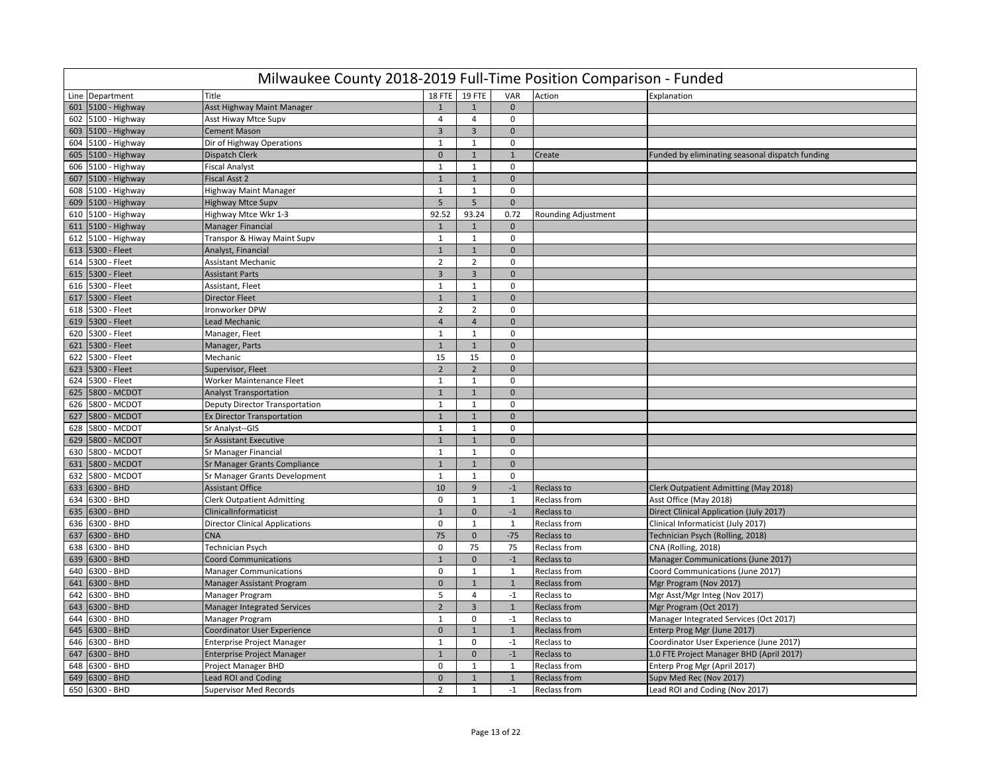|     | Milwaukee County 2018-2019 Full-Time Position Comparison - Funded |                                       |                |                         |                         |                     |                                                 |  |  |  |  |
|-----|-------------------------------------------------------------------|---------------------------------------|----------------|-------------------------|-------------------------|---------------------|-------------------------------------------------|--|--|--|--|
|     | Line Department                                                   | <b>Title</b>                          |                | 18 FTE 19 FTE           | VAR                     | Action              | Explanation                                     |  |  |  |  |
| 601 | 5100 - Highway                                                    | Asst Highway Maint Manager            | $\mathbf{1}$   | $\mathbf{1}$            | $\Omega$                |                     |                                                 |  |  |  |  |
|     | 602 5100 - Highway                                                | Asst Hiway Mtce Supv                  | 4              | 4                       | 0                       |                     |                                                 |  |  |  |  |
|     | 603 5100 - Highway                                                | <b>Cement Mason</b>                   | $\overline{3}$ | $\overline{\mathbf{3}}$ | $\mathbf{0}$            |                     |                                                 |  |  |  |  |
|     | 604 5100 - Highway                                                | Dir of Highway Operations             | $\mathbf{1}$   | $\mathbf 1$             | $\mathbf 0$             |                     |                                                 |  |  |  |  |
| 605 | 5100 - Highway                                                    | Dispatch Clerk                        | $\mathbf 0$    | $\overline{1}$          | $\mathbf{1}$            | Create              | Funded by eliminating seasonal dispatch funding |  |  |  |  |
| 606 | 5100 - Highway                                                    | <b>Fiscal Analyst</b>                 | $\mathbf{1}$   | $\mathbf{1}$            | $\mathbf 0$             |                     |                                                 |  |  |  |  |
| 607 | 5100 - Highway                                                    | Fiscal Asst 2                         | $\mathbf{1}$   | $1\,$                   | $\mathbf{0}$            |                     |                                                 |  |  |  |  |
| 608 | 5100 - Highway                                                    | <b>Highway Maint Manager</b>          | $\mathbf{1}$   | $\mathbf{1}$            | 0                       |                     |                                                 |  |  |  |  |
|     | 609 5100 - Highway                                                | <b>Highway Mtce Supv</b>              | 5              | 5                       | $\mathbf{0}$            |                     |                                                 |  |  |  |  |
| 610 | 5100 - Highway                                                    | Highway Mtce Wkr 1-3                  | 92.52          | 93.24                   | 0.72                    | Rounding Adjustment |                                                 |  |  |  |  |
| 611 | 5100 - Highway                                                    | Manager Financial                     | $\mathbf{1}$   | $\mathbf{1}$            | $\mathbf{0}$            |                     |                                                 |  |  |  |  |
| 612 | 5100 - Highway                                                    | Transpor & Hiway Maint Supv           | $\mathbf{1}$   | $\mathbf{1}$            | $\mathbf 0$             |                     |                                                 |  |  |  |  |
| 613 | 5300 - Fleet                                                      | Analyst, Financial                    | $\mathbf{1}$   | $\mathbf{1}$            | $\mathbf{0}$            |                     |                                                 |  |  |  |  |
| 614 | 5300 - Fleet                                                      | <b>Assistant Mechanic</b>             | $\overline{2}$ | $\overline{2}$          | $\mathbf 0$             |                     |                                                 |  |  |  |  |
| 615 | 5300 - Fleet                                                      | <b>Assistant Parts</b>                | $\overline{3}$ | $\overline{3}$          | $\mathbf{0}$            |                     |                                                 |  |  |  |  |
| 616 | 5300 - Fleet                                                      | Assistant, Fleet                      | $\mathbf{1}$   | $\mathbf{1}$            | $\Omega$                |                     |                                                 |  |  |  |  |
| 617 | 5300 - Fleet                                                      | <b>Director Fleet</b>                 | $\mathbf{1}$   | $\mathbf{1}$            | $\mathbf{0}$            |                     |                                                 |  |  |  |  |
| 618 | 5300 - Fleet                                                      | Ironworker DPW                        | $\overline{2}$ | $\overline{2}$          | $\mathbf 0$             |                     |                                                 |  |  |  |  |
| 619 | 5300 - Fleet                                                      | Lead Mechanic                         | $\overline{4}$ | $\overline{4}$          | $\Omega$                |                     |                                                 |  |  |  |  |
| 620 | 5300 - Fleet                                                      | Manager, Fleet                        | $\mathbf{1}$   | $\mathbf{1}$            | $\mathbf 0$             |                     |                                                 |  |  |  |  |
| 621 | 5300 - Fleet                                                      | Manager, Parts                        | $\mathbf{1}$   | $\mathbf 1$             | $\mathbf{0}$            |                     |                                                 |  |  |  |  |
| 622 | 5300 - Fleet                                                      | Mechanic                              | 15             | 15                      | $\mathbf 0$             |                     |                                                 |  |  |  |  |
| 623 | 5300 - Fleet                                                      | Supervisor, Fleet                     | $\overline{2}$ | $\overline{2}$          | $\mathbf{0}$            |                     |                                                 |  |  |  |  |
| 624 | 5300 - Fleet                                                      | Worker Maintenance Fleet              | $\mathbf{1}$   | $\mathbf{1}$            | $\mathbf 0$             |                     |                                                 |  |  |  |  |
| 625 | 5800 - MCDOT                                                      | <b>Analyst Transportation</b>         | $\mathbf{1}$   | $\mathbf{1}$            | $\mathbf{0}$            |                     |                                                 |  |  |  |  |
| 626 | 5800 - MCDOT                                                      | Deputy Director Transportation        | $\mathbf{1}$   | $\mathbf{1}$            | 0                       |                     |                                                 |  |  |  |  |
| 627 | 5800 - MCDOT                                                      | <b>Ex Director Transportation</b>     | $\mathbf{1}$   | $\mathbf{1}$            | $\mathbf{0}$            |                     |                                                 |  |  |  |  |
| 628 | 5800 - MCDOT                                                      | Sr Analyst--GIS                       | $\mathbf{1}$   | $\mathbf{1}$            | 0                       |                     |                                                 |  |  |  |  |
| 629 | 5800 - MCDOT                                                      | <b>Sr Assistant Executive</b>         | $\mathbf{1}$   | $\overline{1}$          | $\Omega$                |                     |                                                 |  |  |  |  |
| 630 | 5800 - MCDOT                                                      | Sr Manager Financial                  | $\mathbf{1}$   | $\mathbf{1}$            | $\mathbf 0$             |                     |                                                 |  |  |  |  |
| 631 | 5800 - MCDOT                                                      | Sr Manager Grants Compliance          | $\mathbf{1}$   | $\overline{1}$          | $\Omega$                |                     |                                                 |  |  |  |  |
| 632 | 5800 - MCDOT                                                      | Sr Manager Grants Development         | $\mathbf{1}$   | 1                       | $\mathbf 0$             |                     |                                                 |  |  |  |  |
| 633 | 6300 - BHD                                                        | <b>Assistant Office</b>               | 10             | 9                       | $-1$                    | Reclass to          | Clerk Outpatient Admitting (May 2018)           |  |  |  |  |
| 634 | 6300 - BHD                                                        | <b>Clerk Outpatient Admitting</b>     | $\mathbf 0$    | $\mathbf{1}$            | $\mathbf{1}$            | <b>Reclass from</b> | Asst Office (May 2018)                          |  |  |  |  |
| 635 | 6300 - BHD                                                        | ClinicalInformaticist                 | $\overline{1}$ | $\mathbf{0}$            | $-1$                    | Reclass to          | Direct Clinical Application (July 2017)         |  |  |  |  |
| 636 | 6300 - BHD                                                        | <b>Director Clinical Applications</b> | $\mathbf 0$    | $\mathbf{1}$            | $\mathbf{1}$            | Reclass from        | Clinical Informaticist (July 2017)              |  |  |  |  |
| 637 | 6300 - BHD                                                        | <b>CNA</b>                            | 75             | $\mathbf 0$             | $-75$                   | Reclass to          | Technician Psych (Rolling, 2018)                |  |  |  |  |
| 638 | 6300 - BHD                                                        | Technician Psych                      | $\mathbf 0$    | 75                      | 75                      | Reclass from        | CNA (Rolling, 2018)                             |  |  |  |  |
| 639 | 6300 - BHD                                                        | <b>Coord Communications</b>           | $\mathbf{1}$   | $\mathbf{0}$            | $-1$                    | Reclass to          | Manager Communications (June 2017)              |  |  |  |  |
| 640 | 6300 - BHD                                                        | <b>Manager Communications</b>         | $\Omega$       | $\mathbf{1}$            | 1                       | Reclass from        | Coord Communications (June 2017)                |  |  |  |  |
| 641 | 6300 - BHD                                                        | Manager Assistant Program             | $\mathbf 0$    | $\mathbf{1}$            | $\mathbf{1}$            | <b>Reclass from</b> | Mgr Program (Nov 2017)                          |  |  |  |  |
| 642 | 6300 - BHD                                                        | Manager Program                       | 5              | $\overline{4}$          | $-1$                    | Reclass to          | Mgr Asst/Mgr Integ (Nov 2017)                   |  |  |  |  |
| 643 | 6300 - BHD                                                        | <b>Manager Integrated Services</b>    | $\overline{2}$ | $\overline{\mathbf{3}}$ | $\mathbf{1}$            | <b>Reclass from</b> | Mgr Program (Oct 2017)                          |  |  |  |  |
| 644 | 6300 - BHD                                                        | Manager Program                       | $\mathbf{1}$   | 0                       | $-1$                    | Reclass to          | Manager Integrated Services (Oct 2017)          |  |  |  |  |
| 645 | 6300 - BHD                                                        | Coordinator User Experience           | $\mathbf 0$    | $1\,$                   | $\mathbf{1}$            | <b>Reclass from</b> | Enterp Prog Mgr (June 2017)                     |  |  |  |  |
| 646 | 6300 - BHD                                                        | <b>Enterprise Project Manager</b>     | $\mathbf{1}$   | 0                       | $-1$                    | Reclass to          | Coordinator User Experience (June 2017)         |  |  |  |  |
| 647 | 6300 - BHD                                                        | Enterprise Project Manager            | $\mathbf{1}$   | $\overline{0}$          | $\mathbf{-1}$           | Reclass to          | 1.0 FTE Project Manager BHD (April 2017)        |  |  |  |  |
| 648 | 6300 - BHD                                                        | Project Manager BHD                   | $\mathbf{0}$   | $\mathbf{1}$            | $\mathbf{1}$            | Reclass from        | Enterp Prog Mgr (April 2017)                    |  |  |  |  |
| 649 | 6300 - BHD                                                        | <b>Lead ROI and Coding</b>            | $\mathbf{0}$   | $\mathbf{1}$            | $\mathbf{1}$            | <b>Reclass from</b> | Supv Med Rec (Nov 2017)                         |  |  |  |  |
|     | 650 6300 - BHD                                                    | <b>Supervisor Med Records</b>         | $\overline{2}$ | $\mathbf{1}$            | $^{\text{{\small -1}}}$ | <b>Reclass from</b> | Lead ROI and Coding (Nov 2017)                  |  |  |  |  |
|     |                                                                   |                                       |                |                         |                         |                     |                                                 |  |  |  |  |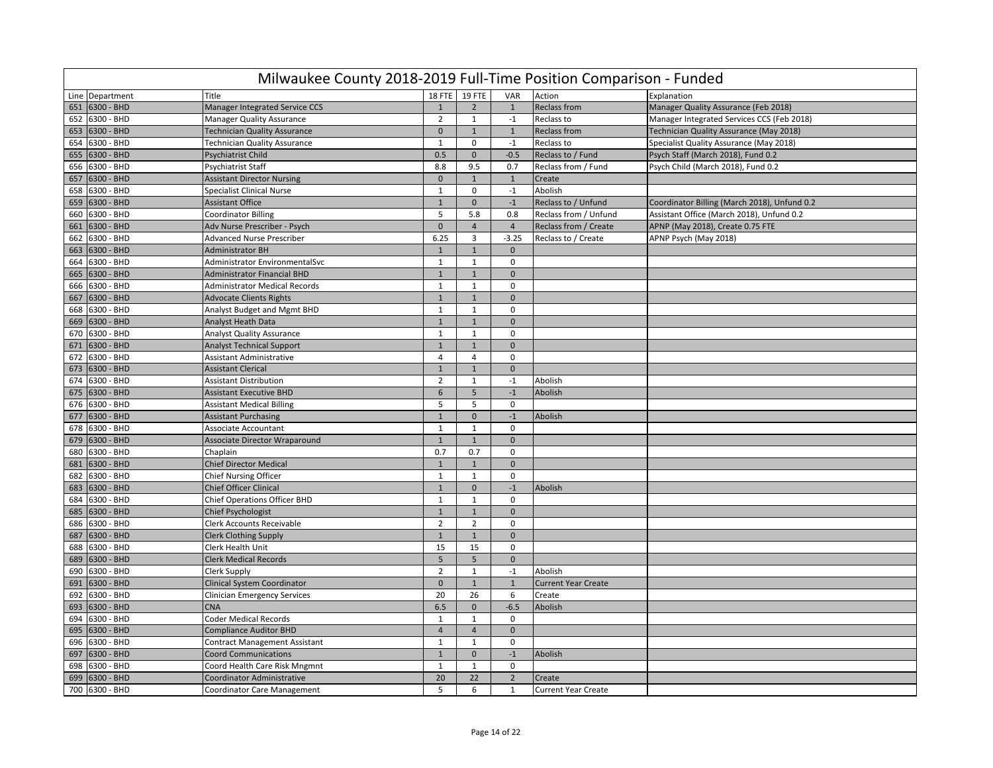|     | Milwaukee County 2018-2019 Full-Time Position Comparison - Funded |                                     |                 |                |                |                            |                                              |  |  |  |  |
|-----|-------------------------------------------------------------------|-------------------------------------|-----------------|----------------|----------------|----------------------------|----------------------------------------------|--|--|--|--|
|     | Line Department                                                   | Title                               | 18 FTE          | <b>19 FTE</b>  | VAR            | Action                     | Explanation                                  |  |  |  |  |
| 651 | 6300 - BHD                                                        | Manager Integrated Service CCS      | $\mathbf{1}$    | $\overline{2}$ | $\overline{1}$ | <b>Reclass from</b>        | Manager Quality Assurance (Feb 2018)         |  |  |  |  |
| 652 | 6300 - BHD                                                        | <b>Manager Quality Assurance</b>    | $\overline{2}$  | $\mathbf{1}$   | $-1$           | Reclass to                 | Manager Integrated Services CCS (Feb 2018)   |  |  |  |  |
| 653 | 6300 - BHD                                                        | <b>Technician Quality Assurance</b> | $\mathbf{0}$    | $\mathbf{1}$   | $\mathbf{1}$   | <b>Reclass from</b>        | Technician Quality Assurance (May 2018)      |  |  |  |  |
| 654 | 6300 - BHD                                                        | Technician Quality Assurance        | $\mathbf{1}$    | $\mathbf 0$    | $^{\circ}1$    | Reclass to                 | Specialist Quality Assurance (May 2018)      |  |  |  |  |
| 655 | 6300 - BHD                                                        | Psychiatrist Child                  | 0.5             | $\mathbf 0$    | $-0.5$         | Reclass to / Fund          | Psych Staff (March 2018), Fund 0.2           |  |  |  |  |
| 656 | 6300 - BHD                                                        | Psychiatrist Staff                  | 8.8             | 9.5            | 0.7            | Reclass from / Fund        | Psych Child (March 2018), Fund 0.2           |  |  |  |  |
| 657 | 6300 - BHD                                                        | <b>Assistant Director Nursing</b>   | $\mathbf{0}$    | $\mathbf 1$    | $\mathbf{1}$   | Create                     |                                              |  |  |  |  |
| 658 | 6300 - BHD                                                        | <b>Specialist Clinical Nurse</b>    | $\mathbf{1}$    | $\mathsf 0$    | $-1$           | Abolish                    |                                              |  |  |  |  |
| 659 | 6300 - BHD                                                        | <b>Assistant Office</b>             | $\mathbf{1}$    | $\mathbf 0$    | $-1$           | Reclass to / Unfund        | Coordinator Billing (March 2018), Unfund 0.2 |  |  |  |  |
| 660 | 6300 - BHD                                                        | <b>Coordinator Billing</b>          | 5               | 5.8            | 0.8            | Reclass from / Unfund      | Assistant Office (March 2018), Unfund 0.2    |  |  |  |  |
| 661 | 6300 - BHD                                                        | Adv Nurse Prescriber - Psych        | $\mathbf{0}$    | $\overline{4}$ | $\overline{4}$ | Reclass from / Create      | APNP (May 2018), Create 0.75 FTE             |  |  |  |  |
| 662 | 6300 - BHD                                                        | <b>Advanced Nurse Prescriber</b>    | 6.25            | $\overline{3}$ | $-3.25$        | Reclass to / Create        | APNP Psych (May 2018)                        |  |  |  |  |
| 663 | 6300 - BHD                                                        | Administrator BH                    | $\mathbf{1}$    | $\mathbf{1}$   | $\mathbf{0}$   |                            |                                              |  |  |  |  |
| 664 | 6300 - BHD                                                        | Administrator EnvironmentalSvc      | $\mathbf{1}$    | $\mathbf{1}$   | $\mathbf 0$    |                            |                                              |  |  |  |  |
| 665 | 6300 - BHD                                                        | <b>Administrator Financial BHD</b>  | $\mathbf{1}$    | $\mathbf{1}$   | $\mathbf 0$    |                            |                                              |  |  |  |  |
| 666 | 6300 - BHD                                                        | Administrator Medical Records       | $\mathbf{1}$    | $\mathbf{1}$   | 0              |                            |                                              |  |  |  |  |
| 667 | 6300 - BHD                                                        | <b>Advocate Clients Rights</b>      | $1\,$           | $\mathbf 1$    | $\mathbf{0}$   |                            |                                              |  |  |  |  |
| 668 | 6300 - BHD                                                        | Analyst Budget and Mgmt BHD         | $\mathbf{1}$    | $\mathbf 1$    | $\mathbf 0$    |                            |                                              |  |  |  |  |
| 669 | 6300 - BHD                                                        | Analyst Heath Data                  | $\mathbf{1}$    | $\mathbf 1$    | $\mathbf{0}$   |                            |                                              |  |  |  |  |
| 670 | 6300 - BHD                                                        | <b>Analyst Quality Assurance</b>    | $\mathbf{1}$    | $\mathbf{1}$   | $\Omega$       |                            |                                              |  |  |  |  |
| 671 | 6300 - BHD                                                        | <b>Analyst Technical Support</b>    | $\mathbf{1}$    | $\mathbf{1}$   | $\mathbf{0}$   |                            |                                              |  |  |  |  |
| 672 | 6300 - BHD                                                        | <b>Assistant Administrative</b>     | $\overline{4}$  | $\overline{4}$ | 0              |                            |                                              |  |  |  |  |
| 673 | 6300 - BHD                                                        | <b>Assistant Clerical</b>           | $\mathbf{1}$    | $\mathbf 1$    | $\mathbf 0$    |                            |                                              |  |  |  |  |
| 674 | 6300 - BHD                                                        | <b>Assistant Distribution</b>       | $\overline{2}$  | $\mathbf{1}$   | $-1$           | Abolish                    |                                              |  |  |  |  |
| 675 | 6300 - BHD                                                        | <b>Assistant Executive BHD</b>      | 6               | 5              | $\mathbf{-1}$  | Abolish                    |                                              |  |  |  |  |
| 676 | 6300 - BHD                                                        | <b>Assistant Medical Billing</b>    | 5               | 5              | $\mathbf 0$    |                            |                                              |  |  |  |  |
| 677 | 6300 - BHD                                                        | <b>Assistant Purchasing</b>         | $\mathbf{1}$    | $\mathbf 0$    | $-1$           | Abolish                    |                                              |  |  |  |  |
| 678 | 6300 - BHD                                                        | Associate Accountant                | $\mathbf{1}$    | $\mathbf{1}$   | $\mathbf 0$    |                            |                                              |  |  |  |  |
| 679 | 6300 - BHD                                                        | Associate Director Wraparound       | $1\,$           | $\mathbf 1$    | $\mathbf 0$    |                            |                                              |  |  |  |  |
| 680 | 6300 - BHD                                                        | Chaplain                            | 0.7             | 0.7            | $\mathbf 0$    |                            |                                              |  |  |  |  |
| 681 | 6300 - BHD                                                        | <b>Chief Director Medical</b>       | $\mathbf{1}$    | $\mathbf{1}$   | $\mathbf{0}$   |                            |                                              |  |  |  |  |
| 682 | 6300 - BHD                                                        | <b>Chief Nursing Officer</b>        | $\mathbf{1}$    | $\mathbf{1}$   | $\mathbf 0$    |                            |                                              |  |  |  |  |
| 683 | 6300 - BHD                                                        | Chief Officer Clinical              | $\mathbf{1}$    | $\mathbf{0}$   | $-1$           | Abolish                    |                                              |  |  |  |  |
| 684 | 6300 - BHD                                                        | <b>Chief Operations Officer BHD</b> | $\mathbf{1}$    | $1\,$          | 0              |                            |                                              |  |  |  |  |
| 685 | 6300 - BHD                                                        | <b>Chief Psychologist</b>           | $\mathbf{1}$    | $\mathbf{1}$   | $\mathbf{0}$   |                            |                                              |  |  |  |  |
| 686 | 6300 - BHD                                                        | <b>Clerk Accounts Receivable</b>    | $\overline{2}$  | $\overline{2}$ | $\mathsf 0$    |                            |                                              |  |  |  |  |
| 687 | 6300 - BHD                                                        | <b>Clerk Clothing Supply</b>        | $\mathbf{1}$    | $\mathbf{1}$   | $\mathbf{0}$   |                            |                                              |  |  |  |  |
| 688 | 6300 - BHD                                                        | Clerk Health Unit                   | 15              | 15             | $\mathbf 0$    |                            |                                              |  |  |  |  |
| 689 | 6300 - BHD                                                        | <b>Clerk Medical Records</b>        | $5\phantom{.0}$ | 5              | $\mathbf 0$    |                            |                                              |  |  |  |  |
| 690 | 6300 - BHD                                                        | Clerk Supply                        | $\overline{2}$  | $\mathbf{1}$   | $-1$           | Abolish                    |                                              |  |  |  |  |
| 691 | 6300 - BHD                                                        | Clinical System Coordinator         | $\mathbf{0}$    | $\mathbf 1$    | $\overline{1}$ | <b>Current Year Create</b> |                                              |  |  |  |  |
| 692 | 6300 - BHD                                                        | <b>Clinician Emergency Services</b> | 20              | 26             | 6              | Create                     |                                              |  |  |  |  |
| 693 | 6300 - BHD                                                        | <b>CNA</b>                          | 6.5             | $\mathbf 0$    | $-6.5$         | Abolish                    |                                              |  |  |  |  |
| 694 | 6300 - BHD                                                        | <b>Coder Medical Records</b>        | $\mathbf{1}$    | $\mathbf{1}$   | 0              |                            |                                              |  |  |  |  |
| 695 | 6300 - BHD                                                        | <b>Compliance Auditor BHD</b>       | $\overline{4}$  | $\overline{4}$ | $\mathbf 0$    |                            |                                              |  |  |  |  |
| 696 | 6300 - BHD                                                        | Contract Management Assistant       | $\mathbf{1}$    | $\mathbf{1}$   | 0              |                            |                                              |  |  |  |  |
| 697 | 6300 - BHD                                                        | <b>Coord Communications</b>         | $\mathbf{1}$    | $\mathbf 0$    | $-1$           | Abolish                    |                                              |  |  |  |  |
| 698 | 6300 - BHD                                                        | Coord Health Care Risk Mngmnt       | $\mathbf{1}$    | $\mathbf{1}$   | $\mathbf 0$    |                            |                                              |  |  |  |  |
| 699 | 6300 - BHD                                                        | Coordinator Administrative          | 20              | 22             | $\overline{2}$ | Create                     |                                              |  |  |  |  |
|     | 700 6300 - BHD                                                    | Coordinator Care Management         | 5               | 6              | $\mathbf{1}$   | <b>Current Year Create</b> |                                              |  |  |  |  |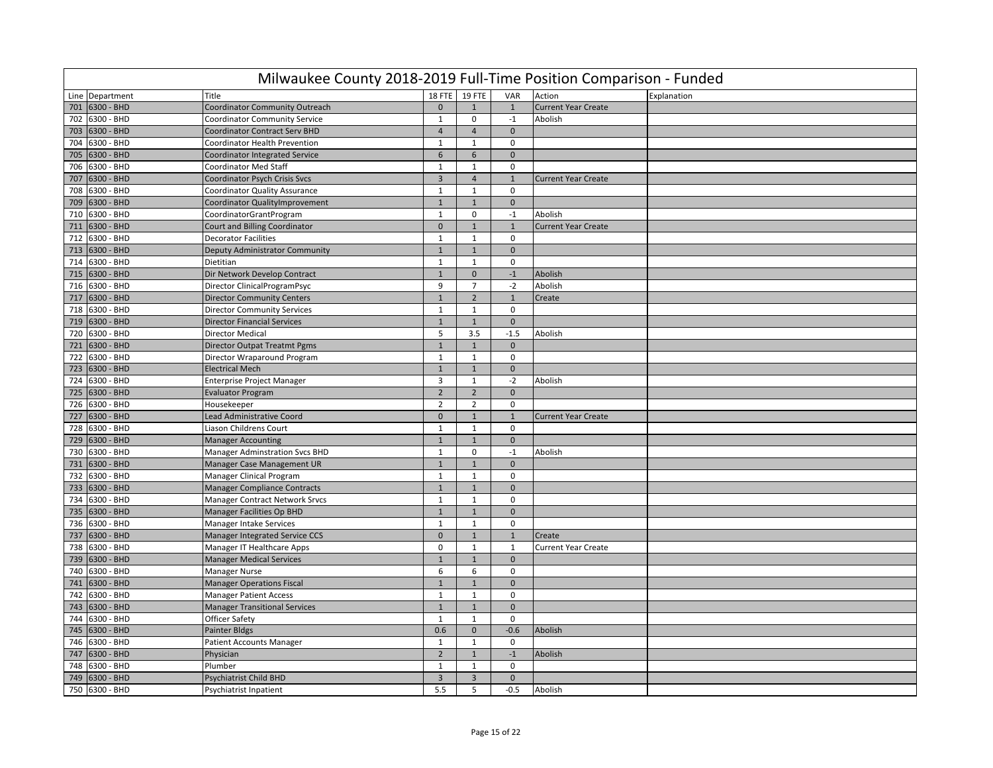|     | Milwaukee County 2018-2019 Full-Time Position Comparison - Funded |                                       |                |                |              |                            |             |  |  |  |  |
|-----|-------------------------------------------------------------------|---------------------------------------|----------------|----------------|--------------|----------------------------|-------------|--|--|--|--|
|     | Line Department                                                   | Title                                 | 18 FTE         | <b>19 FTE</b>  | VAR          | Action                     | Explanation |  |  |  |  |
| 701 | 6300 - BHD                                                        | Coordinator Community Outreach        | $\mathbf{0}$   | $\mathbf{1}$   | $\mathbf{1}$ | <b>Current Year Create</b> |             |  |  |  |  |
| 702 | 6300 - BHD                                                        | <b>Coordinator Community Service</b>  | $\mathbf{1}$   | $\mathsf 0$    | $-1$         | Abolish                    |             |  |  |  |  |
| 703 | 6300 - BHD                                                        | <b>Coordinator Contract Serv BHD</b>  | $\overline{4}$ | $\overline{4}$ | $\mathbf{0}$ |                            |             |  |  |  |  |
| 704 | 6300 - BHD                                                        | Coordinator Health Prevention         | $\mathbf{1}$   | $\mathbf{1}$   | $\mathbf 0$  |                            |             |  |  |  |  |
| 705 | 6300 - BHD                                                        | Coordinator Integrated Service        | $6\phantom{.}$ | 6              | $\mathbf{0}$ |                            |             |  |  |  |  |
| 706 | 6300 - BHD                                                        | Coordinator Med Staff                 | $\mathbf{1}$   | $\mathbf{1}$   | $\mathbf 0$  |                            |             |  |  |  |  |
| 707 | 6300 - BHD                                                        | Coordinator Psych Crisis Svcs         | $\overline{3}$ | $\overline{4}$ | $\mathbf{1}$ | <b>Current Year Create</b> |             |  |  |  |  |
| 708 | 6300 - BHD                                                        | <b>Coordinator Quality Assurance</b>  | $\mathbf{1}$   | $\mathbf{1}$   | $\mathbf 0$  |                            |             |  |  |  |  |
| 709 | 6300 - BHD                                                        | Coordinator QualityImprovement        | $\mathbf{1}$   | $\mathbf{1}$   | $\mathbf{0}$ |                            |             |  |  |  |  |
| 710 | 6300 - BHD                                                        | CoordinatorGrantProgram               | $\mathbf{1}$   | $\mathbf 0$    | $-1$         | Abolish                    |             |  |  |  |  |
| 711 | 6300 - BHD                                                        | <b>Court and Billing Coordinator</b>  | $\mathbf 0$    | $\mathbf{1}$   | $\mathbf{1}$ | <b>Current Year Create</b> |             |  |  |  |  |
| 712 | 6300 - BHD                                                        | <b>Decorator Facilities</b>           | $\mathbf{1}$   | $\mathbf{1}$   | $\mathbf 0$  |                            |             |  |  |  |  |
| 713 | 6300 - BHD                                                        | Deputy Administrator Community        | $\mathbf{1}$   | $\mathbf{1}$   | $\mathbf{0}$ |                            |             |  |  |  |  |
| 714 | 6300 - BHD                                                        | Dietitian                             | $\mathbf{1}$   | $\mathbf{1}$   | $\mathbf 0$  |                            |             |  |  |  |  |
| 715 | 6300 - BHD                                                        | Dir Network Develop Contract          | $\mathbf{1}$   | $\mathbf 0$    | $-1$         | Abolish                    |             |  |  |  |  |
| 716 | 6300 - BHD                                                        | Director ClinicalProgramPsyc          | 9              | $\overline{7}$ | $-2$         | Abolish                    |             |  |  |  |  |
| 717 | 6300 - BHD                                                        | <b>Director Community Centers</b>     | $\mathbf 1$    | $\overline{2}$ | $\mathbf{1}$ | Create                     |             |  |  |  |  |
| 718 | 6300 - BHD                                                        | <b>Director Community Services</b>    | $\mathbf{1}$   | $\mathbf{1}$   | $\mathbf 0$  |                            |             |  |  |  |  |
| 719 | 6300 - BHD                                                        | <b>Director Financial Services</b>    | $\mathbf{1}$   | $\mathbf{1}$   | $\mathbf 0$  |                            |             |  |  |  |  |
| 720 | 6300 - BHD                                                        | <b>Director Medical</b>               | 5              | 3.5            | $-1.5$       | Abolish                    |             |  |  |  |  |
| 721 | 6300 - BHD                                                        | <b>Director Outpat Treatmt Pgms</b>   | $\mathbf{1}$   | $\mathbf{1}$   | $\mathbf{0}$ |                            |             |  |  |  |  |
| 722 | 6300 - BHD                                                        | Director Wraparound Program           | $\mathbf{1}$   | $\mathbf{1}$   | $\mathbf 0$  |                            |             |  |  |  |  |
| 723 | 6300 - BHD                                                        | <b>Electrical Mech</b>                | $\mathbf{1}$   | $\mathbf{1}$   | $\mathbf 0$  |                            |             |  |  |  |  |
| 724 | 6300 - BHD                                                        | Enterprise Project Manager            | $\overline{3}$ | $\mathbf{1}$   | $-2$         | Abolish                    |             |  |  |  |  |
| 725 | 6300 - BHD                                                        | <b>Evaluator Program</b>              | $\overline{2}$ | $\overline{2}$ | $\mathbf{0}$ |                            |             |  |  |  |  |
| 726 | 6300 - BHD                                                        | Housekeeper                           | $\overline{2}$ | $\overline{2}$ | $\mathbf 0$  |                            |             |  |  |  |  |
| 727 | 6300 - BHD                                                        | Lead Administrative Coord             | $\mathbf 0$    | $1\,$          | $\mathbf{1}$ | <b>Current Year Create</b> |             |  |  |  |  |
| 728 | 6300 - BHD                                                        | Liason Childrens Court                | $\mathbf{1}$   | $\mathbf{1}$   | $\mathbf 0$  |                            |             |  |  |  |  |
| 729 | 6300 - BHD                                                        | <b>Manager Accounting</b>             | $1\,$          | $\mathbf{1}$   | $\mathbf{0}$ |                            |             |  |  |  |  |
| 730 | 6300 - BHD                                                        | <b>Manager Adminstration Svcs BHD</b> | $\mathbf{1}$   | $\mathbf 0$    | $-1$         | Abolish                    |             |  |  |  |  |
| 731 | 6300 - BHD                                                        | Manager Case Management UR            | $\mathbf{1}$   | $\mathbf{1}$   | $\mathbf{0}$ |                            |             |  |  |  |  |
| 732 | 6300 - BHD                                                        | Manager Clinical Program              | $\mathbf{1}$   | $\mathbf{1}$   | $\mathbf 0$  |                            |             |  |  |  |  |
|     | 733 6300 - BHD                                                    | <b>Manager Compliance Contracts</b>   | $\mathbf{1}$   | $\mathbf{1}$   | $\mathbf{0}$ |                            |             |  |  |  |  |
| 734 | 6300 - BHD                                                        | <b>Manager Contract Network Srvcs</b> | $\mathbf{1}$   | $\mathbf{1}$   | $\mathbf 0$  |                            |             |  |  |  |  |
| 735 | 6300 - BHD                                                        | <b>Manager Facilities Op BHD</b>      | $\mathbf{1}$   | $\mathbf{1}$   | $\mathbf{0}$ |                            |             |  |  |  |  |
| 736 | 6300 - BHD                                                        | <b>Manager Intake Services</b>        | $\mathbf{1}$   | $\mathbf{1}$   | $\mathsf 0$  |                            |             |  |  |  |  |
| 737 | 6300 - BHD                                                        | <b>Manager Integrated Service CCS</b> | $\mathbf 0$    | $1\,$          | $\mathbf{1}$ | Create                     |             |  |  |  |  |
| 738 | 6300 - BHD                                                        | Manager IT Healthcare Apps            | $\mathbf 0$    | $\mathbf{1}$   | $\mathbf{1}$ | <b>Current Year Create</b> |             |  |  |  |  |
| 739 | 6300 - BHD                                                        | <b>Manager Medical Services</b>       | $\mathbf 1$    | $1\,$          | $\mathbf 0$  |                            |             |  |  |  |  |
| 740 | 6300 - BHD                                                        | Manager Nurse                         | 6              | 6              | $\mathbf 0$  |                            |             |  |  |  |  |
| 741 | 6300 - BHD                                                        | <b>Manager Operations Fiscal</b>      | $\mathbf{1}$   | $\mathbf{1}$   | $\mathbf 0$  |                            |             |  |  |  |  |
| 742 | 6300 - BHD                                                        | <b>Manager Patient Access</b>         | $\mathbf{1}$   | $\mathbf{1}$   | $\mathsf 0$  |                            |             |  |  |  |  |
| 743 | 6300 - BHD                                                        | <b>Manager Transitional Services</b>  | $\mathbf{1}$   | $\mathbf{1}$   | $\mathbf{0}$ |                            |             |  |  |  |  |
| 744 | 6300 - BHD                                                        | <b>Officer Safety</b>                 | $\mathbf{1}$   | $\mathbf{1}$   | $\mathbf 0$  |                            |             |  |  |  |  |
| 745 | 6300 - BHD                                                        | Painter Bldgs                         | 0.6            | $\pmb{0}$      | $-0.6$       | Abolish                    |             |  |  |  |  |
| 746 | 6300 - BHD                                                        | <b>Patient Accounts Manager</b>       | $\mathbf{1}$   | $\mathbf{1}$   | $\mathbf 0$  |                            |             |  |  |  |  |
| 747 | 6300 - BHD                                                        | Physician                             | $\overline{2}$ | $\mathbf{1}$   | $-1$         | Abolish                    |             |  |  |  |  |
| 748 | 6300 - BHD                                                        | Plumber                               | $\mathbf{1}$   | $\mathbf{1}$   | $\mathbf 0$  |                            |             |  |  |  |  |
| 749 | 6300 - BHD                                                        | Psychiatrist Child BHD                | $\overline{3}$ | $\overline{3}$ | $\mathbf 0$  |                            |             |  |  |  |  |
|     | 750 6300 - BHD                                                    | Psychiatrist Inpatient                | 5.5            | 5              | $-0.5$       | Abolish                    |             |  |  |  |  |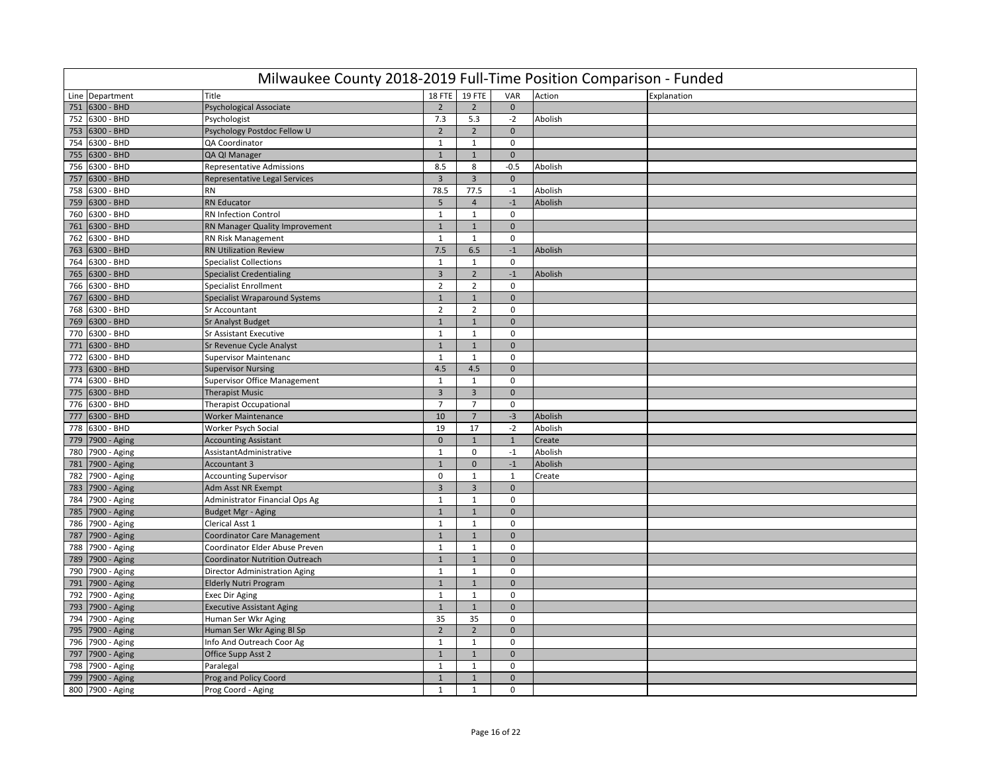|     | Milwaukee County 2018-2019 Full-Time Position Comparison - Funded |                                       |                |                         |              |         |             |  |  |  |  |
|-----|-------------------------------------------------------------------|---------------------------------------|----------------|-------------------------|--------------|---------|-------------|--|--|--|--|
|     | Line Department                                                   | Title                                 | 18 FTE         | <b>19 FTE</b>           | VAR          | Action  | Explanation |  |  |  |  |
| 751 | 6300 - BHD                                                        | <b>Psychological Associate</b>        | $\overline{2}$ | $\overline{2}$          | $\mathbf{0}$ |         |             |  |  |  |  |
| 752 | 6300 - BHD                                                        | Psychologist                          | 7.3            | 5.3                     | $-2$         | Abolish |             |  |  |  |  |
| 753 | 6300 - BHD                                                        | Psychology Postdoc Fellow U           | $\overline{2}$ | $\overline{2}$          | $\mathbf 0$  |         |             |  |  |  |  |
| 754 | 6300 - BHD                                                        | QA Coordinator                        | $\mathbf 1$    | $\mathbf{1}$            | $\mathbf 0$  |         |             |  |  |  |  |
| 755 | 6300 - BHD                                                        | QA QI Manager                         | $\mathbf{1}$   | $\mathbf{1}$            | $\mathbf{0}$ |         |             |  |  |  |  |
| 756 | 6300 - BHD                                                        | Representative Admissions             | 8.5            | 8                       | $-0.5$       | Abolish |             |  |  |  |  |
| 757 | 6300 - BHD                                                        | Representative Legal Services         | $\overline{3}$ | $\overline{\mathbf{3}}$ | $\mathbf{0}$ |         |             |  |  |  |  |
| 758 | 6300 - BHD                                                        | <b>RN</b>                             | 78.5           | 77.5                    | $-1$         | Abolish |             |  |  |  |  |
| 759 | 6300 - BHD                                                        | <b>RN Educator</b>                    | 5              | $\overline{4}$          | $-1$         | Abolish |             |  |  |  |  |
| 760 | 6300 - BHD                                                        | <b>RN Infection Control</b>           | $\mathbf{1}$   | $\mathbf{1}$            | $\mathsf 0$  |         |             |  |  |  |  |
| 761 | 6300 - BHD                                                        | RN Manager Quality Improvement        | $\mathbf{1}$   | $\mathbf{1}$            | $\mathbf{0}$ |         |             |  |  |  |  |
| 762 | 6300 - BHD                                                        | RN Risk Management                    | $1\,$          | $\mathbf{1}$            | $\mathbf 0$  |         |             |  |  |  |  |
| 763 | 6300 - BHD                                                        | <b>RN Utilization Review</b>          | 7.5            | 6.5                     | $-1$         | Abolish |             |  |  |  |  |
| 764 | 6300 - BHD                                                        | <b>Specialist Collections</b>         | $\mathbf{1}$   | $\mathbf{1}$            | $\mathbf 0$  |         |             |  |  |  |  |
| 765 | 6300 - BHD                                                        | <b>Specialist Credentialing</b>       | $\overline{3}$ | $\overline{2}$          | $-1$         | Abolish |             |  |  |  |  |
| 766 | 6300 - BHD                                                        | <b>Specialist Enrollment</b>          | $\overline{2}$ | $\overline{2}$          | $\mathbf 0$  |         |             |  |  |  |  |
| 767 | 6300 - BHD                                                        | <b>Specialist Wraparound Systems</b>  | $\mathbf{1}$   | $1\,$                   | $\mathbf 0$  |         |             |  |  |  |  |
| 768 | 6300 - BHD                                                        | <b>Sr Accountant</b>                  | $\overline{2}$ | $\overline{2}$          | $\mathbf 0$  |         |             |  |  |  |  |
| 769 | 6300 - BHD                                                        | <b>Sr Analyst Budget</b>              | $\mathbf{1}$   | $\mathbf{1}$            | $\mathbf{0}$ |         |             |  |  |  |  |
| 770 | 6300 - BHD                                                        | <b>Sr Assistant Executive</b>         | $\mathbf{1}$   | $\mathbf{1}$            | $\mathbf 0$  |         |             |  |  |  |  |
|     | 771 6300 - BHD                                                    | Sr Revenue Cycle Analyst              | $\mathbf{1}$   | $\mathbf{1}$            | $\mathbf{0}$ |         |             |  |  |  |  |
| 772 | 6300 - BHD                                                        | <b>Supervisor Maintenanc</b>          | $\mathbf{1}$   | $\mathbf{1}$            | $\mathbf 0$  |         |             |  |  |  |  |
| 773 | 6300 - BHD                                                        | <b>Supervisor Nursing</b>             | 4.5            | 4.5                     | $\mathbf 0$  |         |             |  |  |  |  |
| 774 | 6300 - BHD                                                        | Supervisor Office Management          | $1\,$          | $\mathbf{1}$            | $\mathbf 0$  |         |             |  |  |  |  |
| 775 | 6300 - BHD                                                        | <b>Therapist Music</b>                | $\overline{3}$ | $\overline{3}$          | $\mathbf 0$  |         |             |  |  |  |  |
|     | 776 6300 - BHD                                                    | <b>Therapist Occupational</b>         | $\overline{7}$ | $\overline{7}$          | $\mathbf 0$  |         |             |  |  |  |  |
| 777 | 6300 - BHD                                                        | <b>Worker Maintenance</b>             | 10             | $\overline{7}$          | $-3$         | Abolish |             |  |  |  |  |
| 778 | 6300 - BHD                                                        | Worker Psych Social                   | 19             | 17                      | $-2$         | Abolish |             |  |  |  |  |
| 779 | 7900 - Aging                                                      | <b>Accounting Assistant</b>           | $\mathbf 0$    | $\mathbf{1}$            | $\mathbf{1}$ | Create  |             |  |  |  |  |
| 780 | 7900 - Aging                                                      | AssistantAdministrative               | $\mathbf{1}$   | $\mathbf 0$             | $-1$         | Abolish |             |  |  |  |  |
| 781 | 7900 - Aging                                                      | Accountant 3                          | $\mathbf{1}$   | $\overline{0}$          | $-1$         | Abolish |             |  |  |  |  |
| 782 | 7900 - Aging                                                      | <b>Accounting Supervisor</b>          | $\mathbf 0$    | $\mathbf{1}$            | $\mathbf{1}$ | Create  |             |  |  |  |  |
|     | 783 7900 - Aging                                                  | Adm Asst NR Exempt                    | $\overline{3}$ | $\overline{\mathbf{3}}$ | $\mathbf{0}$ |         |             |  |  |  |  |
|     | 784 7900 - Aging                                                  | Administrator Financial Ops Ag        | $\mathbf{1}$   | $\mathbf{1}$            | $\mathbf 0$  |         |             |  |  |  |  |
| 785 | 7900 - Aging                                                      | <b>Budget Mgr - Aging</b>             | $\mathbf{1}$   | $1\,$                   | $\mathbf{0}$ |         |             |  |  |  |  |
|     | 786 7900 - Aging                                                  | Clerical Asst 1                       | $\mathbf{1}$   | $\mathbf{1}$            | $\mathbf 0$  |         |             |  |  |  |  |
|     | 787 7900 - Aging                                                  | <b>Coordinator Care Management</b>    | $\mathbf{1}$   | $\mathbf{1}$            | $\mathbf{0}$ |         |             |  |  |  |  |
| 788 | 7900 - Aging                                                      | Coordinator Elder Abuse Preven        | $\mathbf{1}$   | $\mathbf{1}$            | $\mathbf 0$  |         |             |  |  |  |  |
| 789 | 7900 - Aging                                                      | <b>Coordinator Nutrition Outreach</b> | $\mathbf{1}$   | $\mathbf{1}$            | $\mathbf{0}$ |         |             |  |  |  |  |
|     | 790 7900 - Aging                                                  | Director Administration Aging         | $\mathbf{1}$   | $\mathbf{1}$            | $\mathbf 0$  |         |             |  |  |  |  |
| 791 | 7900 - Aging                                                      | <b>Elderly Nutri Program</b>          | $\mathbf{1}$   | $1\,$                   | $\mathbf 0$  |         |             |  |  |  |  |
| 792 | 7900 - Aging                                                      | <b>Exec Dir Aging</b>                 | $\mathbf{1}$   | $\mathbf{1}$            | $\mathbf 0$  |         |             |  |  |  |  |
|     | 793 7900 - Aging                                                  | <b>Executive Assistant Aging</b>      | $\mathbf{1}$   | $\mathbf{1}$            | $\mathbf{0}$ |         |             |  |  |  |  |
| 794 | 7900 - Aging                                                      | Human Ser Wkr Aging                   | 35             | 35                      | $\mathbf 0$  |         |             |  |  |  |  |
|     | 795 7900 - Aging                                                  | Human Ser Wkr Aging Bl Sp             | $\overline{2}$ | $\overline{2}$          | $\mathbf 0$  |         |             |  |  |  |  |
| 796 | 7900 - Aging                                                      | Info And Outreach Coor Ag             | $\mathbf{1}$   | $\mathbf{1}$            | $\mathbf 0$  |         |             |  |  |  |  |
| 797 | 7900 - Aging                                                      | Office Supp Asst 2                    | $\mathbf{1}$   | $1\,$                   | $\mathbf 0$  |         |             |  |  |  |  |
| 798 | 7900 - Aging                                                      | Paralegal                             | $\mathbf{1}$   | $\mathbf{1}$            | 0            |         |             |  |  |  |  |
| 799 | 7900 - Aging                                                      | Prog and Policy Coord                 | $\mathbf{1}$   | $\mathbf{1}$            | $\mathbf{0}$ |         |             |  |  |  |  |
|     | 800 7900 - Aging                                                  | Prog Coord - Aging                    | $\mathbf{1}$   | $\mathbf{1}$            | $\mathbf 0$  |         |             |  |  |  |  |
|     |                                                                   |                                       |                |                         |              |         |             |  |  |  |  |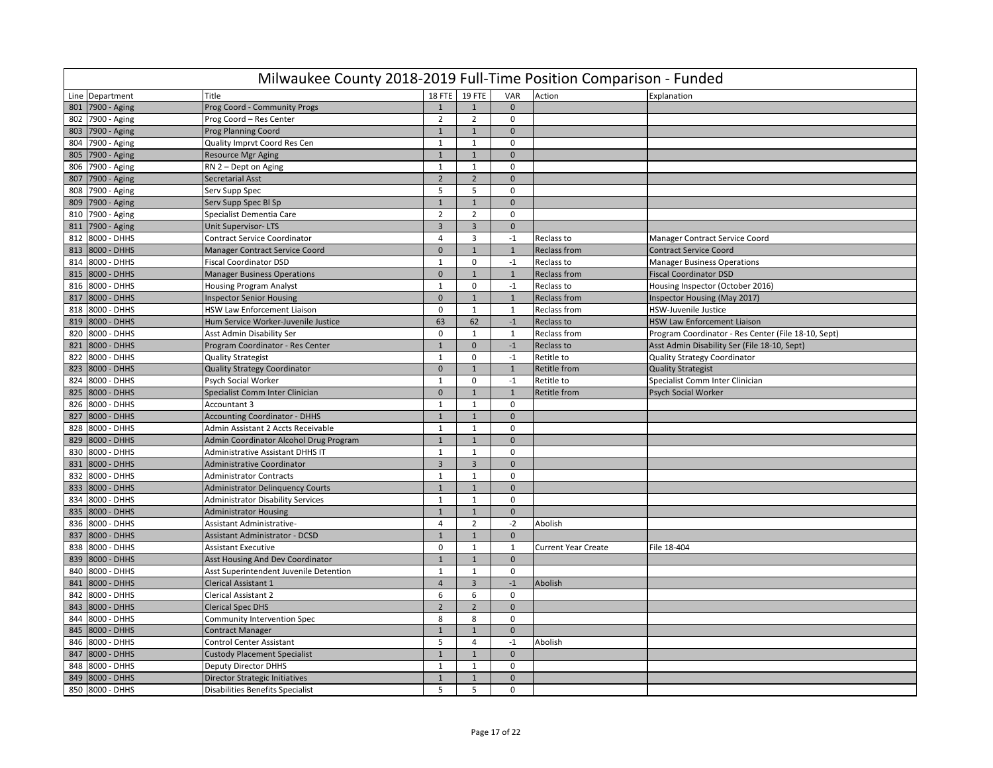|     | Milwaukee County 2018-2019 Full-Time Position Comparison - Funded |                                          |                |                |              |                            |                                                     |  |  |  |  |
|-----|-------------------------------------------------------------------|------------------------------------------|----------------|----------------|--------------|----------------------------|-----------------------------------------------------|--|--|--|--|
|     | Line Department                                                   | Title                                    |                | 18 FTE 19 FTE  | VAR          | Action                     | Explanation                                         |  |  |  |  |
| 801 | 7900 - Aging                                                      | Prog Coord - Community Progs             | $\mathbf{1}$   | $\mathbf{1}$   | $\Omega$     |                            |                                                     |  |  |  |  |
|     | 802 7900 - Aging                                                  | Prog Coord - Res Center                  | $\overline{2}$ | $\overline{2}$ | $\mathbf 0$  |                            |                                                     |  |  |  |  |
|     | 803 7900 - Aging                                                  | <b>Prog Planning Coord</b>               | $\mathbf{1}$   | $\mathbf{1}$   | $\mathbf{0}$ |                            |                                                     |  |  |  |  |
|     | 804 7900 - Aging                                                  | Quality Imprvt Coord Res Cen             | 1              | $\mathbf{1}$   | $\mathbf 0$  |                            |                                                     |  |  |  |  |
| 805 | 7900 - Aging                                                      | <b>Resource Mgr Aging</b>                | $\mathbf{1}$   | $\mathbf{1}$   | $\mathbf{0}$ |                            |                                                     |  |  |  |  |
| 806 | 7900 - Aging                                                      | RN 2 - Dept on Aging                     | $\mathbf{1}$   | $\mathbf{1}$   | $\mathbf 0$  |                            |                                                     |  |  |  |  |
| 807 | 7900 - Aging                                                      | <b>Secretarial Asst</b>                  | $\overline{2}$ | $\overline{2}$ | $\mathbf{0}$ |                            |                                                     |  |  |  |  |
| 808 | 7900 - Aging                                                      | Serv Supp Spec                           | 5              | 5              | $\mathbf 0$  |                            |                                                     |  |  |  |  |
|     | 809 7900 - Aging                                                  | Serv Supp Spec Bl Sp                     | $\mathbf{1}$   | $\mathbf{1}$   | $\mathbf{0}$ |                            |                                                     |  |  |  |  |
| 810 | 7900 - Aging                                                      | Specialist Dementia Care                 | $\overline{2}$ | $\overline{2}$ | $\mathbf 0$  |                            |                                                     |  |  |  |  |
| 811 | 7900 - Aging                                                      | <b>Unit Supervisor-LTS</b>               | $\overline{3}$ | $\overline{3}$ | $\mathbf{0}$ |                            |                                                     |  |  |  |  |
| 812 | 8000 - DHHS                                                       | <b>Contract Service Coordinator</b>      | $\overline{4}$ | $\overline{3}$ | $-1$         | Reclass to                 | Manager Contract Service Coord                      |  |  |  |  |
| 813 | 8000 - DHHS                                                       | <b>Manager Contract Service Coord</b>    | $\mathbf 0$    | $\mathbf{1}$   | $\mathbf{1}$ | <b>Reclass from</b>        | <b>Contract Service Coord</b>                       |  |  |  |  |
| 814 | 8000 - DHHS                                                       | <b>Fiscal Coordinator DSD</b>            | 1              | $\mathbf 0$    | $-1$         | Reclass to                 | <b>Manager Business Operations</b>                  |  |  |  |  |
| 815 | 8000 - DHHS                                                       | <b>Manager Business Operations</b>       | $\mathbf 0$    | $\mathbf{1}$   | $\mathbf{1}$ | <b>Reclass from</b>        | <b>Fiscal Coordinator DSD</b>                       |  |  |  |  |
| 816 | 8000 - DHHS                                                       | <b>Housing Program Analyst</b>           | $\mathbf{1}$   | $\Omega$       | $-1$         | Reclass to                 | Housing Inspector (October 2016)                    |  |  |  |  |
| 817 | 8000 - DHHS                                                       | <b>Inspector Senior Housing</b>          | $\mathbf{0}$   | $\mathbf{1}$   | $\mathbf{1}$ | <b>Reclass from</b>        | Inspector Housing (May 2017)                        |  |  |  |  |
| 818 | 8000 - DHHS                                                       | HSW Law Enforcement Liaison              | $\mathbf 0$    | $\mathbf{1}$   | $\mathbf{1}$ | Reclass from               | HSW-Juvenile Justice                                |  |  |  |  |
| 819 | 8000 - DHHS                                                       | Hum Service Worker-Juvenile Justice      | 63             | 62             | $-1$         | Reclass to                 | <b>HSW Law Enforcement Liaison</b>                  |  |  |  |  |
| 820 | 8000 - DHHS                                                       | Asst Admin Disability Ser                | $\bf 0$        | $\mathbf{1}$   | 1            | Reclass from               | Program Coordinator - Res Center (File 18-10, Sept) |  |  |  |  |
| 821 | 8000 - DHHS                                                       | Program Coordinator - Res Center         | $\mathbf{1}$   | $\mathbf 0$    | $-1$         | Reclass to                 | Asst Admin Disability Ser (File 18-10, Sept)        |  |  |  |  |
| 822 | 8000 - DHHS                                                       | <b>Quality Strategist</b>                | $\mathbf{1}$   | $\mathbf 0$    | $-1$         | Retitle to                 | <b>Quality Strategy Coordinator</b>                 |  |  |  |  |
| 823 | 8000 - DHHS                                                       | Quality Strategy Coordinator             | $\mathbf 0$    | $\mathbf{1}$   | $\mathbf{1}$ | <b>Retitle from</b>        | <b>Quality Strategist</b>                           |  |  |  |  |
| 824 | 8000 - DHHS                                                       | Psych Social Worker                      | $\mathbf{1}$   | $\mathbf 0$    | $-1$         | Retitle to                 | Specialist Comm Inter Clinician                     |  |  |  |  |
| 825 | 8000 - DHHS                                                       | Specialist Comm Inter Clinician          | $\mathbf{0}$   | $\mathbf{1}$   | 1            | <b>Retitle from</b>        | <b>Psych Social Worker</b>                          |  |  |  |  |
| 826 | 8000 - DHHS                                                       | Accountant 3                             | $\mathbf{1}$   | $\mathbf{1}$   | 0            |                            |                                                     |  |  |  |  |
| 827 | 8000 - DHHS                                                       | <b>Accounting Coordinator - DHHS</b>     | $\mathbf{1}$   | $\mathbf{1}$   | $\mathbf{0}$ |                            |                                                     |  |  |  |  |
| 828 | 8000 - DHHS                                                       | Admin Assistant 2 Accts Receivable       | $\mathbf{1}$   | $\mathbf{1}$   | $\mathbf 0$  |                            |                                                     |  |  |  |  |
| 829 | 8000 - DHHS                                                       | Admin Coordinator Alcohol Drug Program   | $\mathbf{1}$   | $\mathbf{1}$   | $\mathbf{0}$ |                            |                                                     |  |  |  |  |
| 830 | 8000 - DHHS                                                       | <b>Administrative Assistant DHHS IT</b>  | $\mathbf{1}$   | $\mathbf{1}$   | $\mathbf 0$  |                            |                                                     |  |  |  |  |
| 831 | 8000 - DHHS                                                       | Administrative Coordinator               | $\overline{3}$ | $\overline{3}$ | $\Omega$     |                            |                                                     |  |  |  |  |
| 832 | 8000 - DHHS                                                       | <b>Administrator Contracts</b>           | $\mathbf{1}$   | $\mathbf{1}$   | $\mathbf 0$  |                            |                                                     |  |  |  |  |
| 833 | 8000 - DHHS                                                       | <b>Administrator Delinquency Courts</b>  | $\mathbf{1}$   | $\mathbf{1}$   | $\mathbf{0}$ |                            |                                                     |  |  |  |  |
| 834 | 8000 - DHHS                                                       | <b>Administrator Disability Services</b> | $\mathbf{1}$   | $\mathbf{1}$   | $\mathbf 0$  |                            |                                                     |  |  |  |  |
| 835 | 8000 - DHHS                                                       | <b>Administrator Housing</b>             | $\mathbf{1}$   | $\mathbf{1}$   | $\mathbf{0}$ |                            |                                                     |  |  |  |  |
| 836 | 8000 - DHHS                                                       | Assistant Administrative-                | $\overline{4}$ | $\overline{2}$ | $-2$         | Abolish                    |                                                     |  |  |  |  |
| 837 | 8000 - DHHS                                                       | Assistant Administrator - DCSD           | $\mathbf{1}$   | $\mathbf{1}$   | $\mathbf 0$  |                            |                                                     |  |  |  |  |
| 838 | 8000 - DHHS                                                       | <b>Assistant Executive</b>               | $\mathbf 0$    | $\mathbf{1}$   | 1            | <b>Current Year Create</b> | File 18-404                                         |  |  |  |  |
| 839 | 8000 - DHHS                                                       | <b>Asst Housing And Dev Coordinator</b>  | $\mathbf 1$    | $\mathbf{1}$   | $\mathbf 0$  |                            |                                                     |  |  |  |  |
| 840 | 8000 - DHHS                                                       | Asst Superintendent Juvenile Detention   | $\mathbf{1}$   | $\mathbf{1}$   | $\Omega$     |                            |                                                     |  |  |  |  |
| 841 | 8000 - DHHS                                                       | <b>Clerical Assistant 1</b>              | $\overline{4}$ | $\overline{3}$ | $-1$         | Abolish                    |                                                     |  |  |  |  |
| 842 | 8000 - DHHS                                                       | <b>Clerical Assistant 2</b>              | 6              | 6              | $\mathbf 0$  |                            |                                                     |  |  |  |  |
| 843 | 8000 - DHHS                                                       | <b>Clerical Spec DHS</b>                 | $\overline{2}$ | $\overline{2}$ | $\Omega$     |                            |                                                     |  |  |  |  |
| 844 | 8000 - DHHS                                                       | Community Intervention Spec              | 8              | 8              | 0            |                            |                                                     |  |  |  |  |
| 845 | 8000 - DHHS                                                       | <b>Contract Manager</b>                  | $\mathbf{1}$   | $\mathbf{1}$   | $\mathbf{0}$ |                            |                                                     |  |  |  |  |
| 846 | 8000 - DHHS                                                       | <b>Control Center Assistant</b>          | 5              | $\overline{4}$ | $-1$         | Abolish                    |                                                     |  |  |  |  |
| 847 | 8000 - DHHS                                                       | <b>Custody Placement Specialist</b>      | $\mathbf{1}$   | $\mathbf{1}$   | $\mathbf{0}$ |                            |                                                     |  |  |  |  |
| 848 | 8000 - DHHS                                                       | <b>Deputy Director DHHS</b>              | $\mathbf{1}$   | $\mathbf{1}$   | $\mathbf 0$  |                            |                                                     |  |  |  |  |
| 849 | 8000 - DHHS                                                       | Director Strategic Initiatives           | $\mathbf{1}$   | $\mathbf{1}$   | $\mathbf{0}$ |                            |                                                     |  |  |  |  |
|     | 850 8000 - DHHS                                                   | <b>Disabilities Benefits Specialist</b>  | 5              | 5              | $\mathbf 0$  |                            |                                                     |  |  |  |  |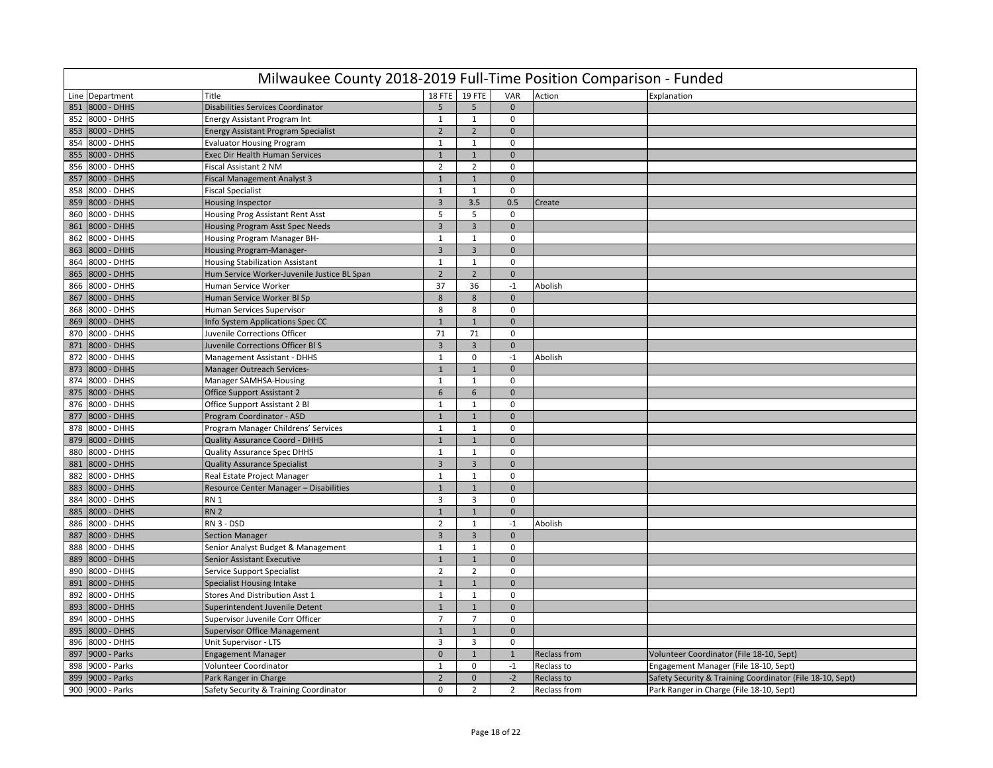|     | Milwaukee County 2018-2019 Full-Time Position Comparison - Funded |                                             |                         |                |                |              |                                                           |  |  |  |  |
|-----|-------------------------------------------------------------------|---------------------------------------------|-------------------------|----------------|----------------|--------------|-----------------------------------------------------------|--|--|--|--|
|     | Line Department                                                   | Title                                       | <b>18 FTE</b>           | <b>19 FTE</b>  | VAR            | Action       | Explanation                                               |  |  |  |  |
| 851 | 8000 - DHHS                                                       | Disabilities Services Coordinator           | 5                       | 5              | $\mathbf{0}$   |              |                                                           |  |  |  |  |
| 852 | 8000 - DHHS                                                       | <b>Energy Assistant Program Int</b>         | 1                       | 1              | $\mathbf 0$    |              |                                                           |  |  |  |  |
|     | 853 8000 - DHHS                                                   | <b>Energy Assistant Program Specialist</b>  | $\overline{2}$          | $\overline{2}$ | $\mathbf{0}$   |              |                                                           |  |  |  |  |
| 854 | 8000 - DHHS                                                       | <b>Evaluator Housing Program</b>            | $\mathbf{1}$            | $\mathbf{1}$   | $\mathbf 0$    |              |                                                           |  |  |  |  |
| 855 | 8000 - DHHS                                                       | Exec Dir Health Human Services              | $1\,$                   | $\mathbf{1}$   | $\mathbf{0}$   |              |                                                           |  |  |  |  |
| 856 | 8000 - DHHS                                                       | <b>Fiscal Assistant 2 NM</b>                | $\overline{2}$          | $\overline{2}$ | $\mathbf 0$    |              |                                                           |  |  |  |  |
| 857 | 8000 - DHHS                                                       | <b>Fiscal Management Analyst 3</b>          | $\mathbf{1}$            | $\mathbf{1}$   | $\mathbf{0}$   |              |                                                           |  |  |  |  |
| 858 | 8000 - DHHS                                                       | <b>Fiscal Specialist</b>                    | 1                       | 1              | $\mathbf 0$    |              |                                                           |  |  |  |  |
| 859 | 8000 - DHHS                                                       | <b>Housing Inspector</b>                    | $\mathbf{3}$            | 3.5            | 0.5            | Create       |                                                           |  |  |  |  |
| 860 | 8000 - DHHS                                                       | Housing Prog Assistant Rent Asst            | 5                       | 5              | $\mathbf 0$    |              |                                                           |  |  |  |  |
| 861 | 8000 - DHHS                                                       | Housing Program Asst Spec Needs             | $\overline{3}$          | $\overline{3}$ | $\mathbf{0}$   |              |                                                           |  |  |  |  |
| 862 | 8000 - DHHS                                                       | Housing Program Manager BH-                 | $\mathbf{1}$            | $\mathbf{1}$   | $\mathsf 0$    |              |                                                           |  |  |  |  |
| 863 | 8000 - DHHS                                                       | Housing Program-Manager-                    | $\overline{3}$          | $\overline{3}$ | $\mathbf{0}$   |              |                                                           |  |  |  |  |
| 864 | 8000 - DHHS                                                       | <b>Housing Stabilization Assistant</b>      | 1                       | $\mathbf{1}$   | $\mathbf 0$    |              |                                                           |  |  |  |  |
| 865 | 8000 - DHHS                                                       | Hum Service Worker-Juvenile Justice BL Span | $\overline{2}$          | $\overline{2}$ | $\mathbf 0$    |              |                                                           |  |  |  |  |
| 866 | 8000 - DHHS                                                       | Human Service Worker                        | 37                      | 36             | $-1$           | Abolish      |                                                           |  |  |  |  |
| 867 | 8000 - DHHS                                                       | Human Service Worker Bl Sp                  | $\bf 8$                 | 8              | $\mathbf{0}$   |              |                                                           |  |  |  |  |
| 868 | 8000 - DHHS                                                       | Human Services Supervisor                   | 8                       | 8              | $\pmb{0}$      |              |                                                           |  |  |  |  |
| 869 | 8000 - DHHS                                                       | Info System Applications Spec CC            | $\mathbf{1}$            | $\mathbf{1}$   | $\Omega$       |              |                                                           |  |  |  |  |
| 870 | 8000 - DHHS                                                       | <b>Juvenile Corrections Officer</b>         | 71                      | 71             | $\mathbf 0$    |              |                                                           |  |  |  |  |
| 871 | 8000 - DHHS                                                       | Juvenile Corrections Officer BIS            | $\overline{3}$          | $\overline{3}$ | $\mathbf 0$    |              |                                                           |  |  |  |  |
| 872 | 8000 - DHHS                                                       | <b>Management Assistant - DHHS</b>          | $\mathbf{1}$            | $\mathbf{0}$   | $-1$           | Abolish      |                                                           |  |  |  |  |
| 873 | 8000 - DHHS                                                       | Manager Outreach Services-                  | $\mathbf 1$             | $\mathbf{1}$   | $\mathbf 0$    |              |                                                           |  |  |  |  |
| 874 | 8000 - DHHS                                                       | Manager SAMHSA-Housing                      | $\mathbf{1}$            | $\mathbf{1}$   | $\mathsf 0$    |              |                                                           |  |  |  |  |
| 875 | 8000 - DHHS                                                       | <b>Office Support Assistant 2</b>           | 6                       | 6              | $\mathbf{0}$   |              |                                                           |  |  |  |  |
| 876 | 8000 - DHHS                                                       | Office Support Assistant 2 Bl               | 1                       | $\mathbf{1}$   | $\mathbf 0$    |              |                                                           |  |  |  |  |
| 877 | 8000 - DHHS                                                       | Program Coordinator - ASD                   | $\mathbf{1}$            | $1\,$          | $\mathbf{0}$   |              |                                                           |  |  |  |  |
| 878 | 8000 - DHHS                                                       | Program Manager Childrens' Services         | $\mathbf{1}$            | $\mathbf{1}$   | $\Omega$       |              |                                                           |  |  |  |  |
| 879 | 8000 - DHHS                                                       | <b>Quality Assurance Coord - DHHS</b>       | $\mathbf{1}$            | $\mathbf{1}$   | $\mathbf 0$    |              |                                                           |  |  |  |  |
| 880 | 8000 - DHHS                                                       | <b>Quality Assurance Spec DHHS</b>          | $\mathbf{1}$            | 1              | $\mathbf 0$    |              |                                                           |  |  |  |  |
| 881 | 8000 - DHHS                                                       | <b>Quality Assurance Specialist</b>         | $\overline{3}$          | 3              | $\mathbf{0}$   |              |                                                           |  |  |  |  |
| 882 | 8000 - DHHS                                                       | Real Estate Project Manager                 | $\mathbf{1}$            | $\mathbf{1}$   | $\mathsf 0$    |              |                                                           |  |  |  |  |
| 883 | 8000 - DHHS                                                       | Resource Center Manager - Disabilities      | $\mathbf{1}$            | $\mathbf{1}$   | $\mathbf{0}$   |              |                                                           |  |  |  |  |
| 884 | 8000 - DHHS                                                       | RN <sub>1</sub>                             | 3                       | $\overline{3}$ | $\mathbf 0$    |              |                                                           |  |  |  |  |
| 885 | 8000 - DHHS                                                       | <b>RN 2</b>                                 | $\mathbf 1$             | $1\,$          | $\mathbf 0$    |              |                                                           |  |  |  |  |
| 886 | 8000 - DHHS                                                       | RN 3 - DSD                                  | $\overline{2}$          | $\mathbf{1}$   | $-1$           | Abolish      |                                                           |  |  |  |  |
| 887 | 8000 - DHHS                                                       | <b>Section Manager</b>                      | $\overline{\mathbf{3}}$ | $\overline{3}$ | $\mathbf 0$    |              |                                                           |  |  |  |  |
| 888 | 8000 - DHHS                                                       | Senior Analyst Budget & Management          | $\mathbf{1}$            | $\mathbf{1}$   | $\mathbf 0$    |              |                                                           |  |  |  |  |
| 889 | 8000 - DHHS                                                       | Senior Assistant Executive                  | $\mathbf 1$             | $\mathbf{1}$   | $\mathbf{0}$   |              |                                                           |  |  |  |  |
| 890 | 8000 - DHHS                                                       | Service Support Specialist                  | $\overline{2}$          | $\overline{2}$ | $\mathbf 0$    |              |                                                           |  |  |  |  |
| 891 | 8000 - DHHS                                                       | <b>Specialist Housing Intake</b>            | $\mathbf 1$             | $\mathbf{1}$   | $\mathbf 0$    |              |                                                           |  |  |  |  |
| 892 | 8000 - DHHS                                                       | Stores And Distribution Asst 1              | $\mathbf{1}$            | $\mathbf{1}$   | $\mathbf 0$    |              |                                                           |  |  |  |  |
| 893 | 8000 - DHHS                                                       | Superintendent Juvenile Detent              | $\mathbf{1}$            | $\mathbf{1}$   | $\mathbf{0}$   |              |                                                           |  |  |  |  |
| 894 | 8000 - DHHS                                                       | Supervisor Juvenile Corr Officer            | $\overline{7}$          | $\overline{7}$ | $\pmb{0}$      |              |                                                           |  |  |  |  |
| 895 | 8000 - DHHS                                                       | <b>Supervisor Office Management</b>         | $\mathbf{1}$            | $\mathbf{1}$   | $\mathbf{0}$   |              |                                                           |  |  |  |  |
| 896 | 8000 - DHHS                                                       | Unit Supervisor - LTS                       | $\overline{3}$          | $\overline{3}$ | $\mathbf 0$    |              |                                                           |  |  |  |  |
| 897 | 9000 - Parks                                                      | <b>Engagement Manager</b>                   | $\mathbf 0$             | $\mathbf{1}$   | $\mathbf{1}$   | Reclass from | Volunteer Coordinator (File 18-10, Sept)                  |  |  |  |  |
| 898 | 9000 - Parks                                                      | Volunteer Coordinator                       | $\mathbf{1}$            | $\mathbf 0$    | $-1$           | Reclass to   | Engagement Manager (File 18-10, Sept)                     |  |  |  |  |
| 899 | 9000 - Parks                                                      | Park Ranger in Charge                       | $\overline{2}$          | $\mathbf{0}$   | $-2$           | Reclass to   | Safety Security & Training Coordinator (File 18-10, Sept) |  |  |  |  |
|     | 900 9000 - Parks                                                  | Safety Security & Training Coordinator      | $\mathbf 0$             | $\overline{2}$ | $\overline{2}$ | Reclass from | Park Ranger in Charge (File 18-10, Sept)                  |  |  |  |  |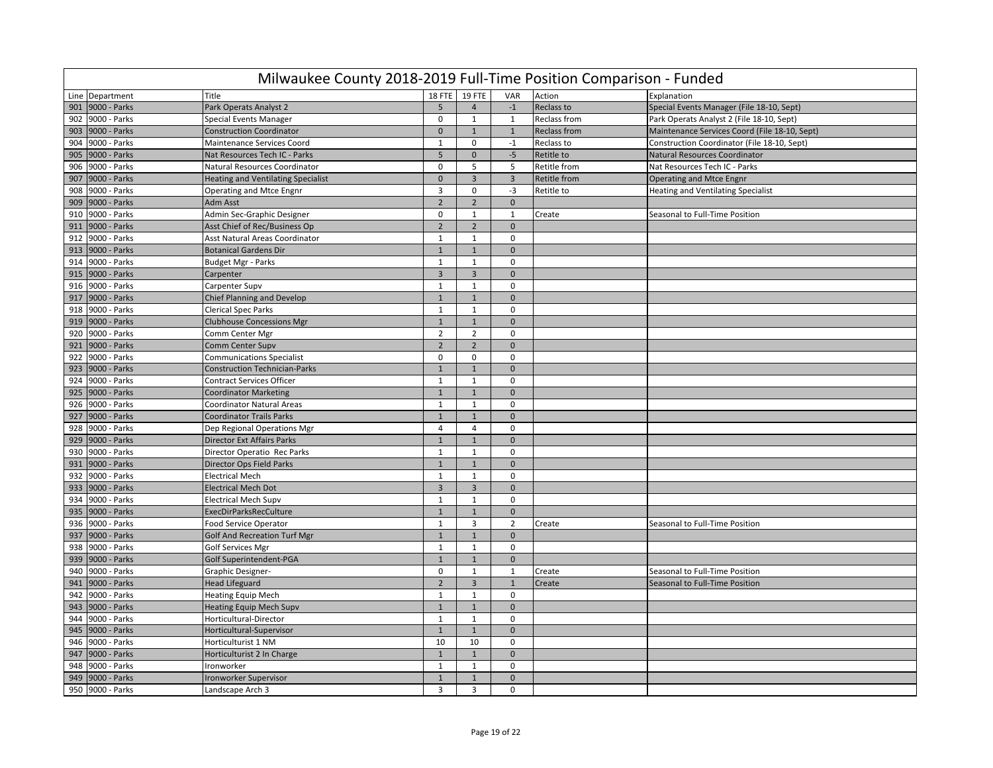|     | Milwaukee County 2018-2019 Full-Time Position Comparison - Funded |                                           |                |                         |                |                     |                                               |  |  |  |  |
|-----|-------------------------------------------------------------------|-------------------------------------------|----------------|-------------------------|----------------|---------------------|-----------------------------------------------|--|--|--|--|
|     | Line Department                                                   | Title                                     | 18 FTE         | <b>19 FTE</b>           | VAR            | Action              | Explanation                                   |  |  |  |  |
| 901 | 9000 - Parks                                                      | Park Operats Analyst 2                    | 5              | $\overline{4}$          | $-1$           | Reclass to          | Special Events Manager (File 18-10, Sept)     |  |  |  |  |
| 902 | 9000 - Parks                                                      | <b>Special Events Manager</b>             | $\mathbf 0$    | $\mathbf{1}$            | $\mathbf{1}$   | Reclass from        | Park Operats Analyst 2 (File 18-10, Sept)     |  |  |  |  |
| 903 | 9000 - Parks                                                      | <b>Construction Coordinator</b>           | $\mathbf{0}$   | $\mathbf{1}$            | 1              | <b>Reclass from</b> | Maintenance Services Coord (File 18-10, Sept) |  |  |  |  |
| 904 | 9000 - Parks                                                      | <b>Maintenance Services Coord</b>         | $\mathbf{1}$   | $\mathbf 0$             | $-1$           | Reclass to          | Construction Coordinator (File 18-10, Sept)   |  |  |  |  |
| 905 | 9000 - Parks                                                      | Nat Resources Tech IC - Parks             | 5              | $\mathbf 0$             | $-5$           | Retitle to          | Natural Resources Coordinator                 |  |  |  |  |
| 906 | 9000 - Parks                                                      | Natural Resources Coordinator             | $\mathbf 0$    | 5                       | 5              | Retitle from        | Nat Resources Tech IC - Parks                 |  |  |  |  |
| 907 | 9000 - Parks                                                      | <b>Heating and Ventilating Specialist</b> | $\mathbf 0$    | $\overline{3}$          | $\overline{3}$ | Retitle from        | Operating and Mtce Engnr                      |  |  |  |  |
| 908 | 9000 - Parks                                                      | Operating and Mtce Engnr                  | 3              | $\pmb{0}$               | $-3$           | Retitle to          | <b>Heating and Ventilating Specialist</b>     |  |  |  |  |
| 909 | 9000 - Parks                                                      | Adm Asst                                  | $\overline{2}$ | $\overline{2}$          | $\mathbf 0$    |                     |                                               |  |  |  |  |
| 910 | 9000 - Parks                                                      | Admin Sec-Graphic Designer                | $\mathbf 0$    | $\mathbf{1}$            | $\mathbf{1}$   | Create              | Seasonal to Full-Time Position                |  |  |  |  |
| 911 | 9000 - Parks                                                      | Asst Chief of Rec/Business Op             | $\overline{2}$ | $\overline{2}$          | $\mathbf 0$    |                     |                                               |  |  |  |  |
| 912 | 9000 - Parks                                                      | Asst Natural Areas Coordinator            | $\mathbf{1}$   | $\mathbf{1}$            | $\mathbf 0$    |                     |                                               |  |  |  |  |
| 913 | 9000 - Parks                                                      | <b>Botanical Gardens Dir</b>              | $\mathbf{1}$   | $\overline{1}$          | $\mathbf{0}$   |                     |                                               |  |  |  |  |
| 914 | 9000 - Parks                                                      | <b>Budget Mgr - Parks</b>                 | $\mathbf{1}$   | $\mathbf{1}$            | $\mathbf 0$    |                     |                                               |  |  |  |  |
| 915 | 9000 - Parks                                                      | Carpenter                                 | $\overline{3}$ | $\overline{3}$          | $\mathbf{0}$   |                     |                                               |  |  |  |  |
| 916 | 9000 - Parks                                                      | Carpenter Supv                            | $\mathbf{1}$   | $\mathbf{1}$            | $\mathbf 0$    |                     |                                               |  |  |  |  |
| 917 | 9000 - Parks                                                      | <b>Chief Planning and Develop</b>         | $\mathbf{1}$   | $1\,$                   | $\mathbf 0$    |                     |                                               |  |  |  |  |
| 918 | 9000 - Parks                                                      | <b>Clerical Spec Parks</b>                | $\mathbf{1}$   | $\mathbf{1}$            | $\mathbf 0$    |                     |                                               |  |  |  |  |
| 919 | 9000 - Parks                                                      | <b>Clubhouse Concessions Mgr</b>          | $1\,$          | $\overline{1}$          | $\mathbf{0}$   |                     |                                               |  |  |  |  |
| 920 | 9000 - Parks                                                      | Comm Center Mgr                           | $\overline{2}$ | $\overline{2}$          | $\mathbf 0$    |                     |                                               |  |  |  |  |
| 921 | 9000 - Parks                                                      | Comm Center Supv                          | $\overline{2}$ | $\overline{2}$          | $\mathbf{0}$   |                     |                                               |  |  |  |  |
| 922 | 9000 - Parks                                                      | <b>Communications Specialist</b>          | 0              | $\mathbf 0$             | $\mathbf 0$    |                     |                                               |  |  |  |  |
| 923 | 9000 - Parks                                                      | <b>Construction Technician-Parks</b>      | $\mathbf{1}$   | $\mathbf{1}$            | $\mathbf 0$    |                     |                                               |  |  |  |  |
| 924 | 9000 - Parks                                                      | <b>Contract Services Officer</b>          | $\mathbf{1}$   | $\mathbf{1}$            | $\mathbf 0$    |                     |                                               |  |  |  |  |
| 925 | 9000 - Parks                                                      | <b>Coordinator Marketing</b>              | $1\,$          | $1\,$                   | $\mathbf 0$    |                     |                                               |  |  |  |  |
| 926 | 9000 - Parks                                                      | <b>Coordinator Natural Areas</b>          | 1              | $\mathbf{1}$            | $\Omega$       |                     |                                               |  |  |  |  |
| 927 | 9000 - Parks                                                      | <b>Coordinator Trails Parks</b>           | $1\,$          | $\mathbf{1}$            | $\mathbf{0}$   |                     |                                               |  |  |  |  |
| 928 | 9000 - Parks                                                      | Dep Regional Operations Mgr               | $\overline{4}$ | $\overline{4}$          | $\mathbf 0$    |                     |                                               |  |  |  |  |
| 929 | 9000 - Parks                                                      | <b>Director Ext Affairs Parks</b>         | $\mathbf{1}$   | $\overline{1}$          | $\mathbf{0}$   |                     |                                               |  |  |  |  |
| 930 | 9000 - Parks                                                      | Director Operatio Rec Parks               | $\mathbf{1}$   | $\mathbf 1$             | $\mathbf 0$    |                     |                                               |  |  |  |  |
| 931 | 9000 - Parks                                                      | Director Ops Field Parks                  | $\mathbf{1}$   | $\overline{1}$          | $\Omega$       |                     |                                               |  |  |  |  |
| 932 | 9000 - Parks                                                      | <b>Electrical Mech</b>                    | $\mathbf{1}$   | $\mathbf{1}$            | $\Omega$       |                     |                                               |  |  |  |  |
| 933 | 9000 - Parks                                                      | <b>Electrical Mech Dot</b>                | $\overline{3}$ | $\overline{3}$          | $\mathbf{0}$   |                     |                                               |  |  |  |  |
| 934 | 9000 - Parks                                                      | <b>Electrical Mech Supv</b>               | $\mathbf{1}$   | $\mathbf{1}$            | $\mathbf 0$    |                     |                                               |  |  |  |  |
| 935 | 9000 - Parks                                                      | <b>ExecDirParksRecCulture</b>             | $\mathbf{1}$   | $\mathbf{1}$            | $\mathbf{0}$   |                     |                                               |  |  |  |  |
| 936 | 9000 - Parks                                                      | <b>Food Service Operator</b>              | $\mathbf{1}$   | 3                       | $\overline{2}$ | Create              | Seasonal to Full-Time Position                |  |  |  |  |
| 937 | 9000 - Parks                                                      | <b>Golf And Recreation Turf Mgr</b>       | $\mathbf{1}$   | $\mathbf{1}$            | $\pmb{0}$      |                     |                                               |  |  |  |  |
| 938 | 9000 - Parks                                                      | <b>Golf Services Mgr</b>                  | $\mathbf{1}$   | $\mathbf{1}$            | $\mathbf{0}$   |                     |                                               |  |  |  |  |
| 939 | 9000 - Parks                                                      | Golf Superintendent-PGA                   | $\mathbf{1}$   | $\mathbf{1}$            | $\mathbf 0$    |                     |                                               |  |  |  |  |
| 940 | 9000 - Parks                                                      | <b>Graphic Designer-</b>                  | $\mathbf 0$    | $\mathbf{1}$            | 1              | Create              | Seasonal to Full-Time Position                |  |  |  |  |
| 941 | 9000 - Parks                                                      | <b>Head Lifeguard</b>                     | $\overline{2}$ | $\overline{\mathbf{3}}$ | $\mathbf{1}$   | Create              | Seasonal to Full-Time Position                |  |  |  |  |
| 942 | 9000 - Parks                                                      | <b>Heating Equip Mech</b>                 | $\mathbf{1}$   | $\mathbf{1}$            | $\mathbf{0}$   |                     |                                               |  |  |  |  |
| 943 | 9000 - Parks                                                      | <b>Heating Equip Mech Supv</b>            | $\mathbf{1}$   | $\mathbf{1}$            | $\mathbf{0}$   |                     |                                               |  |  |  |  |
| 944 | 9000 - Parks                                                      | Horticultural-Director                    | $\mathbf{1}$   | $\mathbf{1}$            | $\mathbf 0$    |                     |                                               |  |  |  |  |
|     | 945 9000 - Parks                                                  | Horticultural-Supervisor                  | $\mathbf{1}$   | $\mathbf{1}$            | $\mathbf 0$    |                     |                                               |  |  |  |  |
| 946 | 9000 - Parks                                                      | Horticulturist 1 NM                       | 10             | 10                      | $\mathbf 0$    |                     |                                               |  |  |  |  |
| 947 | 9000 - Parks                                                      | Horticulturist 2 In Charge                | $\mathbf{1}$   | $\mathbf{1}$            | $\mathbf 0$    |                     |                                               |  |  |  |  |
| 948 | 9000 - Parks                                                      | Ironworker                                | $\mathbf{1}$   | $\mathbf{1}$            | $\mathbf 0$    |                     |                                               |  |  |  |  |
| 949 | 9000 - Parks                                                      | Ironworker Supervisor                     | $\mathbf{1}$   | $\mathbf{1}$            | $\mathbf{0}$   |                     |                                               |  |  |  |  |
|     | 950 9000 - Parks                                                  | Landscape Arch 3                          | $\overline{3}$ | $\overline{3}$          | $\mathbf 0$    |                     |                                               |  |  |  |  |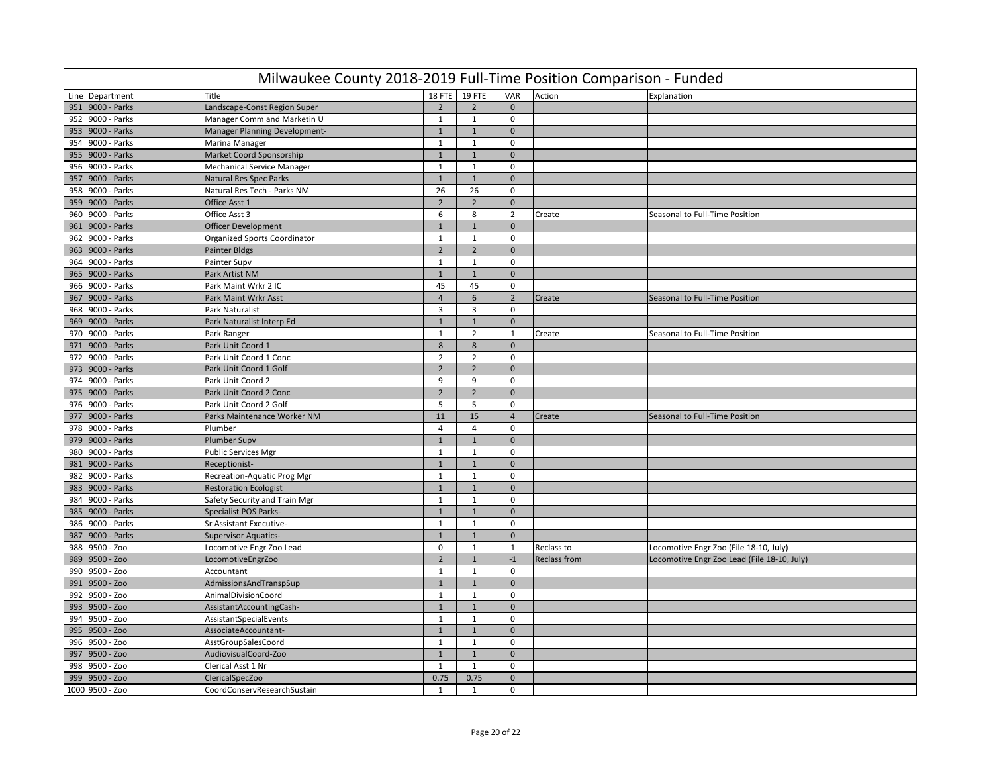| 18 FTE 19 FTE<br>VAR<br>Line Department<br>Title<br>Action<br>Explanation<br>9000 - Parks<br>951<br>Landscape-Const Region Super<br>$\overline{2}$<br>$\overline{2}$<br>$\mathbf{0}$<br>952 9000 - Parks<br>Manager Comm and Marketin U<br>$\mathbf{1}$<br>$\mathbf{1}$<br>$\mathbf 0$<br>9000 - Parks<br>Manager Planning Development-<br>$\mathbf{1}$<br>$\mathbf{1}$<br>$\mathbf 0$<br>953<br>954<br>9000 - Parks<br>Marina Manager<br>$\mathbf{1}$<br>$\mathbf{1}$<br>0<br>9000 - Parks<br>955<br>Market Coord Sponsorship<br>$\mathbf{1}$<br>$1\,$<br>$\mathbf 0$<br>9000 - Parks<br>$\mathbf{1}$<br>$\mathbf{1}$<br>$\mathbf 0$<br>956<br><b>Mechanical Service Manager</b><br>957<br>9000 - Parks<br><b>Natural Res Spec Parks</b><br>$\mathbf{1}$<br>$\mathbf 1$<br>$\mathbf 0$<br>958<br>9000 - Parks<br>Natural Res Tech - Parks NM<br>26<br>26<br>$\mathbf 0$<br>9000 - Parks<br>$\overline{2}$<br>$\overline{2}$<br>959<br>Office Asst 1<br>$\mathbf{0}$<br>9000 - Parks<br>Office Asst 3<br>6<br>8<br>$\overline{2}$<br>960<br>Seasonal to Full-Time Position<br>Create<br>9000 - Parks<br><b>Officer Development</b><br>961<br>$\mathbf{1}$<br>$\mathbf{1}$<br>$\mathbf{0}$<br>962<br>9000 - Parks<br>$\mathbf{1}$<br>$1\,$<br><b>Organized Sports Coordinator</b><br>$\mathbf 0$<br>$\overline{2}$<br>$\overline{2}$<br>963<br>9000 - Parks<br>Painter Bldgs<br>$\mathbf 0$<br>964<br>9000 - Parks<br>Painter Supv<br>$\mathbf{1}$<br>$\mathbf{1}$<br>$\Omega$<br>965<br>9000 - Parks<br>Park Artist NM<br>$\mathbf{1}$<br>$\mathbf{1}$<br>$\mathbf{0}$<br>966 9000 - Parks<br>Park Maint Wrkr 2 IC<br>45<br>45<br>$\mathbf 0$<br>9000 - Parks<br>$\overline{4}$<br>6<br>$\overline{2}$<br>967<br>Park Maint Wrkr Asst<br>Seasonal to Full-Time Position<br>Create<br>$\overline{3}$<br>3<br>968<br>9000 - Parks<br>Park Naturalist<br>$\mathbf 0$<br>969<br>9000 - Parks<br>Park Naturalist Interp Ed<br>$\mathbf 1$<br>$\mathbf{0}$<br>$\mathbf{1}$<br>970<br>9000 - Parks<br>Park Ranger<br>$\mathbf{1}$<br>$\overline{2}$<br>Create<br>1<br>Seasonal to Full-Time Position<br>$\bf 8$<br>8<br>971 9000 - Parks<br>Park Unit Coord 1<br>$\mathbf{0}$<br>9000 - Parks<br>Park Unit Coord 1 Conc<br>$\overline{2}$<br>$\overline{2}$<br>972<br>$\mathbf 0$<br>$\overline{2}$<br>$\overline{2}$<br>973<br>9000 - Parks<br>Park Unit Coord 1 Golf<br>$\mathbf{0}$<br>9000 - Parks<br>9<br>9<br>974<br>Park Unit Coord 2<br>$\mathbf 0$<br>$\overline{2}$<br>$\overline{2}$<br>9000 - Parks<br>975<br>Park Unit Coord 2 Conc<br>$\mathbf{0}$<br>976 9000 - Parks<br>Park Unit Coord 2 Golf<br>5<br>5<br>$\mathbf 0$<br>$11\,$<br>15<br>9000 - Parks<br>Parks Maintenance Worker NM<br>Seasonal to Full-Time Position<br>977<br>$\overline{4}$<br>Create<br>$\overline{4}$<br>$\overline{4}$<br>978<br>9000 - Parks<br>Plumber<br>$\mathbf 0$<br>$1\,$<br>979<br>9000 - Parks<br><b>Plumber Supv</b><br>$1\,$<br>$\mathbf 0$<br>9000 - Parks<br><b>Public Services Mgr</b><br>$\mathbf{1}$<br>$\mathbf{1}$<br>$\mathbf 0$<br>980<br>981<br>9000 - Parks<br>Receptionist-<br>$\mathbf{1}$<br>$\overline{1}$<br>$\mathbf{0}$<br>982<br>9000 - Parks<br>Recreation-Aquatic Prog Mgr<br>$\mathbf{1}$<br>$\mathbf{1}$<br>$\mathbf 0$<br>9000 - Parks<br>983<br><b>Restoration Ecologist</b><br>$\mathbf{1}$<br>$\mathbf{1}$<br>$\mathbf{0}$<br>984<br>9000 - Parks<br>Safety Security and Train Mgr<br>$\mathbf{1}$<br>$\mathbf{1}$<br>$\mathbf 0$<br>9000 - Parks<br><b>Specialist POS Parks-</b><br>$\mathbf{1}$<br>$\mathbf{1}$<br>$\Omega$<br>985<br>986<br>9000 - Parks<br>Sr Assistant Executive-<br>$\mathbf{1}$<br>$\mathbf{1}$<br>$\mathbf 0$<br>987<br>9000 - Parks<br>$\mathbf{1}$<br>$\mathbf{1}$<br>$\mathbf{0}$<br><b>Supervisor Aquatics-</b><br>988<br>9500 - Zoo<br>Locomotive Engr Zoo Lead<br>$\mathbf 0$<br>$\mathbf{1}$<br>Reclass to<br>Locomotive Engr Zoo (File 18-10, July)<br>1<br>$\overline{2}$<br>9500 - Zoo<br>$\mathbf{1}$<br>$-1$<br>989<br>Locomotive Engr Zoo Lead (File 18-10, July)<br>LocomotiveEngrZoo<br><b>Reclass from</b><br>990<br>9500 - Zoo<br>Accountant<br>$\mathbf{1}$<br>$\mathbf{1}$<br>$\mathbf 0$<br>991<br>9500 - Zoo<br>AdmissionsAndTranspSup<br>$\mathbf{1}$<br>$\mathbf{1}$<br>$\mathbf 0$<br>$\mathbf{1}$<br>$\mathbf{1}$<br>992<br>9500 - Zoo<br>AnimalDivisionCoord<br>$\mathbf 0$<br>993<br>9500 - Zoo<br>AssistantAccountingCash-<br>$\mathbf{1}$<br>$\mathbf 1$<br>$\mathbf 0$<br>994<br>9500 - Zoo<br>$\mathbf{1}$<br>1<br>AssistantSpecialEvents<br>$\mathbf 0$<br>995 9500 - Zoo<br>AssociateAccountant-<br>$\mathbf{1}$<br>$1\,$<br>$\mathbf 0$<br>9500 - Zoo<br>AsstGroupSalesCoord<br>$\mathbf{1}$<br>$\mathbf{1}$<br>$\mathbf 0$<br>996<br>997<br>9500 - Zoo<br>AudiovisualCoord-Zoo<br>$\mathbf{1}$<br>$1\,$<br>$\mathbf{0}$<br>998<br>9500 - Zoo<br>Clerical Asst 1 Nr<br>$\mathbf{1}$<br>$\mathbf{1}$<br>$\mathbf 0$<br>999<br>0.75<br>0.75<br>$\mathbf 0$<br>9500 - Zoo<br>ClericalSpecZoo<br>1000 9500 - Zoo | Milwaukee County 2018-2019 Full-Time Position Comparison - Funded |                             |              |              |             |  |  |  |  |  |  |
|------------------------------------------------------------------------------------------------------------------------------------------------------------------------------------------------------------------------------------------------------------------------------------------------------------------------------------------------------------------------------------------------------------------------------------------------------------------------------------------------------------------------------------------------------------------------------------------------------------------------------------------------------------------------------------------------------------------------------------------------------------------------------------------------------------------------------------------------------------------------------------------------------------------------------------------------------------------------------------------------------------------------------------------------------------------------------------------------------------------------------------------------------------------------------------------------------------------------------------------------------------------------------------------------------------------------------------------------------------------------------------------------------------------------------------------------------------------------------------------------------------------------------------------------------------------------------------------------------------------------------------------------------------------------------------------------------------------------------------------------------------------------------------------------------------------------------------------------------------------------------------------------------------------------------------------------------------------------------------------------------------------------------------------------------------------------------------------------------------------------------------------------------------------------------------------------------------------------------------------------------------------------------------------------------------------------------------------------------------------------------------------------------------------------------------------------------------------------------------------------------------------------------------------------------------------------------------------------------------------------------------------------------------------------------------------------------------------------------------------------------------------------------------------------------------------------------------------------------------------------------------------------------------------------------------------------------------------------------------------------------------------------------------------------------------------------------------------------------------------------------------------------------------------------------------------------------------------------------------------------------------------------------------------------------------------------------------------------------------------------------------------------------------------------------------------------------------------------------------------------------------------------------------------------------------------------------------------------------------------------------------------------------------------------------------------------------------------------------------------------------------------------------------------------------------------------------------------------------------------------------------------------------------------------------------------------------------------------------------------------------------------------------------------------------------------------------------------------------------------------------------------------------------------------------------------------------------------------------------------------------------------------------------------------------------------------------------------------------------------------------------------------------------------------------------------------------------------------------------------------------------------------------------------------------------------------------------------------------------------------------------------------------------------------------------------------------------------------------------------------------------------------------------------------------------------------------------------------------------------------------------------------------------------------------------------------------------------------------------------------|-------------------------------------------------------------------|-----------------------------|--------------|--------------|-------------|--|--|--|--|--|--|
|                                                                                                                                                                                                                                                                                                                                                                                                                                                                                                                                                                                                                                                                                                                                                                                                                                                                                                                                                                                                                                                                                                                                                                                                                                                                                                                                                                                                                                                                                                                                                                                                                                                                                                                                                                                                                                                                                                                                                                                                                                                                                                                                                                                                                                                                                                                                                                                                                                                                                                                                                                                                                                                                                                                                                                                                                                                                                                                                                                                                                                                                                                                                                                                                                                                                                                                                                                                                                                                                                                                                                                                                                                                                                                                                                                                                                                                                                                                                                                                                                                                                                                                                                                                                                                                                                                                                                                                                                                                                                                                                                                                                                                                                                                                                                                                                                                                                                                                                                                                                |                                                                   |                             |              |              |             |  |  |  |  |  |  |
|                                                                                                                                                                                                                                                                                                                                                                                                                                                                                                                                                                                                                                                                                                                                                                                                                                                                                                                                                                                                                                                                                                                                                                                                                                                                                                                                                                                                                                                                                                                                                                                                                                                                                                                                                                                                                                                                                                                                                                                                                                                                                                                                                                                                                                                                                                                                                                                                                                                                                                                                                                                                                                                                                                                                                                                                                                                                                                                                                                                                                                                                                                                                                                                                                                                                                                                                                                                                                                                                                                                                                                                                                                                                                                                                                                                                                                                                                                                                                                                                                                                                                                                                                                                                                                                                                                                                                                                                                                                                                                                                                                                                                                                                                                                                                                                                                                                                                                                                                                                                |                                                                   |                             |              |              |             |  |  |  |  |  |  |
|                                                                                                                                                                                                                                                                                                                                                                                                                                                                                                                                                                                                                                                                                                                                                                                                                                                                                                                                                                                                                                                                                                                                                                                                                                                                                                                                                                                                                                                                                                                                                                                                                                                                                                                                                                                                                                                                                                                                                                                                                                                                                                                                                                                                                                                                                                                                                                                                                                                                                                                                                                                                                                                                                                                                                                                                                                                                                                                                                                                                                                                                                                                                                                                                                                                                                                                                                                                                                                                                                                                                                                                                                                                                                                                                                                                                                                                                                                                                                                                                                                                                                                                                                                                                                                                                                                                                                                                                                                                                                                                                                                                                                                                                                                                                                                                                                                                                                                                                                                                                |                                                                   |                             |              |              |             |  |  |  |  |  |  |
|                                                                                                                                                                                                                                                                                                                                                                                                                                                                                                                                                                                                                                                                                                                                                                                                                                                                                                                                                                                                                                                                                                                                                                                                                                                                                                                                                                                                                                                                                                                                                                                                                                                                                                                                                                                                                                                                                                                                                                                                                                                                                                                                                                                                                                                                                                                                                                                                                                                                                                                                                                                                                                                                                                                                                                                                                                                                                                                                                                                                                                                                                                                                                                                                                                                                                                                                                                                                                                                                                                                                                                                                                                                                                                                                                                                                                                                                                                                                                                                                                                                                                                                                                                                                                                                                                                                                                                                                                                                                                                                                                                                                                                                                                                                                                                                                                                                                                                                                                                                                |                                                                   |                             |              |              |             |  |  |  |  |  |  |
|                                                                                                                                                                                                                                                                                                                                                                                                                                                                                                                                                                                                                                                                                                                                                                                                                                                                                                                                                                                                                                                                                                                                                                                                                                                                                                                                                                                                                                                                                                                                                                                                                                                                                                                                                                                                                                                                                                                                                                                                                                                                                                                                                                                                                                                                                                                                                                                                                                                                                                                                                                                                                                                                                                                                                                                                                                                                                                                                                                                                                                                                                                                                                                                                                                                                                                                                                                                                                                                                                                                                                                                                                                                                                                                                                                                                                                                                                                                                                                                                                                                                                                                                                                                                                                                                                                                                                                                                                                                                                                                                                                                                                                                                                                                                                                                                                                                                                                                                                                                                |                                                                   |                             |              |              |             |  |  |  |  |  |  |
|                                                                                                                                                                                                                                                                                                                                                                                                                                                                                                                                                                                                                                                                                                                                                                                                                                                                                                                                                                                                                                                                                                                                                                                                                                                                                                                                                                                                                                                                                                                                                                                                                                                                                                                                                                                                                                                                                                                                                                                                                                                                                                                                                                                                                                                                                                                                                                                                                                                                                                                                                                                                                                                                                                                                                                                                                                                                                                                                                                                                                                                                                                                                                                                                                                                                                                                                                                                                                                                                                                                                                                                                                                                                                                                                                                                                                                                                                                                                                                                                                                                                                                                                                                                                                                                                                                                                                                                                                                                                                                                                                                                                                                                                                                                                                                                                                                                                                                                                                                                                |                                                                   |                             |              |              |             |  |  |  |  |  |  |
|                                                                                                                                                                                                                                                                                                                                                                                                                                                                                                                                                                                                                                                                                                                                                                                                                                                                                                                                                                                                                                                                                                                                                                                                                                                                                                                                                                                                                                                                                                                                                                                                                                                                                                                                                                                                                                                                                                                                                                                                                                                                                                                                                                                                                                                                                                                                                                                                                                                                                                                                                                                                                                                                                                                                                                                                                                                                                                                                                                                                                                                                                                                                                                                                                                                                                                                                                                                                                                                                                                                                                                                                                                                                                                                                                                                                                                                                                                                                                                                                                                                                                                                                                                                                                                                                                                                                                                                                                                                                                                                                                                                                                                                                                                                                                                                                                                                                                                                                                                                                |                                                                   |                             |              |              |             |  |  |  |  |  |  |
|                                                                                                                                                                                                                                                                                                                                                                                                                                                                                                                                                                                                                                                                                                                                                                                                                                                                                                                                                                                                                                                                                                                                                                                                                                                                                                                                                                                                                                                                                                                                                                                                                                                                                                                                                                                                                                                                                                                                                                                                                                                                                                                                                                                                                                                                                                                                                                                                                                                                                                                                                                                                                                                                                                                                                                                                                                                                                                                                                                                                                                                                                                                                                                                                                                                                                                                                                                                                                                                                                                                                                                                                                                                                                                                                                                                                                                                                                                                                                                                                                                                                                                                                                                                                                                                                                                                                                                                                                                                                                                                                                                                                                                                                                                                                                                                                                                                                                                                                                                                                |                                                                   |                             |              |              |             |  |  |  |  |  |  |
|                                                                                                                                                                                                                                                                                                                                                                                                                                                                                                                                                                                                                                                                                                                                                                                                                                                                                                                                                                                                                                                                                                                                                                                                                                                                                                                                                                                                                                                                                                                                                                                                                                                                                                                                                                                                                                                                                                                                                                                                                                                                                                                                                                                                                                                                                                                                                                                                                                                                                                                                                                                                                                                                                                                                                                                                                                                                                                                                                                                                                                                                                                                                                                                                                                                                                                                                                                                                                                                                                                                                                                                                                                                                                                                                                                                                                                                                                                                                                                                                                                                                                                                                                                                                                                                                                                                                                                                                                                                                                                                                                                                                                                                                                                                                                                                                                                                                                                                                                                                                |                                                                   |                             |              |              |             |  |  |  |  |  |  |
|                                                                                                                                                                                                                                                                                                                                                                                                                                                                                                                                                                                                                                                                                                                                                                                                                                                                                                                                                                                                                                                                                                                                                                                                                                                                                                                                                                                                                                                                                                                                                                                                                                                                                                                                                                                                                                                                                                                                                                                                                                                                                                                                                                                                                                                                                                                                                                                                                                                                                                                                                                                                                                                                                                                                                                                                                                                                                                                                                                                                                                                                                                                                                                                                                                                                                                                                                                                                                                                                                                                                                                                                                                                                                                                                                                                                                                                                                                                                                                                                                                                                                                                                                                                                                                                                                                                                                                                                                                                                                                                                                                                                                                                                                                                                                                                                                                                                                                                                                                                                |                                                                   |                             |              |              |             |  |  |  |  |  |  |
|                                                                                                                                                                                                                                                                                                                                                                                                                                                                                                                                                                                                                                                                                                                                                                                                                                                                                                                                                                                                                                                                                                                                                                                                                                                                                                                                                                                                                                                                                                                                                                                                                                                                                                                                                                                                                                                                                                                                                                                                                                                                                                                                                                                                                                                                                                                                                                                                                                                                                                                                                                                                                                                                                                                                                                                                                                                                                                                                                                                                                                                                                                                                                                                                                                                                                                                                                                                                                                                                                                                                                                                                                                                                                                                                                                                                                                                                                                                                                                                                                                                                                                                                                                                                                                                                                                                                                                                                                                                                                                                                                                                                                                                                                                                                                                                                                                                                                                                                                                                                |                                                                   |                             |              |              |             |  |  |  |  |  |  |
|                                                                                                                                                                                                                                                                                                                                                                                                                                                                                                                                                                                                                                                                                                                                                                                                                                                                                                                                                                                                                                                                                                                                                                                                                                                                                                                                                                                                                                                                                                                                                                                                                                                                                                                                                                                                                                                                                                                                                                                                                                                                                                                                                                                                                                                                                                                                                                                                                                                                                                                                                                                                                                                                                                                                                                                                                                                                                                                                                                                                                                                                                                                                                                                                                                                                                                                                                                                                                                                                                                                                                                                                                                                                                                                                                                                                                                                                                                                                                                                                                                                                                                                                                                                                                                                                                                                                                                                                                                                                                                                                                                                                                                                                                                                                                                                                                                                                                                                                                                                                |                                                                   |                             |              |              |             |  |  |  |  |  |  |
|                                                                                                                                                                                                                                                                                                                                                                                                                                                                                                                                                                                                                                                                                                                                                                                                                                                                                                                                                                                                                                                                                                                                                                                                                                                                                                                                                                                                                                                                                                                                                                                                                                                                                                                                                                                                                                                                                                                                                                                                                                                                                                                                                                                                                                                                                                                                                                                                                                                                                                                                                                                                                                                                                                                                                                                                                                                                                                                                                                                                                                                                                                                                                                                                                                                                                                                                                                                                                                                                                                                                                                                                                                                                                                                                                                                                                                                                                                                                                                                                                                                                                                                                                                                                                                                                                                                                                                                                                                                                                                                                                                                                                                                                                                                                                                                                                                                                                                                                                                                                |                                                                   |                             |              |              |             |  |  |  |  |  |  |
|                                                                                                                                                                                                                                                                                                                                                                                                                                                                                                                                                                                                                                                                                                                                                                                                                                                                                                                                                                                                                                                                                                                                                                                                                                                                                                                                                                                                                                                                                                                                                                                                                                                                                                                                                                                                                                                                                                                                                                                                                                                                                                                                                                                                                                                                                                                                                                                                                                                                                                                                                                                                                                                                                                                                                                                                                                                                                                                                                                                                                                                                                                                                                                                                                                                                                                                                                                                                                                                                                                                                                                                                                                                                                                                                                                                                                                                                                                                                                                                                                                                                                                                                                                                                                                                                                                                                                                                                                                                                                                                                                                                                                                                                                                                                                                                                                                                                                                                                                                                                |                                                                   |                             |              |              |             |  |  |  |  |  |  |
|                                                                                                                                                                                                                                                                                                                                                                                                                                                                                                                                                                                                                                                                                                                                                                                                                                                                                                                                                                                                                                                                                                                                                                                                                                                                                                                                                                                                                                                                                                                                                                                                                                                                                                                                                                                                                                                                                                                                                                                                                                                                                                                                                                                                                                                                                                                                                                                                                                                                                                                                                                                                                                                                                                                                                                                                                                                                                                                                                                                                                                                                                                                                                                                                                                                                                                                                                                                                                                                                                                                                                                                                                                                                                                                                                                                                                                                                                                                                                                                                                                                                                                                                                                                                                                                                                                                                                                                                                                                                                                                                                                                                                                                                                                                                                                                                                                                                                                                                                                                                |                                                                   |                             |              |              |             |  |  |  |  |  |  |
|                                                                                                                                                                                                                                                                                                                                                                                                                                                                                                                                                                                                                                                                                                                                                                                                                                                                                                                                                                                                                                                                                                                                                                                                                                                                                                                                                                                                                                                                                                                                                                                                                                                                                                                                                                                                                                                                                                                                                                                                                                                                                                                                                                                                                                                                                                                                                                                                                                                                                                                                                                                                                                                                                                                                                                                                                                                                                                                                                                                                                                                                                                                                                                                                                                                                                                                                                                                                                                                                                                                                                                                                                                                                                                                                                                                                                                                                                                                                                                                                                                                                                                                                                                                                                                                                                                                                                                                                                                                                                                                                                                                                                                                                                                                                                                                                                                                                                                                                                                                                |                                                                   |                             |              |              |             |  |  |  |  |  |  |
|                                                                                                                                                                                                                                                                                                                                                                                                                                                                                                                                                                                                                                                                                                                                                                                                                                                                                                                                                                                                                                                                                                                                                                                                                                                                                                                                                                                                                                                                                                                                                                                                                                                                                                                                                                                                                                                                                                                                                                                                                                                                                                                                                                                                                                                                                                                                                                                                                                                                                                                                                                                                                                                                                                                                                                                                                                                                                                                                                                                                                                                                                                                                                                                                                                                                                                                                                                                                                                                                                                                                                                                                                                                                                                                                                                                                                                                                                                                                                                                                                                                                                                                                                                                                                                                                                                                                                                                                                                                                                                                                                                                                                                                                                                                                                                                                                                                                                                                                                                                                |                                                                   |                             |              |              |             |  |  |  |  |  |  |
|                                                                                                                                                                                                                                                                                                                                                                                                                                                                                                                                                                                                                                                                                                                                                                                                                                                                                                                                                                                                                                                                                                                                                                                                                                                                                                                                                                                                                                                                                                                                                                                                                                                                                                                                                                                                                                                                                                                                                                                                                                                                                                                                                                                                                                                                                                                                                                                                                                                                                                                                                                                                                                                                                                                                                                                                                                                                                                                                                                                                                                                                                                                                                                                                                                                                                                                                                                                                                                                                                                                                                                                                                                                                                                                                                                                                                                                                                                                                                                                                                                                                                                                                                                                                                                                                                                                                                                                                                                                                                                                                                                                                                                                                                                                                                                                                                                                                                                                                                                                                |                                                                   |                             |              |              |             |  |  |  |  |  |  |
|                                                                                                                                                                                                                                                                                                                                                                                                                                                                                                                                                                                                                                                                                                                                                                                                                                                                                                                                                                                                                                                                                                                                                                                                                                                                                                                                                                                                                                                                                                                                                                                                                                                                                                                                                                                                                                                                                                                                                                                                                                                                                                                                                                                                                                                                                                                                                                                                                                                                                                                                                                                                                                                                                                                                                                                                                                                                                                                                                                                                                                                                                                                                                                                                                                                                                                                                                                                                                                                                                                                                                                                                                                                                                                                                                                                                                                                                                                                                                                                                                                                                                                                                                                                                                                                                                                                                                                                                                                                                                                                                                                                                                                                                                                                                                                                                                                                                                                                                                                                                |                                                                   |                             |              |              |             |  |  |  |  |  |  |
|                                                                                                                                                                                                                                                                                                                                                                                                                                                                                                                                                                                                                                                                                                                                                                                                                                                                                                                                                                                                                                                                                                                                                                                                                                                                                                                                                                                                                                                                                                                                                                                                                                                                                                                                                                                                                                                                                                                                                                                                                                                                                                                                                                                                                                                                                                                                                                                                                                                                                                                                                                                                                                                                                                                                                                                                                                                                                                                                                                                                                                                                                                                                                                                                                                                                                                                                                                                                                                                                                                                                                                                                                                                                                                                                                                                                                                                                                                                                                                                                                                                                                                                                                                                                                                                                                                                                                                                                                                                                                                                                                                                                                                                                                                                                                                                                                                                                                                                                                                                                |                                                                   |                             |              |              |             |  |  |  |  |  |  |
|                                                                                                                                                                                                                                                                                                                                                                                                                                                                                                                                                                                                                                                                                                                                                                                                                                                                                                                                                                                                                                                                                                                                                                                                                                                                                                                                                                                                                                                                                                                                                                                                                                                                                                                                                                                                                                                                                                                                                                                                                                                                                                                                                                                                                                                                                                                                                                                                                                                                                                                                                                                                                                                                                                                                                                                                                                                                                                                                                                                                                                                                                                                                                                                                                                                                                                                                                                                                                                                                                                                                                                                                                                                                                                                                                                                                                                                                                                                                                                                                                                                                                                                                                                                                                                                                                                                                                                                                                                                                                                                                                                                                                                                                                                                                                                                                                                                                                                                                                                                                |                                                                   |                             |              |              |             |  |  |  |  |  |  |
|                                                                                                                                                                                                                                                                                                                                                                                                                                                                                                                                                                                                                                                                                                                                                                                                                                                                                                                                                                                                                                                                                                                                                                                                                                                                                                                                                                                                                                                                                                                                                                                                                                                                                                                                                                                                                                                                                                                                                                                                                                                                                                                                                                                                                                                                                                                                                                                                                                                                                                                                                                                                                                                                                                                                                                                                                                                                                                                                                                                                                                                                                                                                                                                                                                                                                                                                                                                                                                                                                                                                                                                                                                                                                                                                                                                                                                                                                                                                                                                                                                                                                                                                                                                                                                                                                                                                                                                                                                                                                                                                                                                                                                                                                                                                                                                                                                                                                                                                                                                                |                                                                   |                             |              |              |             |  |  |  |  |  |  |
|                                                                                                                                                                                                                                                                                                                                                                                                                                                                                                                                                                                                                                                                                                                                                                                                                                                                                                                                                                                                                                                                                                                                                                                                                                                                                                                                                                                                                                                                                                                                                                                                                                                                                                                                                                                                                                                                                                                                                                                                                                                                                                                                                                                                                                                                                                                                                                                                                                                                                                                                                                                                                                                                                                                                                                                                                                                                                                                                                                                                                                                                                                                                                                                                                                                                                                                                                                                                                                                                                                                                                                                                                                                                                                                                                                                                                                                                                                                                                                                                                                                                                                                                                                                                                                                                                                                                                                                                                                                                                                                                                                                                                                                                                                                                                                                                                                                                                                                                                                                                |                                                                   |                             |              |              |             |  |  |  |  |  |  |
|                                                                                                                                                                                                                                                                                                                                                                                                                                                                                                                                                                                                                                                                                                                                                                                                                                                                                                                                                                                                                                                                                                                                                                                                                                                                                                                                                                                                                                                                                                                                                                                                                                                                                                                                                                                                                                                                                                                                                                                                                                                                                                                                                                                                                                                                                                                                                                                                                                                                                                                                                                                                                                                                                                                                                                                                                                                                                                                                                                                                                                                                                                                                                                                                                                                                                                                                                                                                                                                                                                                                                                                                                                                                                                                                                                                                                                                                                                                                                                                                                                                                                                                                                                                                                                                                                                                                                                                                                                                                                                                                                                                                                                                                                                                                                                                                                                                                                                                                                                                                |                                                                   |                             |              |              |             |  |  |  |  |  |  |
|                                                                                                                                                                                                                                                                                                                                                                                                                                                                                                                                                                                                                                                                                                                                                                                                                                                                                                                                                                                                                                                                                                                                                                                                                                                                                                                                                                                                                                                                                                                                                                                                                                                                                                                                                                                                                                                                                                                                                                                                                                                                                                                                                                                                                                                                                                                                                                                                                                                                                                                                                                                                                                                                                                                                                                                                                                                                                                                                                                                                                                                                                                                                                                                                                                                                                                                                                                                                                                                                                                                                                                                                                                                                                                                                                                                                                                                                                                                                                                                                                                                                                                                                                                                                                                                                                                                                                                                                                                                                                                                                                                                                                                                                                                                                                                                                                                                                                                                                                                                                |                                                                   |                             |              |              |             |  |  |  |  |  |  |
|                                                                                                                                                                                                                                                                                                                                                                                                                                                                                                                                                                                                                                                                                                                                                                                                                                                                                                                                                                                                                                                                                                                                                                                                                                                                                                                                                                                                                                                                                                                                                                                                                                                                                                                                                                                                                                                                                                                                                                                                                                                                                                                                                                                                                                                                                                                                                                                                                                                                                                                                                                                                                                                                                                                                                                                                                                                                                                                                                                                                                                                                                                                                                                                                                                                                                                                                                                                                                                                                                                                                                                                                                                                                                                                                                                                                                                                                                                                                                                                                                                                                                                                                                                                                                                                                                                                                                                                                                                                                                                                                                                                                                                                                                                                                                                                                                                                                                                                                                                                                |                                                                   |                             |              |              |             |  |  |  |  |  |  |
|                                                                                                                                                                                                                                                                                                                                                                                                                                                                                                                                                                                                                                                                                                                                                                                                                                                                                                                                                                                                                                                                                                                                                                                                                                                                                                                                                                                                                                                                                                                                                                                                                                                                                                                                                                                                                                                                                                                                                                                                                                                                                                                                                                                                                                                                                                                                                                                                                                                                                                                                                                                                                                                                                                                                                                                                                                                                                                                                                                                                                                                                                                                                                                                                                                                                                                                                                                                                                                                                                                                                                                                                                                                                                                                                                                                                                                                                                                                                                                                                                                                                                                                                                                                                                                                                                                                                                                                                                                                                                                                                                                                                                                                                                                                                                                                                                                                                                                                                                                                                |                                                                   |                             |              |              |             |  |  |  |  |  |  |
|                                                                                                                                                                                                                                                                                                                                                                                                                                                                                                                                                                                                                                                                                                                                                                                                                                                                                                                                                                                                                                                                                                                                                                                                                                                                                                                                                                                                                                                                                                                                                                                                                                                                                                                                                                                                                                                                                                                                                                                                                                                                                                                                                                                                                                                                                                                                                                                                                                                                                                                                                                                                                                                                                                                                                                                                                                                                                                                                                                                                                                                                                                                                                                                                                                                                                                                                                                                                                                                                                                                                                                                                                                                                                                                                                                                                                                                                                                                                                                                                                                                                                                                                                                                                                                                                                                                                                                                                                                                                                                                                                                                                                                                                                                                                                                                                                                                                                                                                                                                                |                                                                   |                             |              |              |             |  |  |  |  |  |  |
|                                                                                                                                                                                                                                                                                                                                                                                                                                                                                                                                                                                                                                                                                                                                                                                                                                                                                                                                                                                                                                                                                                                                                                                                                                                                                                                                                                                                                                                                                                                                                                                                                                                                                                                                                                                                                                                                                                                                                                                                                                                                                                                                                                                                                                                                                                                                                                                                                                                                                                                                                                                                                                                                                                                                                                                                                                                                                                                                                                                                                                                                                                                                                                                                                                                                                                                                                                                                                                                                                                                                                                                                                                                                                                                                                                                                                                                                                                                                                                                                                                                                                                                                                                                                                                                                                                                                                                                                                                                                                                                                                                                                                                                                                                                                                                                                                                                                                                                                                                                                |                                                                   |                             |              |              |             |  |  |  |  |  |  |
|                                                                                                                                                                                                                                                                                                                                                                                                                                                                                                                                                                                                                                                                                                                                                                                                                                                                                                                                                                                                                                                                                                                                                                                                                                                                                                                                                                                                                                                                                                                                                                                                                                                                                                                                                                                                                                                                                                                                                                                                                                                                                                                                                                                                                                                                                                                                                                                                                                                                                                                                                                                                                                                                                                                                                                                                                                                                                                                                                                                                                                                                                                                                                                                                                                                                                                                                                                                                                                                                                                                                                                                                                                                                                                                                                                                                                                                                                                                                                                                                                                                                                                                                                                                                                                                                                                                                                                                                                                                                                                                                                                                                                                                                                                                                                                                                                                                                                                                                                                                                |                                                                   |                             |              |              |             |  |  |  |  |  |  |
|                                                                                                                                                                                                                                                                                                                                                                                                                                                                                                                                                                                                                                                                                                                                                                                                                                                                                                                                                                                                                                                                                                                                                                                                                                                                                                                                                                                                                                                                                                                                                                                                                                                                                                                                                                                                                                                                                                                                                                                                                                                                                                                                                                                                                                                                                                                                                                                                                                                                                                                                                                                                                                                                                                                                                                                                                                                                                                                                                                                                                                                                                                                                                                                                                                                                                                                                                                                                                                                                                                                                                                                                                                                                                                                                                                                                                                                                                                                                                                                                                                                                                                                                                                                                                                                                                                                                                                                                                                                                                                                                                                                                                                                                                                                                                                                                                                                                                                                                                                                                |                                                                   |                             |              |              |             |  |  |  |  |  |  |
|                                                                                                                                                                                                                                                                                                                                                                                                                                                                                                                                                                                                                                                                                                                                                                                                                                                                                                                                                                                                                                                                                                                                                                                                                                                                                                                                                                                                                                                                                                                                                                                                                                                                                                                                                                                                                                                                                                                                                                                                                                                                                                                                                                                                                                                                                                                                                                                                                                                                                                                                                                                                                                                                                                                                                                                                                                                                                                                                                                                                                                                                                                                                                                                                                                                                                                                                                                                                                                                                                                                                                                                                                                                                                                                                                                                                                                                                                                                                                                                                                                                                                                                                                                                                                                                                                                                                                                                                                                                                                                                                                                                                                                                                                                                                                                                                                                                                                                                                                                                                |                                                                   |                             |              |              |             |  |  |  |  |  |  |
|                                                                                                                                                                                                                                                                                                                                                                                                                                                                                                                                                                                                                                                                                                                                                                                                                                                                                                                                                                                                                                                                                                                                                                                                                                                                                                                                                                                                                                                                                                                                                                                                                                                                                                                                                                                                                                                                                                                                                                                                                                                                                                                                                                                                                                                                                                                                                                                                                                                                                                                                                                                                                                                                                                                                                                                                                                                                                                                                                                                                                                                                                                                                                                                                                                                                                                                                                                                                                                                                                                                                                                                                                                                                                                                                                                                                                                                                                                                                                                                                                                                                                                                                                                                                                                                                                                                                                                                                                                                                                                                                                                                                                                                                                                                                                                                                                                                                                                                                                                                                |                                                                   |                             |              |              |             |  |  |  |  |  |  |
|                                                                                                                                                                                                                                                                                                                                                                                                                                                                                                                                                                                                                                                                                                                                                                                                                                                                                                                                                                                                                                                                                                                                                                                                                                                                                                                                                                                                                                                                                                                                                                                                                                                                                                                                                                                                                                                                                                                                                                                                                                                                                                                                                                                                                                                                                                                                                                                                                                                                                                                                                                                                                                                                                                                                                                                                                                                                                                                                                                                                                                                                                                                                                                                                                                                                                                                                                                                                                                                                                                                                                                                                                                                                                                                                                                                                                                                                                                                                                                                                                                                                                                                                                                                                                                                                                                                                                                                                                                                                                                                                                                                                                                                                                                                                                                                                                                                                                                                                                                                                |                                                                   |                             |              |              |             |  |  |  |  |  |  |
|                                                                                                                                                                                                                                                                                                                                                                                                                                                                                                                                                                                                                                                                                                                                                                                                                                                                                                                                                                                                                                                                                                                                                                                                                                                                                                                                                                                                                                                                                                                                                                                                                                                                                                                                                                                                                                                                                                                                                                                                                                                                                                                                                                                                                                                                                                                                                                                                                                                                                                                                                                                                                                                                                                                                                                                                                                                                                                                                                                                                                                                                                                                                                                                                                                                                                                                                                                                                                                                                                                                                                                                                                                                                                                                                                                                                                                                                                                                                                                                                                                                                                                                                                                                                                                                                                                                                                                                                                                                                                                                                                                                                                                                                                                                                                                                                                                                                                                                                                                                                |                                                                   |                             |              |              |             |  |  |  |  |  |  |
|                                                                                                                                                                                                                                                                                                                                                                                                                                                                                                                                                                                                                                                                                                                                                                                                                                                                                                                                                                                                                                                                                                                                                                                                                                                                                                                                                                                                                                                                                                                                                                                                                                                                                                                                                                                                                                                                                                                                                                                                                                                                                                                                                                                                                                                                                                                                                                                                                                                                                                                                                                                                                                                                                                                                                                                                                                                                                                                                                                                                                                                                                                                                                                                                                                                                                                                                                                                                                                                                                                                                                                                                                                                                                                                                                                                                                                                                                                                                                                                                                                                                                                                                                                                                                                                                                                                                                                                                                                                                                                                                                                                                                                                                                                                                                                                                                                                                                                                                                                                                |                                                                   |                             |              |              |             |  |  |  |  |  |  |
|                                                                                                                                                                                                                                                                                                                                                                                                                                                                                                                                                                                                                                                                                                                                                                                                                                                                                                                                                                                                                                                                                                                                                                                                                                                                                                                                                                                                                                                                                                                                                                                                                                                                                                                                                                                                                                                                                                                                                                                                                                                                                                                                                                                                                                                                                                                                                                                                                                                                                                                                                                                                                                                                                                                                                                                                                                                                                                                                                                                                                                                                                                                                                                                                                                                                                                                                                                                                                                                                                                                                                                                                                                                                                                                                                                                                                                                                                                                                                                                                                                                                                                                                                                                                                                                                                                                                                                                                                                                                                                                                                                                                                                                                                                                                                                                                                                                                                                                                                                                                |                                                                   |                             |              |              |             |  |  |  |  |  |  |
|                                                                                                                                                                                                                                                                                                                                                                                                                                                                                                                                                                                                                                                                                                                                                                                                                                                                                                                                                                                                                                                                                                                                                                                                                                                                                                                                                                                                                                                                                                                                                                                                                                                                                                                                                                                                                                                                                                                                                                                                                                                                                                                                                                                                                                                                                                                                                                                                                                                                                                                                                                                                                                                                                                                                                                                                                                                                                                                                                                                                                                                                                                                                                                                                                                                                                                                                                                                                                                                                                                                                                                                                                                                                                                                                                                                                                                                                                                                                                                                                                                                                                                                                                                                                                                                                                                                                                                                                                                                                                                                                                                                                                                                                                                                                                                                                                                                                                                                                                                                                |                                                                   |                             |              |              |             |  |  |  |  |  |  |
|                                                                                                                                                                                                                                                                                                                                                                                                                                                                                                                                                                                                                                                                                                                                                                                                                                                                                                                                                                                                                                                                                                                                                                                                                                                                                                                                                                                                                                                                                                                                                                                                                                                                                                                                                                                                                                                                                                                                                                                                                                                                                                                                                                                                                                                                                                                                                                                                                                                                                                                                                                                                                                                                                                                                                                                                                                                                                                                                                                                                                                                                                                                                                                                                                                                                                                                                                                                                                                                                                                                                                                                                                                                                                                                                                                                                                                                                                                                                                                                                                                                                                                                                                                                                                                                                                                                                                                                                                                                                                                                                                                                                                                                                                                                                                                                                                                                                                                                                                                                                |                                                                   |                             |              |              |             |  |  |  |  |  |  |
|                                                                                                                                                                                                                                                                                                                                                                                                                                                                                                                                                                                                                                                                                                                                                                                                                                                                                                                                                                                                                                                                                                                                                                                                                                                                                                                                                                                                                                                                                                                                                                                                                                                                                                                                                                                                                                                                                                                                                                                                                                                                                                                                                                                                                                                                                                                                                                                                                                                                                                                                                                                                                                                                                                                                                                                                                                                                                                                                                                                                                                                                                                                                                                                                                                                                                                                                                                                                                                                                                                                                                                                                                                                                                                                                                                                                                                                                                                                                                                                                                                                                                                                                                                                                                                                                                                                                                                                                                                                                                                                                                                                                                                                                                                                                                                                                                                                                                                                                                                                                |                                                                   |                             |              |              |             |  |  |  |  |  |  |
|                                                                                                                                                                                                                                                                                                                                                                                                                                                                                                                                                                                                                                                                                                                                                                                                                                                                                                                                                                                                                                                                                                                                                                                                                                                                                                                                                                                                                                                                                                                                                                                                                                                                                                                                                                                                                                                                                                                                                                                                                                                                                                                                                                                                                                                                                                                                                                                                                                                                                                                                                                                                                                                                                                                                                                                                                                                                                                                                                                                                                                                                                                                                                                                                                                                                                                                                                                                                                                                                                                                                                                                                                                                                                                                                                                                                                                                                                                                                                                                                                                                                                                                                                                                                                                                                                                                                                                                                                                                                                                                                                                                                                                                                                                                                                                                                                                                                                                                                                                                                |                                                                   |                             |              |              |             |  |  |  |  |  |  |
|                                                                                                                                                                                                                                                                                                                                                                                                                                                                                                                                                                                                                                                                                                                                                                                                                                                                                                                                                                                                                                                                                                                                                                                                                                                                                                                                                                                                                                                                                                                                                                                                                                                                                                                                                                                                                                                                                                                                                                                                                                                                                                                                                                                                                                                                                                                                                                                                                                                                                                                                                                                                                                                                                                                                                                                                                                                                                                                                                                                                                                                                                                                                                                                                                                                                                                                                                                                                                                                                                                                                                                                                                                                                                                                                                                                                                                                                                                                                                                                                                                                                                                                                                                                                                                                                                                                                                                                                                                                                                                                                                                                                                                                                                                                                                                                                                                                                                                                                                                                                |                                                                   |                             |              |              |             |  |  |  |  |  |  |
|                                                                                                                                                                                                                                                                                                                                                                                                                                                                                                                                                                                                                                                                                                                                                                                                                                                                                                                                                                                                                                                                                                                                                                                                                                                                                                                                                                                                                                                                                                                                                                                                                                                                                                                                                                                                                                                                                                                                                                                                                                                                                                                                                                                                                                                                                                                                                                                                                                                                                                                                                                                                                                                                                                                                                                                                                                                                                                                                                                                                                                                                                                                                                                                                                                                                                                                                                                                                                                                                                                                                                                                                                                                                                                                                                                                                                                                                                                                                                                                                                                                                                                                                                                                                                                                                                                                                                                                                                                                                                                                                                                                                                                                                                                                                                                                                                                                                                                                                                                                                |                                                                   |                             |              |              |             |  |  |  |  |  |  |
|                                                                                                                                                                                                                                                                                                                                                                                                                                                                                                                                                                                                                                                                                                                                                                                                                                                                                                                                                                                                                                                                                                                                                                                                                                                                                                                                                                                                                                                                                                                                                                                                                                                                                                                                                                                                                                                                                                                                                                                                                                                                                                                                                                                                                                                                                                                                                                                                                                                                                                                                                                                                                                                                                                                                                                                                                                                                                                                                                                                                                                                                                                                                                                                                                                                                                                                                                                                                                                                                                                                                                                                                                                                                                                                                                                                                                                                                                                                                                                                                                                                                                                                                                                                                                                                                                                                                                                                                                                                                                                                                                                                                                                                                                                                                                                                                                                                                                                                                                                                                |                                                                   |                             |              |              |             |  |  |  |  |  |  |
|                                                                                                                                                                                                                                                                                                                                                                                                                                                                                                                                                                                                                                                                                                                                                                                                                                                                                                                                                                                                                                                                                                                                                                                                                                                                                                                                                                                                                                                                                                                                                                                                                                                                                                                                                                                                                                                                                                                                                                                                                                                                                                                                                                                                                                                                                                                                                                                                                                                                                                                                                                                                                                                                                                                                                                                                                                                                                                                                                                                                                                                                                                                                                                                                                                                                                                                                                                                                                                                                                                                                                                                                                                                                                                                                                                                                                                                                                                                                                                                                                                                                                                                                                                                                                                                                                                                                                                                                                                                                                                                                                                                                                                                                                                                                                                                                                                                                                                                                                                                                |                                                                   |                             |              |              |             |  |  |  |  |  |  |
|                                                                                                                                                                                                                                                                                                                                                                                                                                                                                                                                                                                                                                                                                                                                                                                                                                                                                                                                                                                                                                                                                                                                                                                                                                                                                                                                                                                                                                                                                                                                                                                                                                                                                                                                                                                                                                                                                                                                                                                                                                                                                                                                                                                                                                                                                                                                                                                                                                                                                                                                                                                                                                                                                                                                                                                                                                                                                                                                                                                                                                                                                                                                                                                                                                                                                                                                                                                                                                                                                                                                                                                                                                                                                                                                                                                                                                                                                                                                                                                                                                                                                                                                                                                                                                                                                                                                                                                                                                                                                                                                                                                                                                                                                                                                                                                                                                                                                                                                                                                                |                                                                   |                             |              |              |             |  |  |  |  |  |  |
|                                                                                                                                                                                                                                                                                                                                                                                                                                                                                                                                                                                                                                                                                                                                                                                                                                                                                                                                                                                                                                                                                                                                                                                                                                                                                                                                                                                                                                                                                                                                                                                                                                                                                                                                                                                                                                                                                                                                                                                                                                                                                                                                                                                                                                                                                                                                                                                                                                                                                                                                                                                                                                                                                                                                                                                                                                                                                                                                                                                                                                                                                                                                                                                                                                                                                                                                                                                                                                                                                                                                                                                                                                                                                                                                                                                                                                                                                                                                                                                                                                                                                                                                                                                                                                                                                                                                                                                                                                                                                                                                                                                                                                                                                                                                                                                                                                                                                                                                                                                                |                                                                   |                             |              |              |             |  |  |  |  |  |  |
|                                                                                                                                                                                                                                                                                                                                                                                                                                                                                                                                                                                                                                                                                                                                                                                                                                                                                                                                                                                                                                                                                                                                                                                                                                                                                                                                                                                                                                                                                                                                                                                                                                                                                                                                                                                                                                                                                                                                                                                                                                                                                                                                                                                                                                                                                                                                                                                                                                                                                                                                                                                                                                                                                                                                                                                                                                                                                                                                                                                                                                                                                                                                                                                                                                                                                                                                                                                                                                                                                                                                                                                                                                                                                                                                                                                                                                                                                                                                                                                                                                                                                                                                                                                                                                                                                                                                                                                                                                                                                                                                                                                                                                                                                                                                                                                                                                                                                                                                                                                                |                                                                   |                             |              |              |             |  |  |  |  |  |  |
|                                                                                                                                                                                                                                                                                                                                                                                                                                                                                                                                                                                                                                                                                                                                                                                                                                                                                                                                                                                                                                                                                                                                                                                                                                                                                                                                                                                                                                                                                                                                                                                                                                                                                                                                                                                                                                                                                                                                                                                                                                                                                                                                                                                                                                                                                                                                                                                                                                                                                                                                                                                                                                                                                                                                                                                                                                                                                                                                                                                                                                                                                                                                                                                                                                                                                                                                                                                                                                                                                                                                                                                                                                                                                                                                                                                                                                                                                                                                                                                                                                                                                                                                                                                                                                                                                                                                                                                                                                                                                                                                                                                                                                                                                                                                                                                                                                                                                                                                                                                                |                                                                   |                             |              |              |             |  |  |  |  |  |  |
|                                                                                                                                                                                                                                                                                                                                                                                                                                                                                                                                                                                                                                                                                                                                                                                                                                                                                                                                                                                                                                                                                                                                                                                                                                                                                                                                                                                                                                                                                                                                                                                                                                                                                                                                                                                                                                                                                                                                                                                                                                                                                                                                                                                                                                                                                                                                                                                                                                                                                                                                                                                                                                                                                                                                                                                                                                                                                                                                                                                                                                                                                                                                                                                                                                                                                                                                                                                                                                                                                                                                                                                                                                                                                                                                                                                                                                                                                                                                                                                                                                                                                                                                                                                                                                                                                                                                                                                                                                                                                                                                                                                                                                                                                                                                                                                                                                                                                                                                                                                                |                                                                   | CoordConservResearchSustain | $\mathbf{1}$ | $\mathbf{1}$ | $\mathbf 0$ |  |  |  |  |  |  |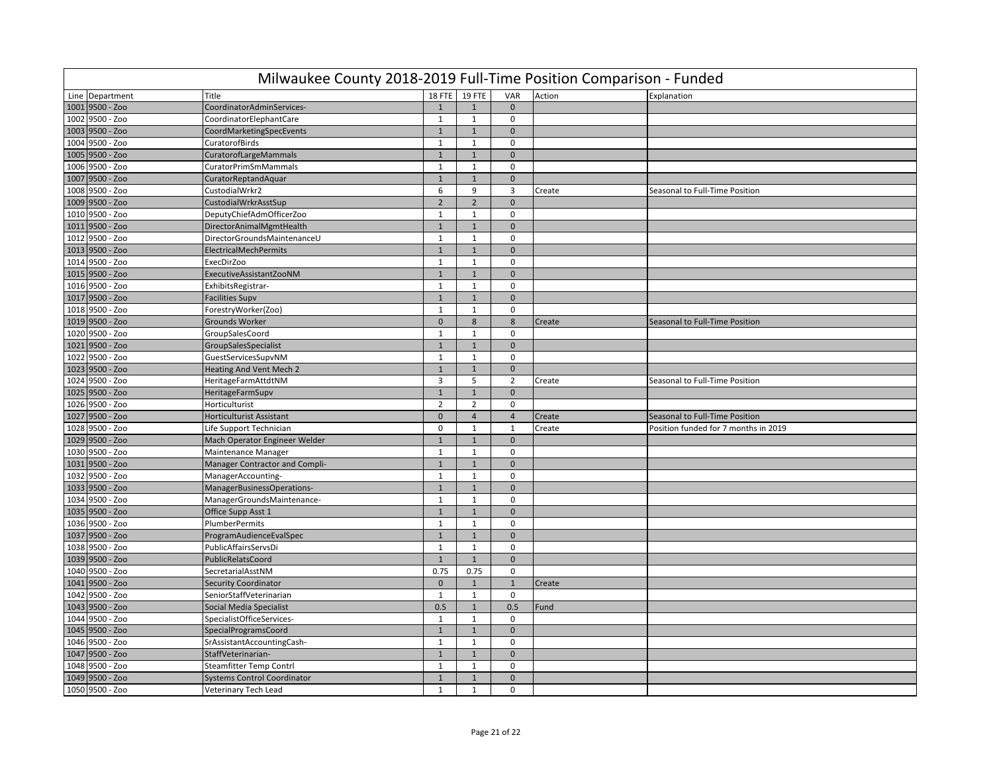| Milwaukee County 2018-2019 Full-Time Position Comparison - Funded |                                    |                |                |                |        |                                      |  |  |  |  |
|-------------------------------------------------------------------|------------------------------------|----------------|----------------|----------------|--------|--------------------------------------|--|--|--|--|
| Line Department                                                   | Title                              | 18 FTE         | 19 FTE         | VAR            | Action | Explanation                          |  |  |  |  |
| 1001 9500 - Zoo                                                   | CoordinatorAdminServices-          | $\mathbf{1}$   | $1\,$          | $\mathbf{0}$   |        |                                      |  |  |  |  |
| 1002 9500 - Zoo                                                   | CoordinatorElephantCare            | $\mathbf{1}$   | 1              | 0              |        |                                      |  |  |  |  |
| 1003 9500 - Zoo                                                   | CoordMarketingSpecEvents           | $\mathbf{1}$   | $\mathbf{1}$   | $\mathbf 0$    |        |                                      |  |  |  |  |
| 1004 9500 - Zoo                                                   | CuratorofBirds                     | $\mathbf{1}$   | $\mathbf{1}$   | $\mathbf 0$    |        |                                      |  |  |  |  |
| 1005 9500 - Zoo                                                   | CuratorofLargeMammals              | $\mathbf{1}$   | $\mathbf{1}$   | $\mathbf{0}$   |        |                                      |  |  |  |  |
| 1006 9500 - Zoo                                                   | <b>CuratorPrimSmMammals</b>        | $\mathbf{1}$   | $\mathbf{1}$   | $\mathbf 0$    |        |                                      |  |  |  |  |
| 1007 9500 - Zoo                                                   | CuratorReptandAquar                | $1\,$          | $\mathbf 1$    | $\mathbf 0$    |        |                                      |  |  |  |  |
| 1008 9500 - Zoo                                                   | CustodialWrkr2                     | 6              | 9              | $\overline{3}$ | Create | Seasonal to Full-Time Position       |  |  |  |  |
| 1009 9500 - Zoo                                                   | CustodialWrkrAsstSup               | $\overline{2}$ | $\overline{2}$ | $\mathbf{0}$   |        |                                      |  |  |  |  |
| 1010 9500 - Zoo                                                   | DeputyChiefAdmOfficerZoo           | $\mathbf{1}$   | $\mathbf{1}$   | $\mathbf 0$    |        |                                      |  |  |  |  |
| 1011 9500 - Zoo                                                   | DirectorAnimalMgmtHealth           | $\mathbf{1}$   | $\mathbf{1}$   | $\mathbf{0}$   |        |                                      |  |  |  |  |
| 1012 9500 - Zoo                                                   | DirectorGroundsMaintenanceU        | $\mathbf{1}$   | $\mathbf{1}$   | $\mathbf 0$    |        |                                      |  |  |  |  |
| 1013 9500 - Zoo                                                   | <b>ElectricalMechPermits</b>       | $\mathbf{1}$   | $1\,$          | $\mathbf{0}$   |        |                                      |  |  |  |  |
| 1014 9500 - Zoo                                                   | <b>ExecDirZoo</b>                  | 1              | $\mathbf{1}$   | $\mathbf 0$    |        |                                      |  |  |  |  |
| 1015 9500 - Zoo                                                   | ExecutiveAssistantZooNM            | $\mathbf{1}$   | $\mathbf{1}$   | $\mathbf{0}$   |        |                                      |  |  |  |  |
| 1016 9500 - Zoo                                                   | ExhibitsRegistrar-                 | $\mathbf{1}$   | $\mathbf{1}$   | $\Omega$       |        |                                      |  |  |  |  |
| 1017 9500 - Zoo                                                   | <b>Facilities Supv</b>             | $\mathbf{1}$   | $\mathbf{1}$   | $\mathbf{0}$   |        |                                      |  |  |  |  |
| 1018 9500 - Zoo                                                   | ForestryWorker(Zoo)                | $\mathbf{1}$   | $\mathbf{1}$   | $\mathbf 0$    |        |                                      |  |  |  |  |
| 1019 9500 - Zoo                                                   | Grounds Worker                     | $\mathbf 0$    | 8              | 8              | Create | Seasonal to Full-Time Position       |  |  |  |  |
| 1020 9500 - Zoo                                                   | GroupSalesCoord                    | $\mathbf{1}$   | $\mathbf{1}$   | $\mathbf 0$    |        |                                      |  |  |  |  |
| 1021 9500 - Zoo                                                   | GroupSalesSpecialist               | $\mathbf{1}$   | $\mathbf 1$    | $\mathbf{0}$   |        |                                      |  |  |  |  |
| 1022 9500 - Zoo                                                   | GuestServicesSupvNM                | $\mathbf{1}$   | $\mathbf{1}$   | $\mathbf 0$    |        |                                      |  |  |  |  |
| 1023 9500 - Zoo                                                   | Heating And Vent Mech 2            | $\mathbf{1}$   | $\mathbf{1}$   | $\mathbf{0}$   |        |                                      |  |  |  |  |
| 1024 9500 - Zoo                                                   | HeritageFarmAttdtNM                | $\overline{3}$ | 5              | $\overline{2}$ | Create | Seasonal to Full-Time Position       |  |  |  |  |
| 1025 9500 - Zoo                                                   | HeritageFarmSupv                   | $\mathbf{1}$   | $\mathbf{1}$   | $\mathbf{0}$   |        |                                      |  |  |  |  |
| 1026 9500 - Zoo                                                   | Horticulturist                     | $\overline{2}$ | $\overline{2}$ | $\mathbf 0$    |        |                                      |  |  |  |  |
| 1027 9500 - Zoo                                                   | Horticulturist Assistant           | $\mathbf 0$    | $\overline{4}$ | $\overline{4}$ | Create | Seasonal to Full-Time Position       |  |  |  |  |
| 1028 9500 - Zoo                                                   | Life Support Technician            | $\mathbf 0$    | 1              | $\mathbf{1}$   | Create | Position funded for 7 months in 2019 |  |  |  |  |
| 1029 9500 - Zoo                                                   | Mach Operator Engineer Welder      | $\mathbf{1}$   | $1\,$          | $\mathbf{0}$   |        |                                      |  |  |  |  |
| 1030 9500 - Zoo                                                   | Maintenance Manager                | $\mathbf{1}$   | $\mathbf{1}$   | $\mathbf 0$    |        |                                      |  |  |  |  |
| 1031 9500 - Zoo                                                   | Manager Contractor and Compli-     | $\mathbf{1}$   | $\mathbf{1}$   | $\mathbf{0}$   |        |                                      |  |  |  |  |
| 1032 9500 - Zoo                                                   | ManagerAccounting-                 | $\mathbf 1$    | $\mathbf{1}$   | $\mathbf 0$    |        |                                      |  |  |  |  |
| 1033 9500 - Zoo                                                   | ManagerBusinessOperations-         | $\mathbf{1}$   | $\mathbf 1$    | $\mathbf{0}$   |        |                                      |  |  |  |  |
| 1034 9500 - Zoo                                                   | ManagerGroundsMaintenance-         | $\mathbf{1}$   | $1\,$          | $\mathbf 0$    |        |                                      |  |  |  |  |
| 1035 9500 - Zoo                                                   | Office Supp Asst 1                 | $1\,$          | $\mathbf{1}$   | $\mathbf{0}$   |        |                                      |  |  |  |  |
| 1036 9500 - Zoo                                                   | PlumberPermits                     | $\mathbf{1}$   | $\mathbf{1}$   | $\mathbf 0$    |        |                                      |  |  |  |  |
| 1037 9500 - Zoo                                                   | ProgramAudienceEvalSpec            | $\mathbf{1}$   | $\mathbf{1}$   | $\mathbf{0}$   |        |                                      |  |  |  |  |
| 1038 9500 - Zoo                                                   | PublicAffairsServsDi               | $\mathbf{1}$   | $\mathbf{1}$   | $\mathbf 0$    |        |                                      |  |  |  |  |
| 1039 9500 - Zoo                                                   | PublicRelatsCoord                  | $\mathbf{1}$   | $\mathbf{1}$   | $\mathbf 0$    |        |                                      |  |  |  |  |
| 1040 9500 - Zoo                                                   | SecretarialAsstNM                  | 0.75           | 0.75           | $\mathbf 0$    |        |                                      |  |  |  |  |
| 1041 9500 - Zoo                                                   | <b>Security Coordinator</b>        | $\pmb{0}$      | $\mathbf{1}$   | $\mathbf{1}$   | Create |                                      |  |  |  |  |
| 1042 9500 - Zoo                                                   | SeniorStaffVeterinarian            | $\mathbf{1}$   | $\mathbf{1}$   | $\mathbf 0$    |        |                                      |  |  |  |  |
| 1043 9500 - Zoo                                                   | Social Media Specialist            | 0.5            | $\mathbf{1}$   | 0.5            | Fund   |                                      |  |  |  |  |
| 1044 9500 - Zoo                                                   | SpecialistOfficeServices-          | $\mathbf{1}$   | $\mathbf{1}$   | $\mathbf 0$    |        |                                      |  |  |  |  |
| 1045 9500 - Zoo                                                   | SpecialProgramsCoord               | $1\,$          | $1\,$          | $\mathbf{0}$   |        |                                      |  |  |  |  |
| 1046 9500 - Zoo                                                   | SrAssistantAccountingCash-         | $\mathbf{1}$   | $\mathbf{1}$   | $\mathbf 0$    |        |                                      |  |  |  |  |
| 1047 9500 - Zoo                                                   | StaffVeterinarian-                 | $1\,$          | $\mathbf 1$    | $\mathbf 0$    |        |                                      |  |  |  |  |
| 1048 9500 - Zoo                                                   | <b>Steamfitter Temp Contrl</b>     | $\mathbf{1}$   | $\mathbf{1}$   | $\mathbf 0$    |        |                                      |  |  |  |  |
| 1049 9500 - Zoo                                                   | <b>Systems Control Coordinator</b> | $\mathbf{1}$   | $\mathbf{1}$   | $\mathbf{0}$   |        |                                      |  |  |  |  |
| 1050 9500 - Zoo                                                   | <b>Veterinary Tech Lead</b>        | $\mathbf{1}$   | $\mathbf 1$    | $\mathbf 0$    |        |                                      |  |  |  |  |